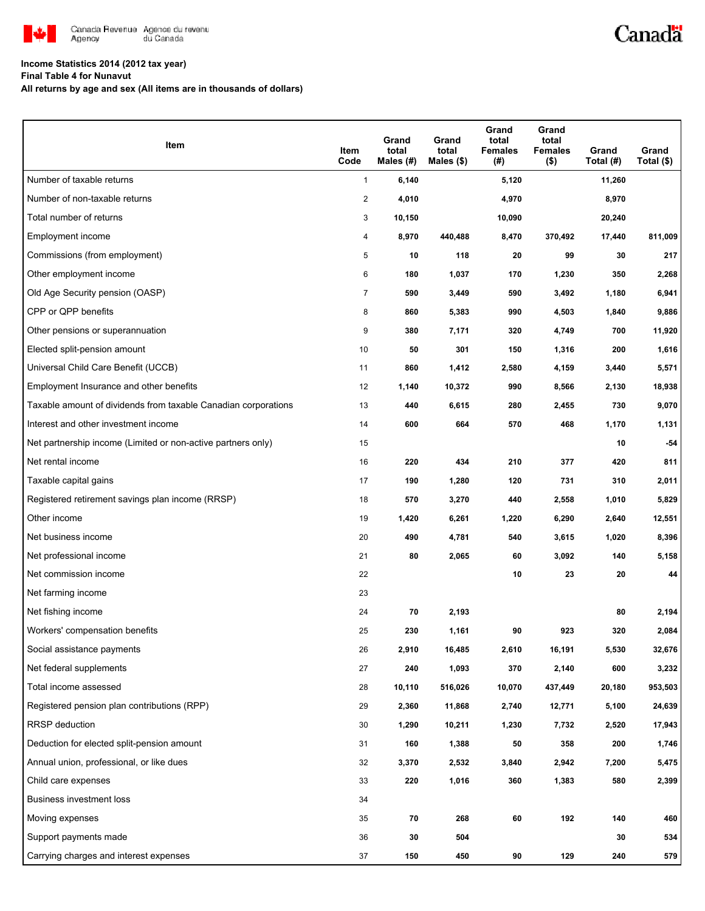

# Canadä

## **Income Statistics 2014 (2012 tax year)**

**Final Table 4 for Nunavut**

**All returns by age and sex (All items are in thousands of dollars)**

| Item                                                           | Item<br>Code   | Grand<br>total<br>Males (#) | Grand<br>total<br>Males $(\$)$ | Grand<br>total<br><b>Females</b><br>(#) | Grand<br>total<br><b>Females</b><br>$($ \$) | Grand<br>Total (#) | Grand<br>Total (\$) |
|----------------------------------------------------------------|----------------|-----------------------------|--------------------------------|-----------------------------------------|---------------------------------------------|--------------------|---------------------|
| Number of taxable returns                                      | $\mathbf{1}$   | 6,140                       |                                | 5,120                                   |                                             | 11,260             |                     |
| Number of non-taxable returns                                  | $\overline{2}$ | 4,010                       |                                | 4,970                                   |                                             | 8,970              |                     |
| Total number of returns                                        | 3              | 10,150                      |                                | 10,090                                  |                                             | 20,240             |                     |
| Employment income                                              | 4              | 8,970                       | 440,488                        | 8,470                                   | 370,492                                     | 17,440             | 811,009             |
| Commissions (from employment)                                  | 5              | 10                          | 118                            | 20                                      | 99                                          | 30                 | 217                 |
| Other employment income                                        | 6              | 180                         | 1,037                          | 170                                     | 1,230                                       | 350                | 2,268               |
| Old Age Security pension (OASP)                                | $\overline{7}$ | 590                         | 3,449                          | 590                                     | 3,492                                       | 1,180              | 6,941               |
| CPP or QPP benefits                                            | 8              | 860                         | 5,383                          | 990                                     | 4,503                                       | 1,840              | 9,886               |
| Other pensions or superannuation                               | 9              | 380                         | 7,171                          | 320                                     | 4,749                                       | 700                | 11,920              |
| Elected split-pension amount                                   | 10             | 50                          | 301                            | 150                                     | 1,316                                       | 200                | 1,616               |
| Universal Child Care Benefit (UCCB)                            | 11             | 860                         | 1,412                          | 2,580                                   | 4,159                                       | 3,440              | 5,571               |
| Employment Insurance and other benefits                        | 12             | 1,140                       | 10,372                         | 990                                     | 8,566                                       | 2,130              | 18,938              |
| Taxable amount of dividends from taxable Canadian corporations | 13             | 440                         | 6,615                          | 280                                     | 2,455                                       | 730                | 9,070               |
| Interest and other investment income                           | 14             | 600                         | 664                            | 570                                     | 468                                         | 1,170              | 1,131               |
| Net partnership income (Limited or non-active partners only)   | 15             |                             |                                |                                         |                                             | 10                 | $-54$               |
| Net rental income                                              | 16             | 220                         | 434                            | 210                                     | 377                                         | 420                | 811                 |
| Taxable capital gains                                          | 17             | 190                         | 1,280                          | 120                                     | 731                                         | 310                | 2,011               |
| Registered retirement savings plan income (RRSP)               | 18             | 570                         | 3,270                          | 440                                     | 2,558                                       | 1,010              | 5,829               |
| Other income                                                   | 19             | 1,420                       | 6,261                          | 1,220                                   | 6,290                                       | 2,640              | 12,551              |
| Net business income                                            | 20             | 490                         | 4,781                          | 540                                     | 3,615                                       | 1,020              | 8,396               |
| Net professional income                                        | 21             | 80                          | 2,065                          | 60                                      | 3,092                                       | 140                | 5,158               |
| Net commission income                                          | 22             |                             |                                | 10                                      | 23                                          | 20                 | 44                  |
| Net farming income                                             | 23             |                             |                                |                                         |                                             |                    |                     |
| Net fishing income                                             | 24             | 70                          | 2,193                          |                                         |                                             | 80                 | 2,194               |
| Workers' compensation benefits                                 | 25             | 230                         | 1,161                          | 90                                      | 923                                         | 320                | 2,084               |
| Social assistance payments                                     | 26             | 2,910                       | 16,485                         | 2,610                                   | 16,191                                      | 5,530              | 32,676              |
| Net federal supplements                                        | 27             | 240                         | 1,093                          | 370                                     | 2,140                                       | 600                | 3,232               |
| Total income assessed                                          | 28             | 10,110                      | 516,026                        | 10,070                                  | 437,449                                     | 20,180             | 953,503             |
| Registered pension plan contributions (RPP)                    | 29             | 2,360                       | 11,868                         | 2,740                                   | 12,771                                      | 5,100              | 24,639              |
| RRSP deduction                                                 | 30             | 1,290                       | 10,211                         | 1,230                                   | 7,732                                       | 2,520              | 17,943              |
| Deduction for elected split-pension amount                     | 31             | 160                         | 1,388                          | 50                                      | 358                                         | 200                | 1,746               |
| Annual union, professional, or like dues                       | 32             | 3,370                       | 2,532                          | 3,840                                   | 2,942                                       | 7,200              | 5,475               |
| Child care expenses                                            | 33             | 220                         | 1,016                          | 360                                     | 1,383                                       | 580                | 2,399               |
| <b>Business investment loss</b>                                | 34             |                             |                                |                                         |                                             |                    |                     |
| Moving expenses                                                | 35             | 70                          | 268                            | 60                                      | 192                                         | 140                | 460                 |
| Support payments made                                          | 36             | 30                          | 504                            |                                         |                                             | 30                 | 534                 |
| Carrying charges and interest expenses                         | 37             | 150                         | 450                            | 90                                      | 129                                         | 240                | 579                 |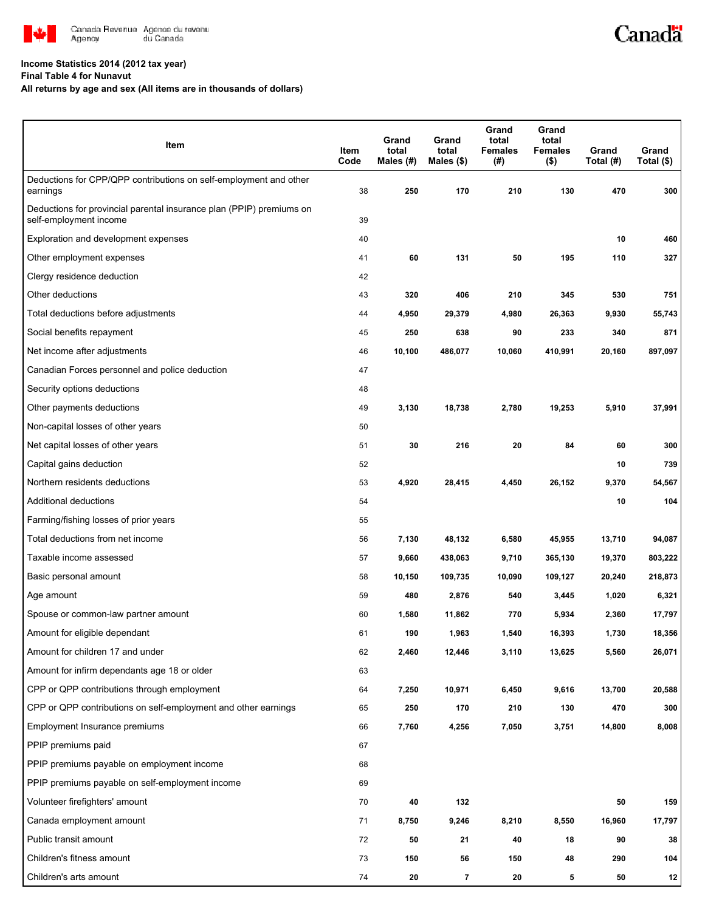

#### **Income Statistics 2014 (2012 tax year)**

**Final Table 4 for Nunavut**

**All returns by age and sex (All items are in thousands of dollars)**

| Item                                                                                           | Item<br>Code | Grand<br>total<br>Males (#) | Grand<br>total<br>Males $(\$)$ | Grand<br>total<br><b>Females</b><br>(#) | Grand<br>total<br><b>Females</b><br>$($ \$) | Grand<br>Total (#) | Grand<br>Total (\$) |
|------------------------------------------------------------------------------------------------|--------------|-----------------------------|--------------------------------|-----------------------------------------|---------------------------------------------|--------------------|---------------------|
| Deductions for CPP/QPP contributions on self-employment and other<br>earnings                  | 38           | 250                         | 170                            | 210                                     | 130                                         | 470                | 300                 |
| Deductions for provincial parental insurance plan (PPIP) premiums on<br>self-employment income | 39           |                             |                                |                                         |                                             |                    |                     |
| Exploration and development expenses                                                           | 40           |                             |                                |                                         |                                             | 10                 | 460                 |
| Other employment expenses                                                                      | 41           | 60                          | 131                            | 50                                      | 195                                         | 110                | 327                 |
| Clergy residence deduction                                                                     | 42           |                             |                                |                                         |                                             |                    |                     |
| Other deductions                                                                               | 43           | 320                         | 406                            | 210                                     | 345                                         | 530                | 751                 |
| Total deductions before adjustments                                                            | 44           | 4,950                       | 29,379                         | 4,980                                   | 26,363                                      | 9,930              | 55,743              |
| Social benefits repayment                                                                      | 45           | 250                         | 638                            | 90                                      | 233                                         | 340                | 871                 |
| Net income after adjustments                                                                   | 46           | 10,100                      | 486,077                        | 10,060                                  | 410,991                                     | 20,160             | 897,097             |
| Canadian Forces personnel and police deduction                                                 | 47           |                             |                                |                                         |                                             |                    |                     |
| Security options deductions                                                                    | 48           |                             |                                |                                         |                                             |                    |                     |
| Other payments deductions                                                                      | 49           | 3,130                       | 18,738                         | 2,780                                   | 19,253                                      | 5,910              | 37,991              |
| Non-capital losses of other years                                                              | 50           |                             |                                |                                         |                                             |                    |                     |
| Net capital losses of other years                                                              | 51           | 30                          | 216                            | 20                                      | 84                                          | 60                 | 300                 |
| Capital gains deduction                                                                        | 52           |                             |                                |                                         |                                             | 10                 | 739                 |
| Northern residents deductions                                                                  | 53           | 4,920                       | 28,415                         | 4,450                                   | 26,152                                      | 9,370              | 54,567              |
| Additional deductions                                                                          | 54           |                             |                                |                                         |                                             | 10                 | 104                 |
| Farming/fishing losses of prior years                                                          | 55           |                             |                                |                                         |                                             |                    |                     |
| Total deductions from net income                                                               | 56           | 7,130                       | 48,132                         | 6,580                                   | 45,955                                      | 13,710             | 94,087              |
| Taxable income assessed                                                                        | 57           | 9,660                       | 438,063                        | 9,710                                   | 365,130                                     | 19,370             | 803,222             |
| Basic personal amount                                                                          | 58           | 10,150                      | 109,735                        | 10,090                                  | 109,127                                     | 20,240             | 218,873             |
| Age amount                                                                                     | 59           | 480                         | 2,876                          | 540                                     | 3,445                                       | 1,020              | 6,321               |
| Spouse or common-law partner amount                                                            | 60           | 1,580                       | 11,862                         | 770                                     | 5,934                                       | 2,360              | 17,797              |
| Amount for eligible dependant                                                                  | 61           | 190                         | 1,963                          | 1,540                                   | 16,393                                      | 1,730              | 18,356              |
| Amount for children 17 and under                                                               | 62           | 2,460                       | 12,446                         | 3,110                                   | 13,625                                      | 5,560              | 26,071              |
| Amount for infirm dependants age 18 or older                                                   | 63           |                             |                                |                                         |                                             |                    |                     |
| CPP or QPP contributions through employment                                                    | 64           | 7,250                       | 10,971                         | 6,450                                   | 9,616                                       | 13,700             | 20,588              |
| CPP or QPP contributions on self-employment and other earnings                                 | 65           | 250                         | 170                            | 210                                     | 130                                         | 470                | 300                 |
| Employment Insurance premiums                                                                  | 66           | 7,760                       | 4,256                          | 7,050                                   | 3,751                                       | 14,800             | 8,008               |
| PPIP premiums paid                                                                             | 67           |                             |                                |                                         |                                             |                    |                     |
| PPIP premiums payable on employment income                                                     | 68           |                             |                                |                                         |                                             |                    |                     |
| PPIP premiums payable on self-employment income                                                | 69           |                             |                                |                                         |                                             |                    |                     |
| Volunteer firefighters' amount                                                                 | 70           | 40                          | 132                            |                                         |                                             | 50                 | 159                 |
| Canada employment amount                                                                       | 71           | 8,750                       | 9,246                          | 8,210                                   | 8,550                                       | 16,960             | 17,797              |
| Public transit amount                                                                          | 72           | 50                          | 21                             | 40                                      | 18                                          | 90                 | 38                  |
| Children's fitness amount                                                                      | 73           | 150                         | 56                             | 150                                     | 48                                          | 290                | 104                 |
| Children's arts amount                                                                         | 74           | 20                          | $\overline{7}$                 | 20                                      | 5                                           | 50                 | 12                  |

Canadä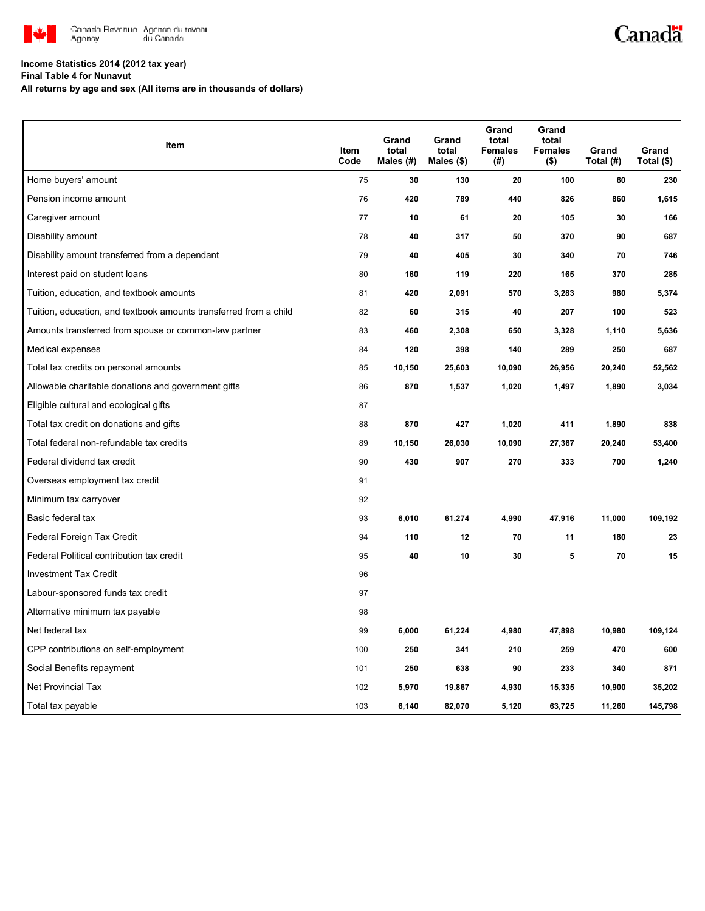

# Canadä

## **Income Statistics 2014 (2012 tax year)**

**Final Table 4 for Nunavut**

**All returns by age and sex (All items are in thousands of dollars)**

| Item                                                              | Item<br>Code | Grand<br>total<br>Males $(\#)$ | Grand<br>total<br>Males $(\$)$ | Grand<br>total<br><b>Females</b><br>(#) | Grand<br>total<br><b>Females</b><br>$($ \$) | Grand<br>Total (#) | Grand<br>Total (\$) |
|-------------------------------------------------------------------|--------------|--------------------------------|--------------------------------|-----------------------------------------|---------------------------------------------|--------------------|---------------------|
| Home buyers' amount                                               | 75           | 30                             | 130                            | 20                                      | 100                                         | 60                 | 230                 |
| Pension income amount                                             | 76           | 420                            | 789                            | 440                                     | 826                                         | 860                | 1,615               |
| Caregiver amount                                                  | 77           | 10                             | 61                             | 20                                      | 105                                         | 30                 | 166                 |
| Disability amount                                                 | 78           | 40                             | 317                            | 50                                      | 370                                         | 90                 | 687                 |
| Disability amount transferred from a dependant                    | 79           | 40                             | 405                            | 30                                      | 340                                         | 70                 | 746                 |
| Interest paid on student loans                                    | 80           | 160                            | 119                            | 220                                     | 165                                         | 370                | 285                 |
| Tuition, education, and textbook amounts                          | 81           | 420                            | 2,091                          | 570                                     | 3,283                                       | 980                | 5,374               |
| Tuition, education, and textbook amounts transferred from a child | 82           | 60                             | 315                            | 40                                      | 207                                         | 100                | 523                 |
| Amounts transferred from spouse or common-law partner             | 83           | 460                            | 2,308                          | 650                                     | 3,328                                       | 1,110              | 5,636               |
| Medical expenses                                                  | 84           | 120                            | 398                            | 140                                     | 289                                         | 250                | 687                 |
| Total tax credits on personal amounts                             | 85           | 10,150                         | 25,603                         | 10,090                                  | 26,956                                      | 20,240             | 52,562              |
| Allowable charitable donations and government gifts               | 86           | 870                            | 1,537                          | 1,020                                   | 1,497                                       | 1,890              | 3,034               |
| Eligible cultural and ecological gifts                            | 87           |                                |                                |                                         |                                             |                    |                     |
| Total tax credit on donations and gifts                           | 88           | 870                            | 427                            | 1,020                                   | 411                                         | 1,890              | 838                 |
| Total federal non-refundable tax credits                          | 89           | 10,150                         | 26,030                         | 10,090                                  | 27,367                                      | 20,240             | 53,400              |
| Federal dividend tax credit                                       | 90           | 430                            | 907                            | 270                                     | 333                                         | 700                | 1,240               |
| Overseas employment tax credit                                    | 91           |                                |                                |                                         |                                             |                    |                     |
| Minimum tax carryover                                             | 92           |                                |                                |                                         |                                             |                    |                     |
| Basic federal tax                                                 | 93           | 6,010                          | 61,274                         | 4,990                                   | 47,916                                      | 11,000             | 109,192             |
| Federal Foreign Tax Credit                                        | 94           | 110                            | 12                             | 70                                      | 11                                          | 180                | 23                  |
| Federal Political contribution tax credit                         | 95           | 40                             | 10                             | 30                                      | 5                                           | 70                 | 15                  |
| <b>Investment Tax Credit</b>                                      | 96           |                                |                                |                                         |                                             |                    |                     |
| Labour-sponsored funds tax credit                                 | 97           |                                |                                |                                         |                                             |                    |                     |
| Alternative minimum tax payable                                   | 98           |                                |                                |                                         |                                             |                    |                     |
| Net federal tax                                                   | 99           | 6,000                          | 61,224                         | 4,980                                   | 47,898                                      | 10,980             | 109,124             |
| CPP contributions on self-employment                              | 100          | 250                            | 341                            | 210                                     | 259                                         | 470                | 600                 |
| Social Benefits repayment                                         | 101          | 250                            | 638                            | 90                                      | 233                                         | 340                | 871                 |
| <b>Net Provincial Tax</b>                                         | 102          | 5,970                          | 19,867                         | 4,930                                   | 15,335                                      | 10,900             | 35,202              |
| Total tax payable                                                 | 103          | 6,140                          | 82,070                         | 5,120                                   | 63,725                                      | 11,260             | 145,798             |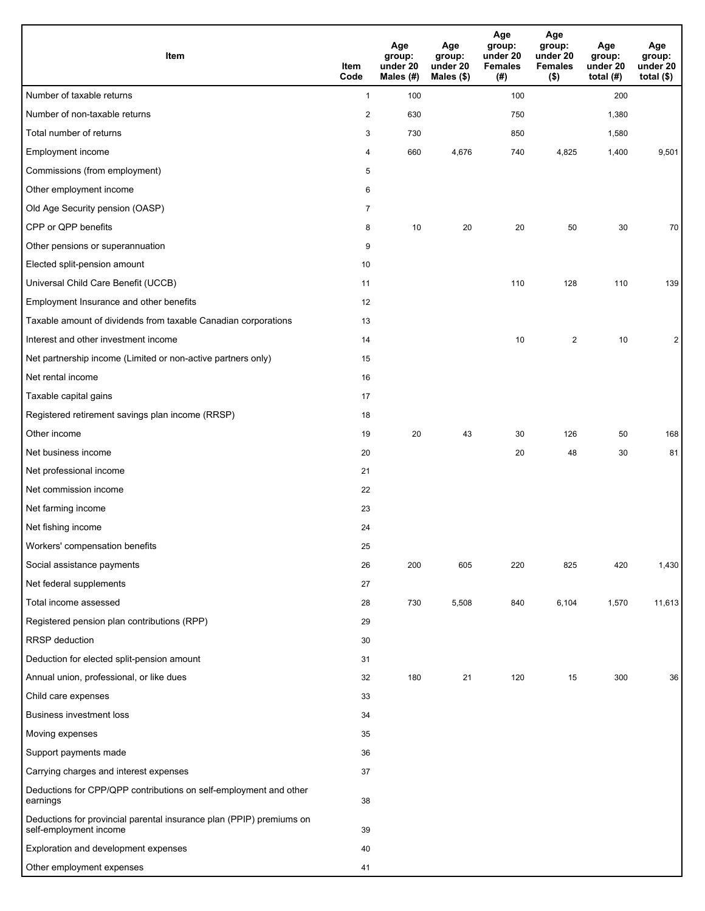| <b>Item</b>                                                                                    | Item<br>Code   | Age<br>group:<br>under 20<br>Males (#) | Age<br>group:<br>under 20<br>Males (\$) | Age<br>group:<br>under 20<br><b>Females</b><br>(# ) | Age<br>group:<br>under 20<br><b>Females</b><br>$($ \$) | Age<br>group:<br>under 20<br>total $(H)$ | Age<br>group:<br>under 20<br>total $($)$ |
|------------------------------------------------------------------------------------------------|----------------|----------------------------------------|-----------------------------------------|-----------------------------------------------------|--------------------------------------------------------|------------------------------------------|------------------------------------------|
| Number of taxable returns                                                                      | $\mathbf{1}$   | 100                                    |                                         | 100                                                 |                                                        | 200                                      |                                          |
| Number of non-taxable returns                                                                  | $\overline{c}$ | 630                                    |                                         | 750                                                 |                                                        | 1,380                                    |                                          |
| Total number of returns                                                                        | 3              | 730                                    |                                         | 850                                                 |                                                        | 1,580                                    |                                          |
| Employment income                                                                              | 4              | 660                                    | 4,676                                   | 740                                                 | 4,825                                                  | 1,400                                    | 9,501                                    |
| Commissions (from employment)                                                                  | 5              |                                        |                                         |                                                     |                                                        |                                          |                                          |
| Other employment income                                                                        | 6              |                                        |                                         |                                                     |                                                        |                                          |                                          |
| Old Age Security pension (OASP)                                                                | $\overline{7}$ |                                        |                                         |                                                     |                                                        |                                          |                                          |
| CPP or QPP benefits                                                                            | 8              | 10                                     | 20                                      | 20                                                  | 50                                                     | 30                                       | 70                                       |
| Other pensions or superannuation                                                               | 9              |                                        |                                         |                                                     |                                                        |                                          |                                          |
| Elected split-pension amount                                                                   | 10             |                                        |                                         |                                                     |                                                        |                                          |                                          |
| Universal Child Care Benefit (UCCB)                                                            | 11             |                                        |                                         | 110                                                 | 128                                                    | 110                                      | 139                                      |
| Employment Insurance and other benefits                                                        | 12             |                                        |                                         |                                                     |                                                        |                                          |                                          |
| Taxable amount of dividends from taxable Canadian corporations                                 | 13             |                                        |                                         |                                                     |                                                        |                                          |                                          |
| Interest and other investment income                                                           | 14             |                                        |                                         | 10                                                  | 2                                                      | 10                                       | $\overline{2}$                           |
| Net partnership income (Limited or non-active partners only)                                   | 15             |                                        |                                         |                                                     |                                                        |                                          |                                          |
| Net rental income                                                                              | 16             |                                        |                                         |                                                     |                                                        |                                          |                                          |
| Taxable capital gains                                                                          | 17             |                                        |                                         |                                                     |                                                        |                                          |                                          |
| Registered retirement savings plan income (RRSP)                                               | 18             |                                        |                                         |                                                     |                                                        |                                          |                                          |
| Other income                                                                                   | 19             | 20                                     | 43                                      | 30                                                  | 126                                                    | 50                                       | 168                                      |
| Net business income                                                                            | 20             |                                        |                                         | 20                                                  | 48                                                     | 30                                       | 81                                       |
| Net professional income                                                                        | 21             |                                        |                                         |                                                     |                                                        |                                          |                                          |
| Net commission income                                                                          | 22             |                                        |                                         |                                                     |                                                        |                                          |                                          |
| Net farming income                                                                             | 23             |                                        |                                         |                                                     |                                                        |                                          |                                          |
| Net fishing income                                                                             | 24             |                                        |                                         |                                                     |                                                        |                                          |                                          |
| Workers' compensation benefits                                                                 | 25             |                                        |                                         |                                                     |                                                        |                                          |                                          |
| Social assistance payments                                                                     | 26             | 200                                    | 605                                     | 220                                                 | 825                                                    | 420                                      | 1,430                                    |
| Net federal supplements                                                                        | 27             |                                        |                                         |                                                     |                                                        |                                          |                                          |
| Total income assessed                                                                          | 28             | 730                                    | 5,508                                   | 840                                                 | 6,104                                                  | 1,570                                    | 11,613                                   |
| Registered pension plan contributions (RPP)                                                    | 29             |                                        |                                         |                                                     |                                                        |                                          |                                          |
| RRSP deduction                                                                                 | 30             |                                        |                                         |                                                     |                                                        |                                          |                                          |
| Deduction for elected split-pension amount                                                     | 31             |                                        |                                         |                                                     |                                                        |                                          |                                          |
| Annual union, professional, or like dues                                                       | 32             | 180                                    | 21                                      | 120                                                 | 15                                                     | 300                                      | 36                                       |
| Child care expenses                                                                            | 33             |                                        |                                         |                                                     |                                                        |                                          |                                          |
| <b>Business investment loss</b>                                                                | 34             |                                        |                                         |                                                     |                                                        |                                          |                                          |
| Moving expenses                                                                                | 35             |                                        |                                         |                                                     |                                                        |                                          |                                          |
| Support payments made                                                                          | 36             |                                        |                                         |                                                     |                                                        |                                          |                                          |
| Carrying charges and interest expenses                                                         | 37             |                                        |                                         |                                                     |                                                        |                                          |                                          |
| Deductions for CPP/QPP contributions on self-employment and other<br>earnings                  | 38             |                                        |                                         |                                                     |                                                        |                                          |                                          |
| Deductions for provincial parental insurance plan (PPIP) premiums on<br>self-employment income | 39             |                                        |                                         |                                                     |                                                        |                                          |                                          |
| Exploration and development expenses                                                           | 40             |                                        |                                         |                                                     |                                                        |                                          |                                          |
| Other employment expenses                                                                      | 41             |                                        |                                         |                                                     |                                                        |                                          |                                          |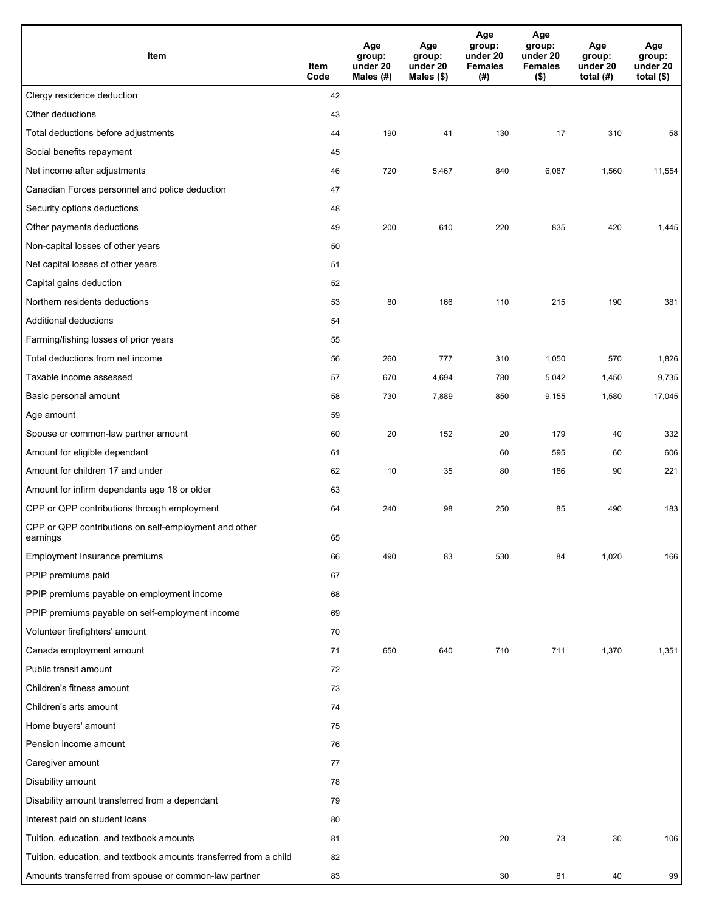| Item                                                              | Item<br>Code | Age<br>group:<br>under 20<br>Males $(H)$ | Age<br>group:<br>under 20<br>Males (\$) | Age<br>group:<br>under 20<br><b>Females</b><br>(#) | Age<br>group:<br>under 20<br><b>Females</b><br>$($ \$) | Age<br>group:<br>under 20<br>total $(H)$ | Age<br>group:<br>under 20<br>total $($)$ |
|-------------------------------------------------------------------|--------------|------------------------------------------|-----------------------------------------|----------------------------------------------------|--------------------------------------------------------|------------------------------------------|------------------------------------------|
| Clergy residence deduction                                        | 42           |                                          |                                         |                                                    |                                                        |                                          |                                          |
| Other deductions                                                  | 43           |                                          |                                         |                                                    |                                                        |                                          |                                          |
| Total deductions before adjustments                               | 44           | 190                                      | 41                                      | 130                                                | 17                                                     | 310                                      | 58                                       |
| Social benefits repayment                                         | 45           |                                          |                                         |                                                    |                                                        |                                          |                                          |
| Net income after adjustments                                      | 46           | 720                                      | 5,467                                   | 840                                                | 6,087                                                  | 1,560                                    | 11,554                                   |
| Canadian Forces personnel and police deduction                    | 47           |                                          |                                         |                                                    |                                                        |                                          |                                          |
| Security options deductions                                       | 48           |                                          |                                         |                                                    |                                                        |                                          |                                          |
| Other payments deductions                                         | 49           | 200                                      | 610                                     | 220                                                | 835                                                    | 420                                      | 1,445                                    |
| Non-capital losses of other years                                 | 50           |                                          |                                         |                                                    |                                                        |                                          |                                          |
| Net capital losses of other years                                 | 51           |                                          |                                         |                                                    |                                                        |                                          |                                          |
| Capital gains deduction                                           | 52           |                                          |                                         |                                                    |                                                        |                                          |                                          |
| Northern residents deductions                                     | 53           | 80                                       | 166                                     | 110                                                | 215                                                    | 190                                      | 381                                      |
| Additional deductions                                             | 54           |                                          |                                         |                                                    |                                                        |                                          |                                          |
| Farming/fishing losses of prior years                             | 55           |                                          |                                         |                                                    |                                                        |                                          |                                          |
| Total deductions from net income                                  | 56           | 260                                      | 777                                     | 310                                                | 1,050                                                  | 570                                      | 1,826                                    |
| Taxable income assessed                                           | 57           | 670                                      | 4,694                                   | 780                                                | 5,042                                                  | 1,450                                    | 9,735                                    |
| Basic personal amount                                             | 58           | 730                                      | 7,889                                   | 850                                                | 9,155                                                  | 1,580                                    | 17,045                                   |
| Age amount                                                        | 59           |                                          |                                         |                                                    |                                                        |                                          |                                          |
| Spouse or common-law partner amount                               | 60           | 20                                       | 152                                     | 20                                                 | 179                                                    | 40                                       | 332                                      |
| Amount for eligible dependant                                     | 61           |                                          |                                         | 60                                                 | 595                                                    | 60                                       | 606                                      |
| Amount for children 17 and under                                  | 62           | 10                                       | 35                                      | 80                                                 | 186                                                    | 90                                       | 221                                      |
| Amount for infirm dependants age 18 or older                      | 63           |                                          |                                         |                                                    |                                                        |                                          |                                          |
| CPP or QPP contributions through employment                       | 64           | 240                                      | 98                                      | 250                                                | 85                                                     | 490                                      | 183                                      |
| CPP or QPP contributions on self-employment and other<br>earnings | 65           |                                          |                                         |                                                    |                                                        |                                          |                                          |
| Employment Insurance premiums                                     | 66           | 490                                      | 83                                      | 530                                                | 84                                                     | 1,020                                    | 166                                      |
| PPIP premiums paid                                                | 67           |                                          |                                         |                                                    |                                                        |                                          |                                          |
| PPIP premiums payable on employment income                        | 68           |                                          |                                         |                                                    |                                                        |                                          |                                          |
| PPIP premiums payable on self-employment income                   | 69           |                                          |                                         |                                                    |                                                        |                                          |                                          |
| Volunteer firefighters' amount                                    | 70           |                                          |                                         |                                                    |                                                        |                                          |                                          |
| Canada employment amount                                          | 71           | 650                                      | 640                                     | 710                                                | 711                                                    | 1,370                                    | 1,351                                    |
| Public transit amount                                             | 72           |                                          |                                         |                                                    |                                                        |                                          |                                          |
| Children's fitness amount                                         | 73           |                                          |                                         |                                                    |                                                        |                                          |                                          |
| Children's arts amount                                            | 74           |                                          |                                         |                                                    |                                                        |                                          |                                          |
| Home buyers' amount                                               | 75           |                                          |                                         |                                                    |                                                        |                                          |                                          |
| Pension income amount                                             | 76           |                                          |                                         |                                                    |                                                        |                                          |                                          |
| Caregiver amount                                                  | 77           |                                          |                                         |                                                    |                                                        |                                          |                                          |
| Disability amount                                                 | 78           |                                          |                                         |                                                    |                                                        |                                          |                                          |
| Disability amount transferred from a dependant                    | 79           |                                          |                                         |                                                    |                                                        |                                          |                                          |
| Interest paid on student loans                                    | 80           |                                          |                                         |                                                    |                                                        |                                          |                                          |
| Tuition, education, and textbook amounts                          | 81           |                                          |                                         | 20                                                 | 73                                                     | 30                                       | 106                                      |
| Tuition, education, and textbook amounts transferred from a child | 82           |                                          |                                         |                                                    |                                                        |                                          |                                          |
| Amounts transferred from spouse or common-law partner             | 83           |                                          |                                         | 30                                                 | 81                                                     | 40                                       | 99                                       |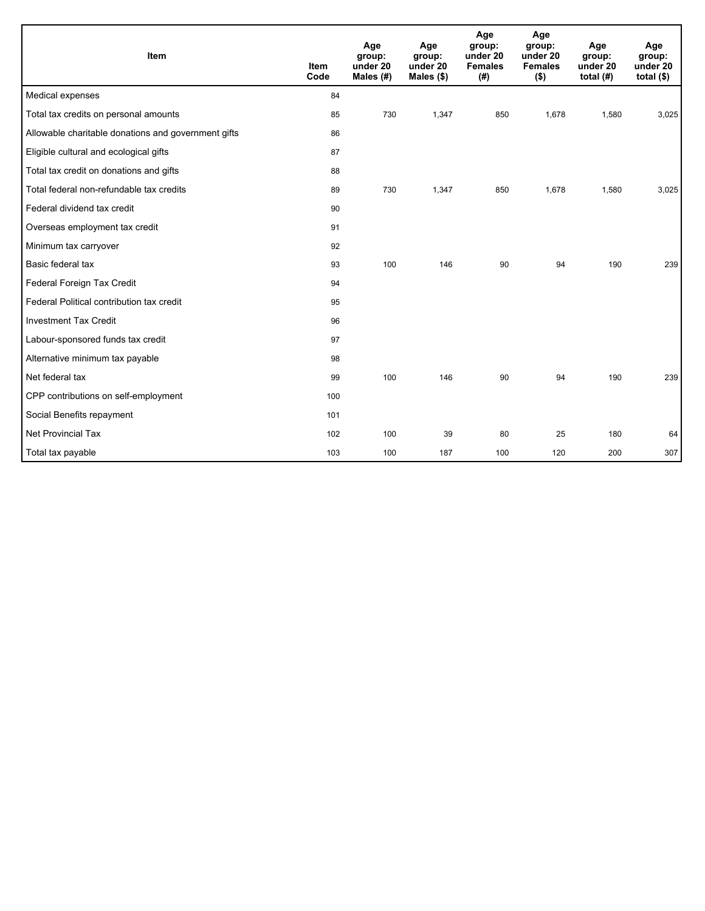| Item                                                | <b>Item</b><br>Code | Age<br>group:<br>under 20<br>Males (#) | Age<br>group:<br>under 20<br>Males (\$) | Age<br>group:<br>under 20<br><b>Females</b><br>(# ) | Age<br>group:<br>under 20<br><b>Females</b><br>$($ \$) | Age<br>group:<br>under 20<br>total $(H)$ | Age<br>group:<br>under 20<br>total $($)$ |
|-----------------------------------------------------|---------------------|----------------------------------------|-----------------------------------------|-----------------------------------------------------|--------------------------------------------------------|------------------------------------------|------------------------------------------|
| Medical expenses                                    | 84                  |                                        |                                         |                                                     |                                                        |                                          |                                          |
| Total tax credits on personal amounts               | 85                  | 730                                    | 1,347                                   | 850                                                 | 1,678                                                  | 1,580                                    | 3,025                                    |
| Allowable charitable donations and government gifts | 86                  |                                        |                                         |                                                     |                                                        |                                          |                                          |
| Eligible cultural and ecological gifts              | 87                  |                                        |                                         |                                                     |                                                        |                                          |                                          |
| Total tax credit on donations and gifts             | 88                  |                                        |                                         |                                                     |                                                        |                                          |                                          |
| Total federal non-refundable tax credits            | 89                  | 730                                    | 1,347                                   | 850                                                 | 1,678                                                  | 1,580                                    | 3,025                                    |
| Federal dividend tax credit                         | 90                  |                                        |                                         |                                                     |                                                        |                                          |                                          |
| Overseas employment tax credit                      | 91                  |                                        |                                         |                                                     |                                                        |                                          |                                          |
| Minimum tax carryover                               | 92                  |                                        |                                         |                                                     |                                                        |                                          |                                          |
| Basic federal tax                                   | 93                  | 100                                    | 146                                     | 90                                                  | 94                                                     | 190                                      | 239                                      |
| Federal Foreign Tax Credit                          | 94                  |                                        |                                         |                                                     |                                                        |                                          |                                          |
| Federal Political contribution tax credit           | 95                  |                                        |                                         |                                                     |                                                        |                                          |                                          |
| <b>Investment Tax Credit</b>                        | 96                  |                                        |                                         |                                                     |                                                        |                                          |                                          |
| Labour-sponsored funds tax credit                   | 97                  |                                        |                                         |                                                     |                                                        |                                          |                                          |
| Alternative minimum tax payable                     | 98                  |                                        |                                         |                                                     |                                                        |                                          |                                          |
| Net federal tax                                     | 99                  | 100                                    | 146                                     | 90                                                  | 94                                                     | 190                                      | 239                                      |
| CPP contributions on self-employment                | 100                 |                                        |                                         |                                                     |                                                        |                                          |                                          |
| Social Benefits repayment                           | 101                 |                                        |                                         |                                                     |                                                        |                                          |                                          |
| <b>Net Provincial Tax</b>                           | 102                 | 100                                    | 39                                      | 80                                                  | 25                                                     | 180                                      | 64                                       |
| Total tax payable                                   | 103                 | 100                                    | 187                                     | 100                                                 | 120                                                    | 200                                      | 307                                      |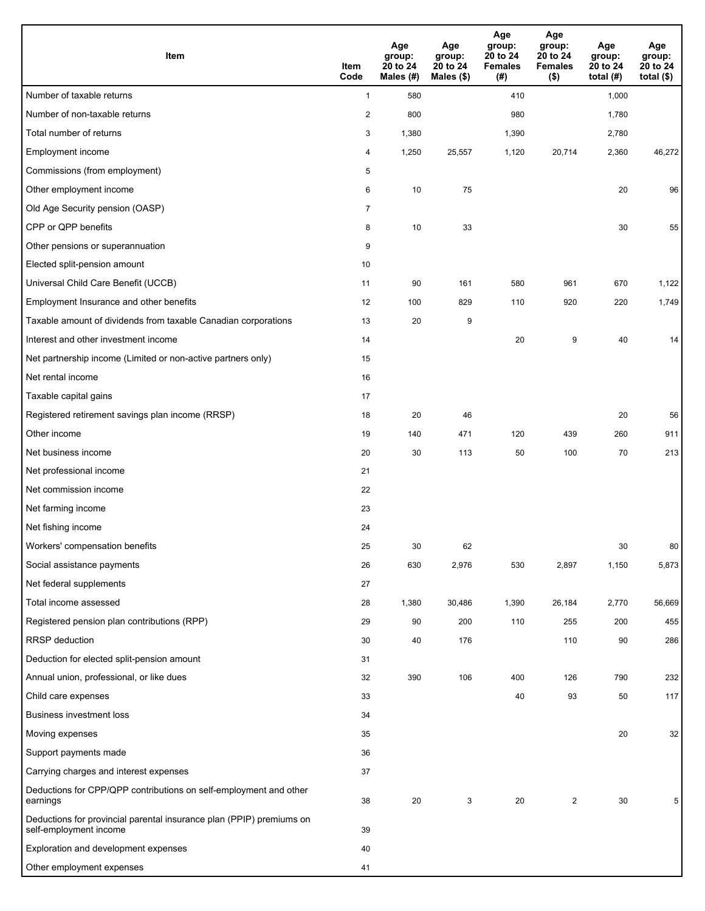| Item                                                                                           | Item<br>Code   | Age<br>group:<br>20 to 24<br>Males (#) | Age<br>group:<br>20 to 24<br>Males (\$) | Age<br>group:<br>20 to 24<br><b>Females</b><br>(# ) | Age<br>group:<br>20 to 24<br><b>Females</b><br>$($ \$) | Age<br>group:<br>20 to 24<br>total $(H)$ | Age<br>group:<br>20 to 24<br>total $($)$ |
|------------------------------------------------------------------------------------------------|----------------|----------------------------------------|-----------------------------------------|-----------------------------------------------------|--------------------------------------------------------|------------------------------------------|------------------------------------------|
| Number of taxable returns                                                                      | $\mathbf{1}$   | 580                                    |                                         | 410                                                 |                                                        | 1,000                                    |                                          |
| Number of non-taxable returns                                                                  | $\overline{2}$ | 800                                    |                                         | 980                                                 |                                                        | 1,780                                    |                                          |
| Total number of returns                                                                        | 3              | 1,380                                  |                                         | 1,390                                               |                                                        | 2,780                                    |                                          |
| Employment income                                                                              | 4              | 1,250                                  | 25,557                                  | 1,120                                               | 20,714                                                 | 2,360                                    | 46,272                                   |
| Commissions (from employment)                                                                  | 5              |                                        |                                         |                                                     |                                                        |                                          |                                          |
| Other employment income                                                                        | 6              | 10                                     | 75                                      |                                                     |                                                        | 20                                       | 96                                       |
| Old Age Security pension (OASP)                                                                | $\overline{7}$ |                                        |                                         |                                                     |                                                        |                                          |                                          |
| CPP or QPP benefits                                                                            | 8              | 10                                     | 33                                      |                                                     |                                                        | 30                                       | 55                                       |
| Other pensions or superannuation                                                               | 9              |                                        |                                         |                                                     |                                                        |                                          |                                          |
| Elected split-pension amount                                                                   | 10             |                                        |                                         |                                                     |                                                        |                                          |                                          |
| Universal Child Care Benefit (UCCB)                                                            | 11             | 90                                     | 161                                     | 580                                                 | 961                                                    | 670                                      | 1,122                                    |
| Employment Insurance and other benefits                                                        | 12             | 100                                    | 829                                     | 110                                                 | 920                                                    | 220                                      | 1,749                                    |
| Taxable amount of dividends from taxable Canadian corporations                                 | 13             | 20                                     | 9                                       |                                                     |                                                        |                                          |                                          |
| Interest and other investment income                                                           | 14             |                                        |                                         | 20                                                  | 9                                                      | 40                                       | 14                                       |
| Net partnership income (Limited or non-active partners only)                                   | 15             |                                        |                                         |                                                     |                                                        |                                          |                                          |
| Net rental income                                                                              | 16             |                                        |                                         |                                                     |                                                        |                                          |                                          |
| Taxable capital gains                                                                          | 17             |                                        |                                         |                                                     |                                                        |                                          |                                          |
| Registered retirement savings plan income (RRSP)                                               | 18             | 20                                     | 46                                      |                                                     |                                                        | 20                                       | 56                                       |
| Other income                                                                                   | 19             | 140                                    | 471                                     | 120                                                 | 439                                                    | 260                                      | 911                                      |
| Net business income                                                                            | 20             | 30                                     | 113                                     | 50                                                  | 100                                                    | 70                                       | 213                                      |
| Net professional income                                                                        | 21             |                                        |                                         |                                                     |                                                        |                                          |                                          |
| Net commission income                                                                          | 22             |                                        |                                         |                                                     |                                                        |                                          |                                          |
| Net farming income                                                                             | 23             |                                        |                                         |                                                     |                                                        |                                          |                                          |
| Net fishing income                                                                             | 24             |                                        |                                         |                                                     |                                                        |                                          |                                          |
| Workers' compensation benefits                                                                 | 25             | 30                                     | 62                                      |                                                     |                                                        | 30                                       | 80                                       |
| Social assistance payments                                                                     | 26             | 630                                    | 2,976                                   | 530                                                 | 2,897                                                  | 1,150                                    | 5,873                                    |
| Net federal supplements                                                                        | 27             |                                        |                                         |                                                     |                                                        |                                          |                                          |
| Total income assessed                                                                          | 28             | 1,380                                  | 30,486                                  | 1,390                                               | 26,184                                                 | 2,770                                    | 56,669                                   |
| Registered pension plan contributions (RPP)                                                    | 29             | 90                                     | 200                                     | 110                                                 | 255                                                    | 200                                      | 455                                      |
| <b>RRSP</b> deduction                                                                          | 30             | 40                                     | 176                                     |                                                     | 110                                                    | 90                                       | 286                                      |
| Deduction for elected split-pension amount                                                     | 31             |                                        |                                         |                                                     |                                                        |                                          |                                          |
| Annual union, professional, or like dues                                                       | 32             | 390                                    | 106                                     | 400                                                 | 126                                                    | 790                                      | 232                                      |
| Child care expenses                                                                            | 33             |                                        |                                         | 40                                                  | 93                                                     | 50                                       | 117                                      |
| Business investment loss                                                                       | 34             |                                        |                                         |                                                     |                                                        |                                          |                                          |
| Moving expenses                                                                                | 35             |                                        |                                         |                                                     |                                                        | 20                                       | 32                                       |
| Support payments made                                                                          | 36             |                                        |                                         |                                                     |                                                        |                                          |                                          |
| Carrying charges and interest expenses                                                         | 37             |                                        |                                         |                                                     |                                                        |                                          |                                          |
| Deductions for CPP/QPP contributions on self-employment and other<br>earnings                  | 38             | 20                                     | 3                                       | 20                                                  | $\overline{c}$                                         | 30                                       | 5                                        |
| Deductions for provincial parental insurance plan (PPIP) premiums on<br>self-employment income | 39             |                                        |                                         |                                                     |                                                        |                                          |                                          |
| Exploration and development expenses                                                           | 40             |                                        |                                         |                                                     |                                                        |                                          |                                          |
| Other employment expenses                                                                      | 41             |                                        |                                         |                                                     |                                                        |                                          |                                          |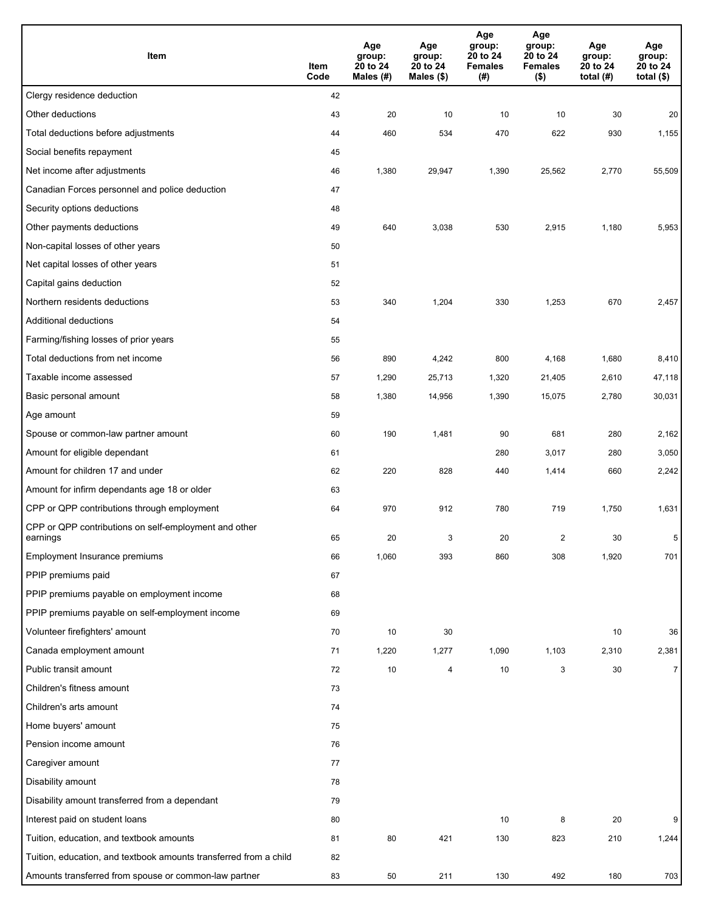| Item                                                              | Item<br>Code | Age<br>group:<br>20 to 24<br>Males $(H)$ | Age<br>group:<br>20 to 24<br>Males (\$) | Age<br>group:<br>20 to 24<br><b>Females</b><br>(# ) | Age<br>group:<br>20 to 24<br><b>Females</b><br>$($ \$) | Age<br>group:<br>20 to 24<br>total $(H)$ | Age<br>group:<br>20 to 24<br>total $($)$ |
|-------------------------------------------------------------------|--------------|------------------------------------------|-----------------------------------------|-----------------------------------------------------|--------------------------------------------------------|------------------------------------------|------------------------------------------|
| Clergy residence deduction                                        | 42           |                                          |                                         |                                                     |                                                        |                                          |                                          |
| Other deductions                                                  | 43           | 20                                       | 10                                      | 10                                                  | 10                                                     | 30                                       | 20                                       |
| Total deductions before adjustments                               | 44           | 460                                      | 534                                     | 470                                                 | 622                                                    | 930                                      | 1,155                                    |
| Social benefits repayment                                         | 45           |                                          |                                         |                                                     |                                                        |                                          |                                          |
| Net income after adjustments                                      | 46           | 1,380                                    | 29,947                                  | 1,390                                               | 25,562                                                 | 2,770                                    | 55,509                                   |
| Canadian Forces personnel and police deduction                    | 47           |                                          |                                         |                                                     |                                                        |                                          |                                          |
| Security options deductions                                       | 48           |                                          |                                         |                                                     |                                                        |                                          |                                          |
| Other payments deductions                                         | 49           | 640                                      | 3,038                                   | 530                                                 | 2,915                                                  | 1,180                                    | 5,953                                    |
| Non-capital losses of other years                                 | 50           |                                          |                                         |                                                     |                                                        |                                          |                                          |
| Net capital losses of other years                                 | 51           |                                          |                                         |                                                     |                                                        |                                          |                                          |
| Capital gains deduction                                           | 52           |                                          |                                         |                                                     |                                                        |                                          |                                          |
| Northern residents deductions                                     | 53           | 340                                      | 1,204                                   | 330                                                 | 1,253                                                  | 670                                      | 2,457                                    |
| Additional deductions                                             | 54           |                                          |                                         |                                                     |                                                        |                                          |                                          |
| Farming/fishing losses of prior years                             | 55           |                                          |                                         |                                                     |                                                        |                                          |                                          |
| Total deductions from net income                                  | 56           | 890                                      | 4,242                                   | 800                                                 | 4,168                                                  | 1,680                                    | 8,410                                    |
| Taxable income assessed                                           | 57           | 1,290                                    | 25,713                                  | 1,320                                               | 21,405                                                 | 2,610                                    | 47,118                                   |
| Basic personal amount                                             | 58           | 1,380                                    | 14,956                                  | 1,390                                               | 15,075                                                 | 2,780                                    | 30,031                                   |
| Age amount                                                        | 59           |                                          |                                         |                                                     |                                                        |                                          |                                          |
| Spouse or common-law partner amount                               | 60           | 190                                      | 1,481                                   | 90                                                  | 681                                                    | 280                                      | 2,162                                    |
| Amount for eligible dependant                                     | 61           |                                          |                                         | 280                                                 | 3,017                                                  | 280                                      | 3,050                                    |
| Amount for children 17 and under                                  | 62           | 220                                      | 828                                     | 440                                                 | 1,414                                                  | 660                                      | 2,242                                    |
| Amount for infirm dependants age 18 or older                      | 63           |                                          |                                         |                                                     |                                                        |                                          |                                          |
| CPP or QPP contributions through employment                       | 64           | 970                                      | 912                                     | 780                                                 | 719                                                    | 1,750                                    | 1,631                                    |
| CPP or QPP contributions on self-employment and other<br>earnings | 65           | 20                                       | 3                                       | 20                                                  | 2                                                      | 30                                       | 5                                        |
| Employment Insurance premiums                                     | 66           | 1,060                                    | 393                                     | 860                                                 | 308                                                    | 1,920                                    | 701                                      |
| PPIP premiums paid                                                | 67           |                                          |                                         |                                                     |                                                        |                                          |                                          |
| PPIP premiums payable on employment income                        | 68           |                                          |                                         |                                                     |                                                        |                                          |                                          |
| PPIP premiums payable on self-employment income                   | 69           |                                          |                                         |                                                     |                                                        |                                          |                                          |
| Volunteer firefighters' amount                                    | 70           | 10                                       | 30                                      |                                                     |                                                        | 10                                       | 36                                       |
| Canada employment amount                                          | 71           | 1,220                                    | 1,277                                   | 1,090                                               | 1,103                                                  | 2,310                                    | 2,381                                    |
| Public transit amount                                             | 72           | $10\,$                                   | 4                                       | 10                                                  | 3                                                      | 30                                       | $\overline{7}$                           |
| Children's fitness amount                                         | 73           |                                          |                                         |                                                     |                                                        |                                          |                                          |
| Children's arts amount                                            | 74           |                                          |                                         |                                                     |                                                        |                                          |                                          |
| Home buyers' amount                                               | 75           |                                          |                                         |                                                     |                                                        |                                          |                                          |
| Pension income amount                                             | 76           |                                          |                                         |                                                     |                                                        |                                          |                                          |
| Caregiver amount                                                  | 77           |                                          |                                         |                                                     |                                                        |                                          |                                          |
| Disability amount                                                 | 78           |                                          |                                         |                                                     |                                                        |                                          |                                          |
| Disability amount transferred from a dependant                    | 79           |                                          |                                         |                                                     |                                                        |                                          |                                          |
| Interest paid on student loans                                    | 80           |                                          |                                         | 10                                                  | 8                                                      | 20                                       | 9                                        |
| Tuition, education, and textbook amounts                          | 81           | 80                                       | 421                                     | 130                                                 | 823                                                    | 210                                      | 1,244                                    |
| Tuition, education, and textbook amounts transferred from a child | 82           |                                          |                                         |                                                     |                                                        |                                          |                                          |
| Amounts transferred from spouse or common-law partner             | 83           | 50                                       | 211                                     | 130                                                 | 492                                                    | 180                                      | 703                                      |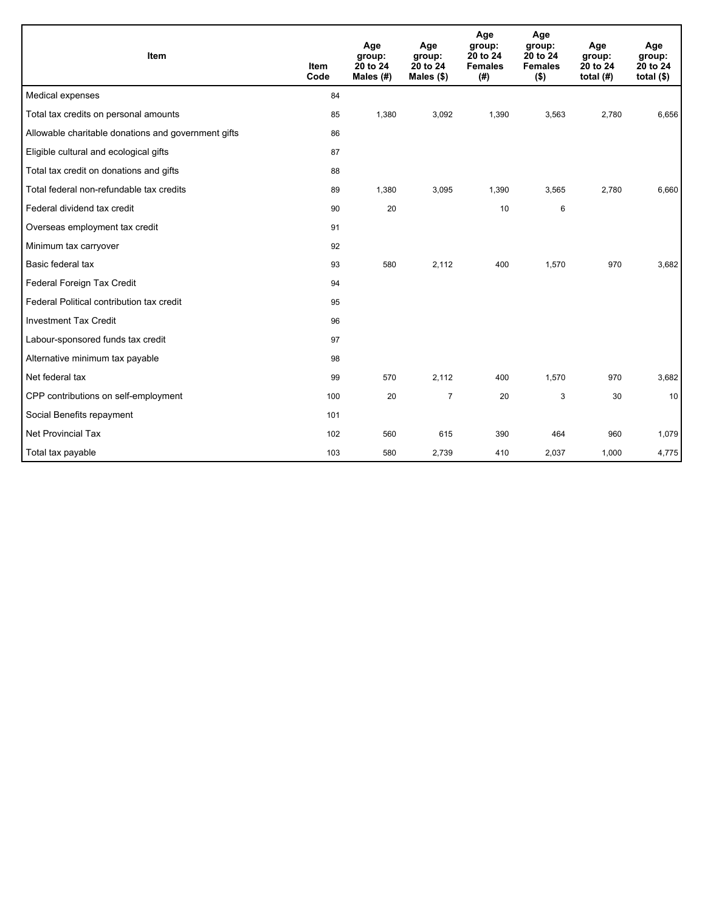| Item                                                | <b>Item</b><br>Code | Age<br>group:<br>20 to 24<br>Males (#) | Age<br>group:<br>20 to 24<br>Males $(\$)$ | Age<br>group:<br>20 to 24<br><b>Females</b><br>(# ) | Age<br>group:<br>20 to 24<br><b>Females</b><br>$($ \$) | Age<br>group:<br>20 to 24<br>total $(H)$ | Age<br>group:<br>20 to 24<br>total $($)$ |
|-----------------------------------------------------|---------------------|----------------------------------------|-------------------------------------------|-----------------------------------------------------|--------------------------------------------------------|------------------------------------------|------------------------------------------|
| Medical expenses                                    | 84                  |                                        |                                           |                                                     |                                                        |                                          |                                          |
| Total tax credits on personal amounts               | 85                  | 1,380                                  | 3,092                                     | 1,390                                               | 3,563                                                  | 2,780                                    | 6,656                                    |
| Allowable charitable donations and government gifts | 86                  |                                        |                                           |                                                     |                                                        |                                          |                                          |
| Eligible cultural and ecological gifts              | 87                  |                                        |                                           |                                                     |                                                        |                                          |                                          |
| Total tax credit on donations and gifts             | 88                  |                                        |                                           |                                                     |                                                        |                                          |                                          |
| Total federal non-refundable tax credits            | 89                  | 1,380                                  | 3,095                                     | 1,390                                               | 3,565                                                  | 2,780                                    | 6,660                                    |
| Federal dividend tax credit                         | 90                  | 20                                     |                                           | 10                                                  | 6                                                      |                                          |                                          |
| Overseas employment tax credit                      | 91                  |                                        |                                           |                                                     |                                                        |                                          |                                          |
| Minimum tax carryover                               | 92                  |                                        |                                           |                                                     |                                                        |                                          |                                          |
| Basic federal tax                                   | 93                  | 580                                    | 2,112                                     | 400                                                 | 1,570                                                  | 970                                      | 3,682                                    |
| Federal Foreign Tax Credit                          | 94                  |                                        |                                           |                                                     |                                                        |                                          |                                          |
| Federal Political contribution tax credit           | 95                  |                                        |                                           |                                                     |                                                        |                                          |                                          |
| <b>Investment Tax Credit</b>                        | 96                  |                                        |                                           |                                                     |                                                        |                                          |                                          |
| Labour-sponsored funds tax credit                   | 97                  |                                        |                                           |                                                     |                                                        |                                          |                                          |
| Alternative minimum tax payable                     | 98                  |                                        |                                           |                                                     |                                                        |                                          |                                          |
| Net federal tax                                     | 99                  | 570                                    | 2,112                                     | 400                                                 | 1,570                                                  | 970                                      | 3,682                                    |
| CPP contributions on self-employment                | 100                 | 20                                     | $\overline{7}$                            | 20                                                  | 3                                                      | 30                                       | 10                                       |
| Social Benefits repayment                           | 101                 |                                        |                                           |                                                     |                                                        |                                          |                                          |
| <b>Net Provincial Tax</b>                           | 102                 | 560                                    | 615                                       | 390                                                 | 464                                                    | 960                                      | 1,079                                    |
| Total tax payable                                   | 103                 | 580                                    | 2,739                                     | 410                                                 | 2,037                                                  | 1,000                                    | 4,775                                    |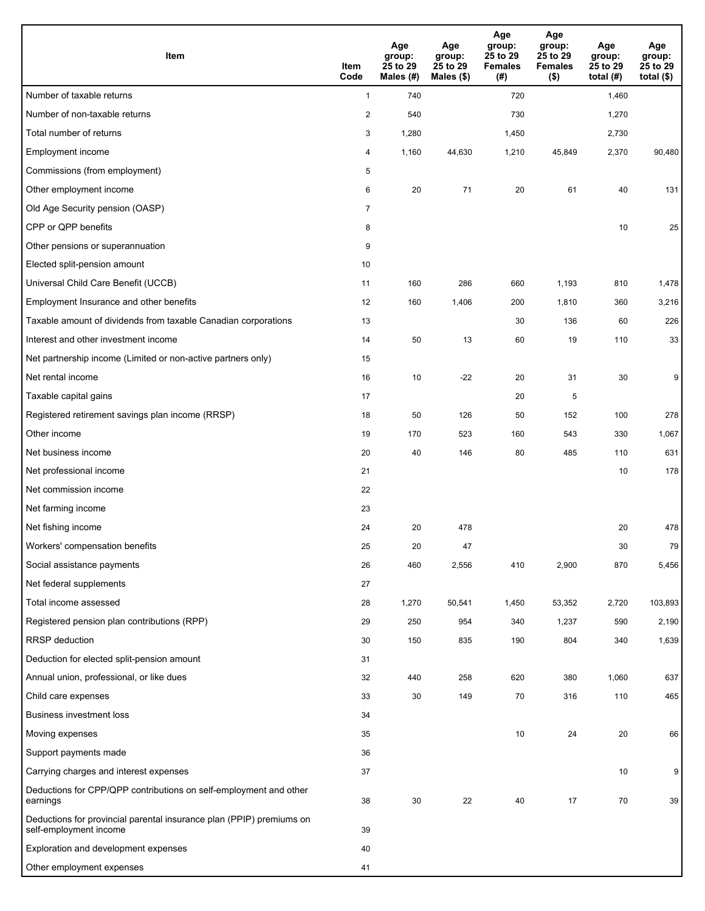| Item                                                                                           | Item<br>Code            | Age<br>group:<br>25 to 29<br>Males (#) | Age<br>group:<br>25 to 29<br>Males (\$) | Age<br>group:<br>25 to 29<br><b>Females</b><br>(# ) | Age<br>group:<br>25 to 29<br><b>Females</b><br>$($ \$) | Age<br>group:<br>25 to 29<br>total $(H)$ | Age<br>group:<br>25 to 29<br>total $($ |
|------------------------------------------------------------------------------------------------|-------------------------|----------------------------------------|-----------------------------------------|-----------------------------------------------------|--------------------------------------------------------|------------------------------------------|----------------------------------------|
| Number of taxable returns                                                                      | $\mathbf{1}$            | 740                                    |                                         | 720                                                 |                                                        | 1,460                                    |                                        |
| Number of non-taxable returns                                                                  | $\overline{\mathbf{c}}$ | 540                                    |                                         | 730                                                 |                                                        | 1,270                                    |                                        |
| Total number of returns                                                                        | 3                       | 1,280                                  |                                         | 1,450                                               |                                                        | 2,730                                    |                                        |
| Employment income                                                                              | 4                       | 1,160                                  | 44,630                                  | 1,210                                               | 45,849                                                 | 2,370                                    | 90,480                                 |
| Commissions (from employment)                                                                  | 5                       |                                        |                                         |                                                     |                                                        |                                          |                                        |
| Other employment income                                                                        | 6                       | 20                                     | 71                                      | 20                                                  | 61                                                     | 40                                       | 131                                    |
| Old Age Security pension (OASP)                                                                | $\overline{7}$          |                                        |                                         |                                                     |                                                        |                                          |                                        |
| CPP or QPP benefits                                                                            | 8                       |                                        |                                         |                                                     |                                                        | 10                                       | 25                                     |
| Other pensions or superannuation                                                               | 9                       |                                        |                                         |                                                     |                                                        |                                          |                                        |
| Elected split-pension amount                                                                   | 10                      |                                        |                                         |                                                     |                                                        |                                          |                                        |
| Universal Child Care Benefit (UCCB)                                                            | 11                      | 160                                    | 286                                     | 660                                                 | 1,193                                                  | 810                                      | 1,478                                  |
| Employment Insurance and other benefits                                                        | 12                      | 160                                    | 1,406                                   | 200                                                 | 1,810                                                  | 360                                      | 3,216                                  |
| Taxable amount of dividends from taxable Canadian corporations                                 | 13                      |                                        |                                         | 30                                                  | 136                                                    | 60                                       | 226                                    |
| Interest and other investment income                                                           | 14                      | 50                                     | 13                                      | 60                                                  | 19                                                     | 110                                      | 33                                     |
| Net partnership income (Limited or non-active partners only)                                   | 15                      |                                        |                                         |                                                     |                                                        |                                          |                                        |
| Net rental income                                                                              | 16                      | 10                                     | $-22$                                   | 20                                                  | 31                                                     | 30                                       | 9                                      |
| Taxable capital gains                                                                          | 17                      |                                        |                                         | 20                                                  | 5                                                      |                                          |                                        |
| Registered retirement savings plan income (RRSP)                                               | 18                      | 50                                     | 126                                     | 50                                                  | 152                                                    | 100                                      | 278                                    |
| Other income                                                                                   | 19                      | 170                                    | 523                                     | 160                                                 | 543                                                    | 330                                      | 1,067                                  |
| Net business income                                                                            | 20                      | 40                                     | 146                                     | 80                                                  | 485                                                    | 110                                      | 631                                    |
| Net professional income                                                                        | 21                      |                                        |                                         |                                                     |                                                        | 10                                       | 178                                    |
| Net commission income                                                                          | 22                      |                                        |                                         |                                                     |                                                        |                                          |                                        |
| Net farming income                                                                             | 23                      |                                        |                                         |                                                     |                                                        |                                          |                                        |
| Net fishing income                                                                             | 24                      | 20                                     | 478                                     |                                                     |                                                        | 20                                       | 478                                    |
| Workers' compensation benefits                                                                 | 25                      | 20                                     | 47                                      |                                                     |                                                        | 30                                       | 79                                     |
| Social assistance payments                                                                     | 26                      | 460                                    | 2,556                                   | 410                                                 | 2,900                                                  | 870                                      | 5,456                                  |
| Net federal supplements                                                                        | 27                      |                                        |                                         |                                                     |                                                        |                                          |                                        |
| Total income assessed                                                                          | 28                      | 1,270                                  | 50,541                                  | 1,450                                               | 53,352                                                 | 2,720                                    | 103,893                                |
| Registered pension plan contributions (RPP)                                                    | 29                      | 250                                    | 954                                     | 340                                                 | 1,237                                                  | 590                                      | 2,190                                  |
| <b>RRSP</b> deduction                                                                          | 30                      | 150                                    | 835                                     | 190                                                 | 804                                                    | 340                                      | 1,639                                  |
| Deduction for elected split-pension amount                                                     | 31                      |                                        |                                         |                                                     |                                                        |                                          |                                        |
| Annual union, professional, or like dues                                                       | 32                      | 440                                    | 258                                     | 620                                                 | 380                                                    | 1,060                                    | 637                                    |
| Child care expenses                                                                            | 33                      | 30                                     | 149                                     | 70                                                  | 316                                                    | 110                                      | 465                                    |
| Business investment loss                                                                       | 34                      |                                        |                                         |                                                     |                                                        |                                          |                                        |
| Moving expenses                                                                                | 35                      |                                        |                                         | 10                                                  | 24                                                     | 20                                       | 66                                     |
| Support payments made                                                                          | 36                      |                                        |                                         |                                                     |                                                        |                                          |                                        |
| Carrying charges and interest expenses                                                         | 37                      |                                        |                                         |                                                     |                                                        | 10                                       | 9                                      |
| Deductions for CPP/QPP contributions on self-employment and other<br>earnings                  | 38                      | 30                                     | 22                                      | 40                                                  | 17                                                     | 70                                       | 39                                     |
| Deductions for provincial parental insurance plan (PPIP) premiums on<br>self-employment income | 39                      |                                        |                                         |                                                     |                                                        |                                          |                                        |
| Exploration and development expenses                                                           | 40                      |                                        |                                         |                                                     |                                                        |                                          |                                        |
| Other employment expenses                                                                      | 41                      |                                        |                                         |                                                     |                                                        |                                          |                                        |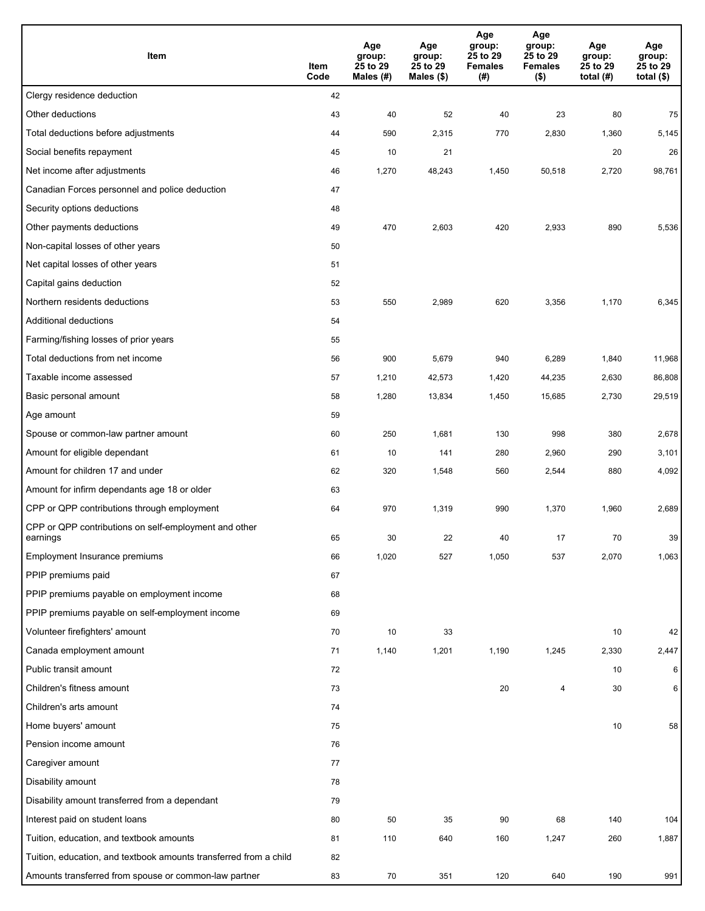| Item                                                              | Item<br>Code | Age<br>group:<br>25 to 29<br>Males $(H)$ | Age<br>group:<br>25 to 29<br>Males (\$) | Age<br>group:<br>25 to 29<br><b>Females</b><br>(# ) | Age<br>group:<br>25 to 29<br><b>Females</b><br>$($ \$) | Age<br>group:<br>25 to 29<br>total $(H)$ | Age<br>group:<br>25 to 29<br>total $($)$ |
|-------------------------------------------------------------------|--------------|------------------------------------------|-----------------------------------------|-----------------------------------------------------|--------------------------------------------------------|------------------------------------------|------------------------------------------|
| Clergy residence deduction                                        | 42           |                                          |                                         |                                                     |                                                        |                                          |                                          |
| Other deductions                                                  | 43           | 40                                       | 52                                      | 40                                                  | 23                                                     | 80                                       | 75                                       |
| Total deductions before adjustments                               | 44           | 590                                      | 2,315                                   | 770                                                 | 2,830                                                  | 1,360                                    | 5,145                                    |
| Social benefits repayment                                         | 45           | 10                                       | 21                                      |                                                     |                                                        | 20                                       | 26                                       |
| Net income after adjustments                                      | 46           | 1,270                                    | 48,243                                  | 1,450                                               | 50,518                                                 | 2,720                                    | 98,761                                   |
| Canadian Forces personnel and police deduction                    | 47           |                                          |                                         |                                                     |                                                        |                                          |                                          |
| Security options deductions                                       | 48           |                                          |                                         |                                                     |                                                        |                                          |                                          |
| Other payments deductions                                         | 49           | 470                                      | 2,603                                   | 420                                                 | 2,933                                                  | 890                                      | 5,536                                    |
| Non-capital losses of other years                                 | 50           |                                          |                                         |                                                     |                                                        |                                          |                                          |
| Net capital losses of other years                                 | 51           |                                          |                                         |                                                     |                                                        |                                          |                                          |
| Capital gains deduction                                           | 52           |                                          |                                         |                                                     |                                                        |                                          |                                          |
| Northern residents deductions                                     | 53           | 550                                      | 2,989                                   | 620                                                 | 3,356                                                  | 1,170                                    | 6,345                                    |
| Additional deductions                                             | 54           |                                          |                                         |                                                     |                                                        |                                          |                                          |
| Farming/fishing losses of prior years                             | 55           |                                          |                                         |                                                     |                                                        |                                          |                                          |
| Total deductions from net income                                  | 56           | 900                                      | 5,679                                   | 940                                                 | 6,289                                                  | 1,840                                    | 11,968                                   |
| Taxable income assessed                                           | 57           | 1,210                                    | 42,573                                  | 1,420                                               | 44,235                                                 | 2,630                                    | 86,808                                   |
| Basic personal amount                                             | 58           | 1,280                                    | 13,834                                  | 1,450                                               | 15,685                                                 | 2,730                                    | 29,519                                   |
| Age amount                                                        | 59           |                                          |                                         |                                                     |                                                        |                                          |                                          |
| Spouse or common-law partner amount                               | 60           | 250                                      | 1,681                                   | 130                                                 | 998                                                    | 380                                      | 2,678                                    |
| Amount for eligible dependant                                     | 61           | 10                                       | 141                                     | 280                                                 | 2,960                                                  | 290                                      | 3,101                                    |
| Amount for children 17 and under                                  | 62           | 320                                      | 1,548                                   | 560                                                 | 2,544                                                  | 880                                      | 4,092                                    |
| Amount for infirm dependants age 18 or older                      | 63           |                                          |                                         |                                                     |                                                        |                                          |                                          |
| CPP or QPP contributions through employment                       | 64           | 970                                      | 1,319                                   | 990                                                 | 1,370                                                  | 1,960                                    | 2,689                                    |
| CPP or QPP contributions on self-employment and other<br>earnings | 65           | 30                                       | 22                                      | 40                                                  | 17                                                     | 70                                       | 39                                       |
| Employment Insurance premiums                                     | 66           | 1,020                                    | 527                                     | 1,050                                               | 537                                                    | 2,070                                    | 1,063                                    |
| PPIP premiums paid                                                | 67           |                                          |                                         |                                                     |                                                        |                                          |                                          |
| PPIP premiums payable on employment income                        | 68           |                                          |                                         |                                                     |                                                        |                                          |                                          |
| PPIP premiums payable on self-employment income                   | 69           |                                          |                                         |                                                     |                                                        |                                          |                                          |
| Volunteer firefighters' amount                                    | 70           | 10                                       | 33                                      |                                                     |                                                        | 10                                       | 42                                       |
| Canada employment amount                                          | 71           | 1,140                                    | 1,201                                   | 1,190                                               | 1,245                                                  | 2,330                                    | 2,447                                    |
| Public transit amount                                             | 72           |                                          |                                         |                                                     |                                                        | 10                                       | 6                                        |
| Children's fitness amount                                         | 73           |                                          |                                         | 20                                                  | $\overline{\mathbf{4}}$                                | 30                                       | 6                                        |
| Children's arts amount                                            | 74           |                                          |                                         |                                                     |                                                        |                                          |                                          |
| Home buyers' amount                                               | 75           |                                          |                                         |                                                     |                                                        | 10                                       | 58                                       |
| Pension income amount                                             | 76           |                                          |                                         |                                                     |                                                        |                                          |                                          |
| Caregiver amount                                                  | 77           |                                          |                                         |                                                     |                                                        |                                          |                                          |
| Disability amount                                                 | 78           |                                          |                                         |                                                     |                                                        |                                          |                                          |
| Disability amount transferred from a dependant                    | 79           |                                          |                                         |                                                     |                                                        |                                          |                                          |
| Interest paid on student loans                                    | 80           | 50                                       | 35                                      | 90                                                  | 68                                                     | 140                                      | 104                                      |
| Tuition, education, and textbook amounts                          | 81           | 110                                      | 640                                     | 160                                                 | 1,247                                                  | 260                                      | 1,887                                    |
| Tuition, education, and textbook amounts transferred from a child | 82           |                                          |                                         |                                                     |                                                        |                                          |                                          |
| Amounts transferred from spouse or common-law partner             | 83           | 70                                       | 351                                     | 120                                                 | 640                                                    | 190                                      | 991                                      |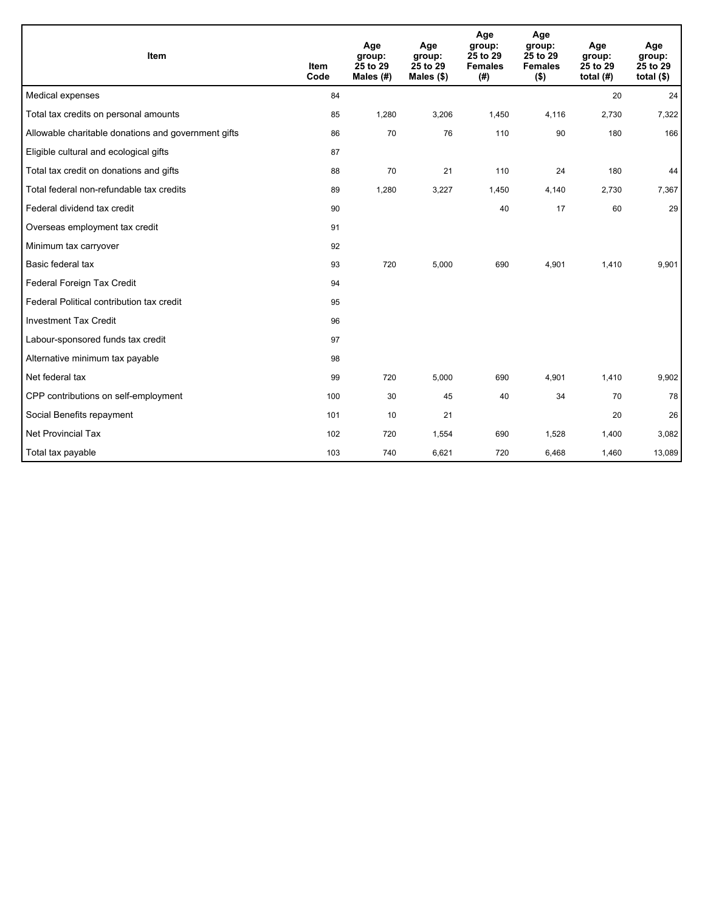| Item                                                | <b>Item</b><br>Code | Age<br>group:<br>25 to 29<br>Males (#) | Age<br>group:<br>25 to 29<br>Males (\$) | Age<br>group:<br>25 to 29<br><b>Females</b><br>(#) | Age<br>group:<br>25 to 29<br><b>Females</b><br>$($ \$) | Age<br>group:<br>25 to 29<br>total $(H)$ | Age<br>group:<br>25 to 29<br>total $($)$ |
|-----------------------------------------------------|---------------------|----------------------------------------|-----------------------------------------|----------------------------------------------------|--------------------------------------------------------|------------------------------------------|------------------------------------------|
| Medical expenses                                    | 84                  |                                        |                                         |                                                    |                                                        | 20                                       | 24                                       |
| Total tax credits on personal amounts               | 85                  | 1,280                                  | 3,206                                   | 1,450                                              | 4,116                                                  | 2,730                                    | 7,322                                    |
| Allowable charitable donations and government gifts | 86                  | 70                                     | 76                                      | 110                                                | 90                                                     | 180                                      | 166                                      |
| Eligible cultural and ecological gifts              | 87                  |                                        |                                         |                                                    |                                                        |                                          |                                          |
| Total tax credit on donations and gifts             | 88                  | 70                                     | 21                                      | 110                                                | 24                                                     | 180                                      | 44                                       |
| Total federal non-refundable tax credits            | 89                  | 1,280                                  | 3,227                                   | 1,450                                              | 4,140                                                  | 2,730                                    | 7,367                                    |
| Federal dividend tax credit                         | 90                  |                                        |                                         | 40                                                 | 17                                                     | 60                                       | 29                                       |
| Overseas employment tax credit                      | 91                  |                                        |                                         |                                                    |                                                        |                                          |                                          |
| Minimum tax carryover                               | 92                  |                                        |                                         |                                                    |                                                        |                                          |                                          |
| Basic federal tax                                   | 93                  | 720                                    | 5,000                                   | 690                                                | 4,901                                                  | 1,410                                    | 9,901                                    |
| Federal Foreign Tax Credit                          | 94                  |                                        |                                         |                                                    |                                                        |                                          |                                          |
| Federal Political contribution tax credit           | 95                  |                                        |                                         |                                                    |                                                        |                                          |                                          |
| <b>Investment Tax Credit</b>                        | 96                  |                                        |                                         |                                                    |                                                        |                                          |                                          |
| Labour-sponsored funds tax credit                   | 97                  |                                        |                                         |                                                    |                                                        |                                          |                                          |
| Alternative minimum tax payable                     | 98                  |                                        |                                         |                                                    |                                                        |                                          |                                          |
| Net federal tax                                     | 99                  | 720                                    | 5,000                                   | 690                                                | 4,901                                                  | 1,410                                    | 9,902                                    |
| CPP contributions on self-employment                | 100                 | 30                                     | 45                                      | 40                                                 | 34                                                     | 70                                       | 78                                       |
| Social Benefits repayment                           | 101                 | 10                                     | 21                                      |                                                    |                                                        | 20                                       | 26                                       |
| <b>Net Provincial Tax</b>                           | 102                 | 720                                    | 1,554                                   | 690                                                | 1,528                                                  | 1,400                                    | 3,082                                    |
| Total tax payable                                   | 103                 | 740                                    | 6,621                                   | 720                                                | 6,468                                                  | 1,460                                    | 13,089                                   |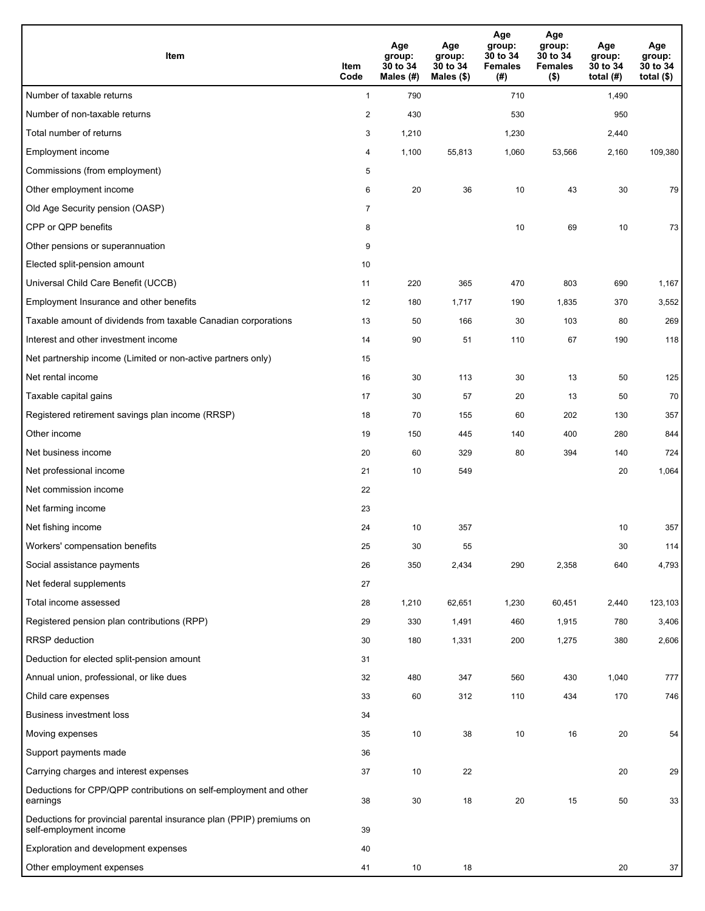| Item                                                                                           | Item<br>Code   | Age<br>group:<br>30 to 34<br>Males (#) | Age<br>group:<br>30 to 34<br>Males (\$) | Age<br>group:<br>30 to 34<br><b>Females</b><br>(# ) | Age<br>group:<br>30 to 34<br><b>Females</b><br>$($ \$) | Age<br>group:<br>30 to 34<br>total $(H)$ | Age<br>group:<br>30 to 34<br>total $($ |
|------------------------------------------------------------------------------------------------|----------------|----------------------------------------|-----------------------------------------|-----------------------------------------------------|--------------------------------------------------------|------------------------------------------|----------------------------------------|
| Number of taxable returns                                                                      | $\mathbf{1}$   | 790                                    |                                         | 710                                                 |                                                        | 1,490                                    |                                        |
| Number of non-taxable returns                                                                  | $\overline{2}$ | 430                                    |                                         | 530                                                 |                                                        | 950                                      |                                        |
| Total number of returns                                                                        | 3              | 1,210                                  |                                         | 1,230                                               |                                                        | 2,440                                    |                                        |
| Employment income                                                                              | 4              | 1,100                                  | 55,813                                  | 1,060                                               | 53,566                                                 | 2,160                                    | 109,380                                |
| Commissions (from employment)                                                                  | 5              |                                        |                                         |                                                     |                                                        |                                          |                                        |
| Other employment income                                                                        | 6              | 20                                     | 36                                      | 10                                                  | 43                                                     | 30                                       | 79                                     |
| Old Age Security pension (OASP)                                                                | $\overline{7}$ |                                        |                                         |                                                     |                                                        |                                          |                                        |
| CPP or QPP benefits                                                                            | 8              |                                        |                                         | 10                                                  | 69                                                     | 10                                       | 73                                     |
| Other pensions or superannuation                                                               | 9              |                                        |                                         |                                                     |                                                        |                                          |                                        |
| Elected split-pension amount                                                                   | 10             |                                        |                                         |                                                     |                                                        |                                          |                                        |
| Universal Child Care Benefit (UCCB)                                                            | 11             | 220                                    | 365                                     | 470                                                 | 803                                                    | 690                                      | 1,167                                  |
| Employment Insurance and other benefits                                                        | 12             | 180                                    | 1,717                                   | 190                                                 | 1,835                                                  | 370                                      | 3,552                                  |
| Taxable amount of dividends from taxable Canadian corporations                                 | 13             | 50                                     | 166                                     | 30                                                  | 103                                                    | 80                                       | 269                                    |
| Interest and other investment income                                                           | 14             | 90                                     | 51                                      | 110                                                 | 67                                                     | 190                                      | 118                                    |
| Net partnership income (Limited or non-active partners only)                                   | 15             |                                        |                                         |                                                     |                                                        |                                          |                                        |
| Net rental income                                                                              | 16             | 30                                     | 113                                     | 30                                                  | 13                                                     | 50                                       | 125                                    |
| Taxable capital gains                                                                          | 17             | 30                                     | 57                                      | 20                                                  | 13                                                     | 50                                       | 70                                     |
| Registered retirement savings plan income (RRSP)                                               | 18             | 70                                     | 155                                     | 60                                                  | 202                                                    | 130                                      | 357                                    |
| Other income                                                                                   | 19             | 150                                    | 445                                     | 140                                                 | 400                                                    | 280                                      | 844                                    |
| Net business income                                                                            | 20             | 60                                     | 329                                     | 80                                                  | 394                                                    | 140                                      | 724                                    |
| Net professional income                                                                        | 21             | 10                                     | 549                                     |                                                     |                                                        | 20                                       | 1,064                                  |
| Net commission income                                                                          | 22             |                                        |                                         |                                                     |                                                        |                                          |                                        |
| Net farming income                                                                             | 23             |                                        |                                         |                                                     |                                                        |                                          |                                        |
| Net fishing income                                                                             | 24             | 10                                     | 357                                     |                                                     |                                                        | 10                                       | 357                                    |
| Workers' compensation benefits                                                                 | 25             | 30                                     | 55                                      |                                                     |                                                        | 30                                       | 114                                    |
| Social assistance payments                                                                     | 26             | 350                                    | 2,434                                   | 290                                                 | 2,358                                                  | 640                                      | 4,793                                  |
| Net federal supplements                                                                        | 27             |                                        |                                         |                                                     |                                                        |                                          |                                        |
| Total income assessed                                                                          | 28             | 1,210                                  | 62,651                                  | 1,230                                               | 60,451                                                 | 2,440                                    | 123,103                                |
| Registered pension plan contributions (RPP)                                                    | 29             | 330                                    | 1,491                                   | 460                                                 | 1,915                                                  | 780                                      | 3,406                                  |
| <b>RRSP</b> deduction                                                                          | 30             | 180                                    | 1,331                                   | 200                                                 | 1,275                                                  | 380                                      | 2,606                                  |
| Deduction for elected split-pension amount                                                     | 31             |                                        |                                         |                                                     |                                                        |                                          |                                        |
| Annual union, professional, or like dues                                                       | 32             | 480                                    | 347                                     | 560                                                 | 430                                                    | 1,040                                    | 777                                    |
| Child care expenses                                                                            | 33             | 60                                     | 312                                     | 110                                                 | 434                                                    | 170                                      | 746                                    |
| Business investment loss                                                                       | 34             |                                        |                                         |                                                     |                                                        |                                          |                                        |
| Moving expenses                                                                                | 35             | 10                                     | 38                                      | 10                                                  | 16                                                     | 20                                       | 54                                     |
| Support payments made                                                                          | 36             |                                        |                                         |                                                     |                                                        |                                          |                                        |
| Carrying charges and interest expenses                                                         | 37             | 10                                     | 22                                      |                                                     |                                                        | 20                                       | 29                                     |
| Deductions for CPP/QPP contributions on self-employment and other<br>earnings                  | 38             | 30                                     | 18                                      | $20\,$                                              | 15                                                     | 50                                       | 33                                     |
| Deductions for provincial parental insurance plan (PPIP) premiums on<br>self-employment income | 39             |                                        |                                         |                                                     |                                                        |                                          |                                        |
| Exploration and development expenses                                                           | 40             |                                        |                                         |                                                     |                                                        |                                          |                                        |
| Other employment expenses                                                                      | 41             | 10                                     | 18                                      |                                                     |                                                        | 20                                       | 37                                     |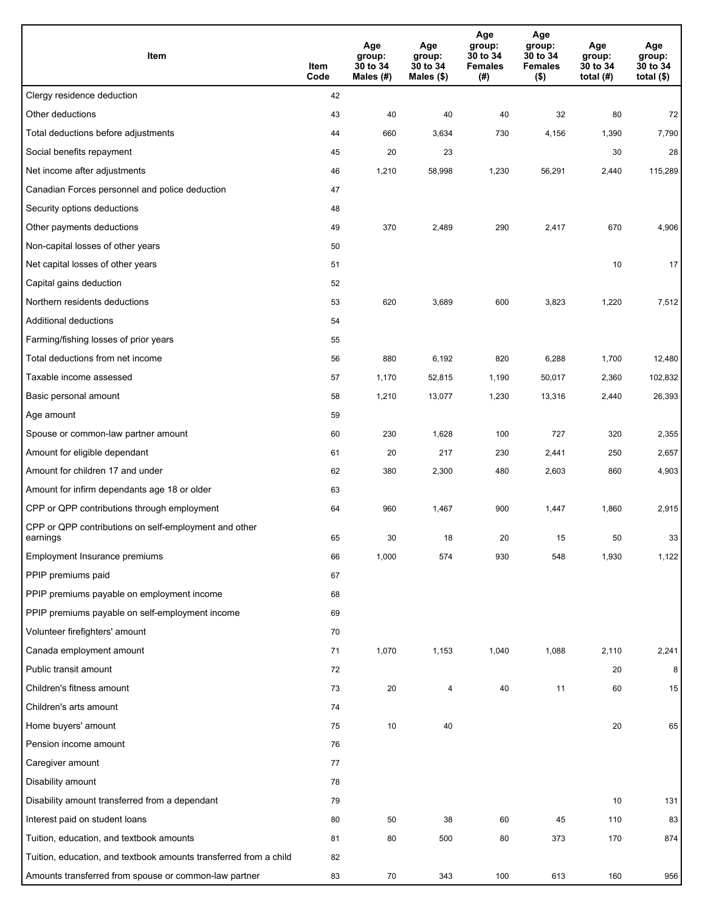| Item                                                              | Item<br>Code | Age<br>group:<br>30 to 34<br>Males (#) | Age<br>group:<br>30 to 34<br>Males (\$) | Age<br>group:<br>30 to 34<br><b>Females</b><br>(#) | Age<br>group:<br>30 to 34<br><b>Females</b><br>$($ \$) | Age<br>group:<br>30 to 34<br>total $(H)$ | Age<br>group:<br>30 to 34<br>total $($)$ |
|-------------------------------------------------------------------|--------------|----------------------------------------|-----------------------------------------|----------------------------------------------------|--------------------------------------------------------|------------------------------------------|------------------------------------------|
| Clergy residence deduction                                        | 42           |                                        |                                         |                                                    |                                                        |                                          |                                          |
| Other deductions                                                  | 43           | 40                                     | 40                                      | 40                                                 | 32                                                     | 80                                       | 72                                       |
| Total deductions before adjustments                               | 44           | 660                                    | 3,634                                   | 730                                                | 4,156                                                  | 1,390                                    | 7,790                                    |
| Social benefits repayment                                         | 45           | 20                                     | 23                                      |                                                    |                                                        | 30                                       | 28                                       |
| Net income after adjustments                                      | 46           | 1,210                                  | 58,998                                  | 1,230                                              | 56,291                                                 | 2,440                                    | 115,289                                  |
| Canadian Forces personnel and police deduction                    | 47           |                                        |                                         |                                                    |                                                        |                                          |                                          |
| Security options deductions                                       | 48           |                                        |                                         |                                                    |                                                        |                                          |                                          |
| Other payments deductions                                         | 49           | 370                                    | 2,489                                   | 290                                                | 2,417                                                  | 670                                      | 4,906                                    |
| Non-capital losses of other years                                 | 50           |                                        |                                         |                                                    |                                                        |                                          |                                          |
| Net capital losses of other years                                 | 51           |                                        |                                         |                                                    |                                                        | 10                                       | 17                                       |
| Capital gains deduction                                           | 52           |                                        |                                         |                                                    |                                                        |                                          |                                          |
| Northern residents deductions                                     | 53           | 620                                    | 3,689                                   | 600                                                | 3,823                                                  | 1,220                                    | 7,512                                    |
| Additional deductions                                             | 54           |                                        |                                         |                                                    |                                                        |                                          |                                          |
| Farming/fishing losses of prior years                             | 55           |                                        |                                         |                                                    |                                                        |                                          |                                          |
| Total deductions from net income                                  | 56           | 880                                    | 6,192                                   | 820                                                | 6,288                                                  | 1,700                                    | 12,480                                   |
| Taxable income assessed                                           | 57           | 1,170                                  | 52,815                                  | 1,190                                              | 50,017                                                 | 2,360                                    | 102,832                                  |
| Basic personal amount                                             | 58           | 1,210                                  | 13,077                                  | 1,230                                              | 13,316                                                 | 2,440                                    | 26,393                                   |
| Age amount                                                        | 59           |                                        |                                         |                                                    |                                                        |                                          |                                          |
| Spouse or common-law partner amount                               | 60           | 230                                    | 1,628                                   | 100                                                | 727                                                    | 320                                      | 2,355                                    |
| Amount for eligible dependant                                     | 61           | 20                                     | 217                                     | 230                                                | 2,441                                                  | 250                                      | 2,657                                    |
| Amount for children 17 and under                                  | 62           | 380                                    | 2,300                                   | 480                                                | 2,603                                                  | 860                                      | 4,903                                    |
| Amount for infirm dependants age 18 or older                      | 63           |                                        |                                         |                                                    |                                                        |                                          |                                          |
| CPP or QPP contributions through employment                       | 64           | 960                                    | 1,467                                   | 900                                                | 1,447                                                  | 1,860                                    | 2,915                                    |
| CPP or QPP contributions on self-employment and other<br>earnings | 65           | 30                                     | 18                                      | 20                                                 | 15                                                     | 50                                       | 33                                       |
| Employment Insurance premiums                                     | 66           | 1,000                                  | 574                                     | 930                                                | 548                                                    | 1,930                                    | 1,122                                    |
| PPIP premiums paid                                                | 67           |                                        |                                         |                                                    |                                                        |                                          |                                          |
| PPIP premiums payable on employment income                        | 68           |                                        |                                         |                                                    |                                                        |                                          |                                          |
| PPIP premiums payable on self-employment income                   | 69           |                                        |                                         |                                                    |                                                        |                                          |                                          |
| Volunteer firefighters' amount                                    | 70           |                                        |                                         |                                                    |                                                        |                                          |                                          |
| Canada employment amount                                          | 71           | 1,070                                  | 1,153                                   | 1,040                                              | 1,088                                                  | 2,110                                    | 2,241                                    |
| Public transit amount                                             | 72           |                                        |                                         |                                                    |                                                        | 20                                       | 8                                        |
| Children's fitness amount                                         | 73           | 20                                     | 4                                       | 40                                                 | 11                                                     | 60                                       | 15                                       |
| Children's arts amount                                            | 74           |                                        |                                         |                                                    |                                                        |                                          |                                          |
| Home buyers' amount                                               | 75           | $10\,$                                 | 40                                      |                                                    |                                                        | 20                                       | 65                                       |
| Pension income amount                                             | 76           |                                        |                                         |                                                    |                                                        |                                          |                                          |
| Caregiver amount                                                  | 77           |                                        |                                         |                                                    |                                                        |                                          |                                          |
| Disability amount                                                 | 78           |                                        |                                         |                                                    |                                                        |                                          |                                          |
| Disability amount transferred from a dependant                    | 79           |                                        |                                         |                                                    |                                                        | 10                                       | 131                                      |
| Interest paid on student loans                                    | 80           | 50                                     | 38                                      | 60                                                 | 45                                                     | 110                                      | 83                                       |
| Tuition, education, and textbook amounts                          | 81           | 80                                     | 500                                     | 80                                                 | 373                                                    | 170                                      | 874                                      |
| Tuition, education, and textbook amounts transferred from a child | 82           |                                        |                                         |                                                    |                                                        |                                          |                                          |
| Amounts transferred from spouse or common-law partner             | 83           | 70                                     | 343                                     | 100                                                | 613                                                    | 160                                      | 956                                      |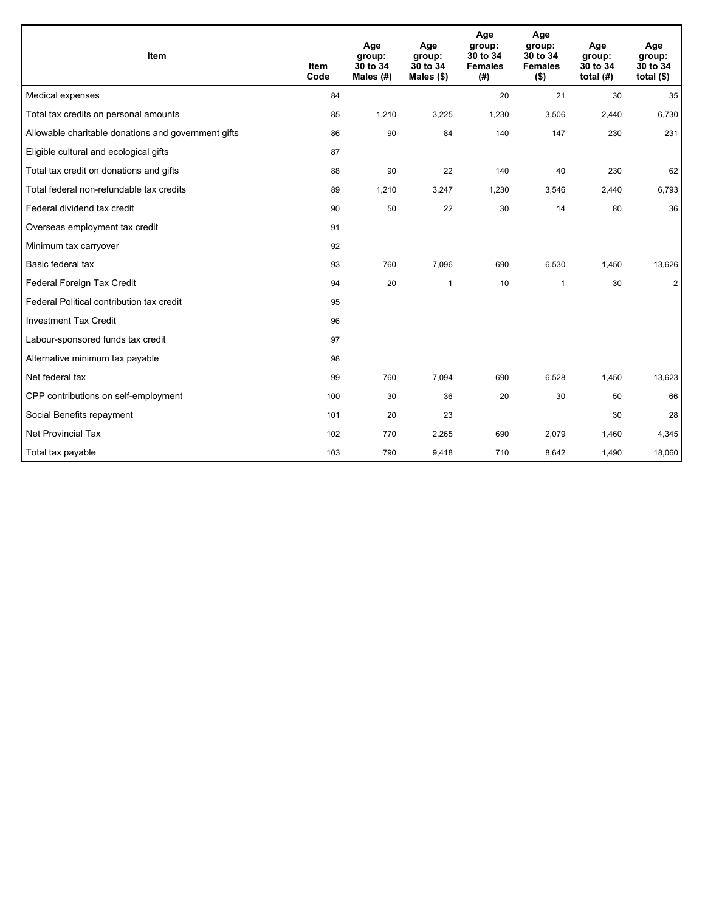| Item                                                | <b>Item</b><br>Code | Age<br>group:<br>30 to 34<br>Males $(H)$ | Age<br>group:<br>30 to 34<br>Males $(\$)$ | Age<br>group:<br>30 to 34<br><b>Females</b><br>(#) | Age<br>group:<br>30 to 34<br><b>Females</b><br>$($ \$) | Age<br>group:<br>30 to 34<br>total $(H)$ | Age<br>group:<br>30 to 34<br>total $(§)$ |
|-----------------------------------------------------|---------------------|------------------------------------------|-------------------------------------------|----------------------------------------------------|--------------------------------------------------------|------------------------------------------|------------------------------------------|
| Medical expenses                                    | 84                  |                                          |                                           | 20                                                 | 21                                                     | 30                                       | 35                                       |
| Total tax credits on personal amounts               | 85                  | 1,210                                    | 3,225                                     | 1,230                                              | 3,506                                                  | 2,440                                    | 6,730                                    |
| Allowable charitable donations and government gifts | 86                  | 90                                       | 84                                        | 140                                                | 147                                                    | 230                                      | 231                                      |
| Eligible cultural and ecological gifts              | 87                  |                                          |                                           |                                                    |                                                        |                                          |                                          |
| Total tax credit on donations and gifts             | 88                  | 90                                       | 22                                        | 140                                                | 40                                                     | 230                                      | 62                                       |
| Total federal non-refundable tax credits            | 89                  | 1,210                                    | 3,247                                     | 1,230                                              | 3,546                                                  | 2,440                                    | 6,793                                    |
| Federal dividend tax credit                         | 90                  | 50                                       | 22                                        | 30                                                 | 14                                                     | 80                                       | 36                                       |
| Overseas employment tax credit                      | 91                  |                                          |                                           |                                                    |                                                        |                                          |                                          |
| Minimum tax carryover                               | 92                  |                                          |                                           |                                                    |                                                        |                                          |                                          |
| Basic federal tax                                   | 93                  | 760                                      | 7,096                                     | 690                                                | 6,530                                                  | 1,450                                    | 13,626                                   |
| Federal Foreign Tax Credit                          | 94                  | 20                                       | $\mathbf{1}$                              | 10                                                 | $\overline{1}$                                         | 30                                       | $\overline{2}$                           |
| Federal Political contribution tax credit           | 95                  |                                          |                                           |                                                    |                                                        |                                          |                                          |
| <b>Investment Tax Credit</b>                        | 96                  |                                          |                                           |                                                    |                                                        |                                          |                                          |
| Labour-sponsored funds tax credit                   | 97                  |                                          |                                           |                                                    |                                                        |                                          |                                          |
| Alternative minimum tax payable                     | 98                  |                                          |                                           |                                                    |                                                        |                                          |                                          |
| Net federal tax                                     | 99                  | 760                                      | 7,094                                     | 690                                                | 6,528                                                  | 1,450                                    | 13,623                                   |
| CPP contributions on self-employment                | 100                 | 30                                       | 36                                        | 20                                                 | 30                                                     | 50                                       | 66                                       |
| Social Benefits repayment                           | 101                 | 20                                       | 23                                        |                                                    |                                                        | 30                                       | 28                                       |
| <b>Net Provincial Tax</b>                           | 102                 | 770                                      | 2,265                                     | 690                                                | 2,079                                                  | 1,460                                    | 4,345                                    |
| Total tax payable                                   | 103                 | 790                                      | 9,418                                     | 710                                                | 8,642                                                  | 1,490                                    | 18,060                                   |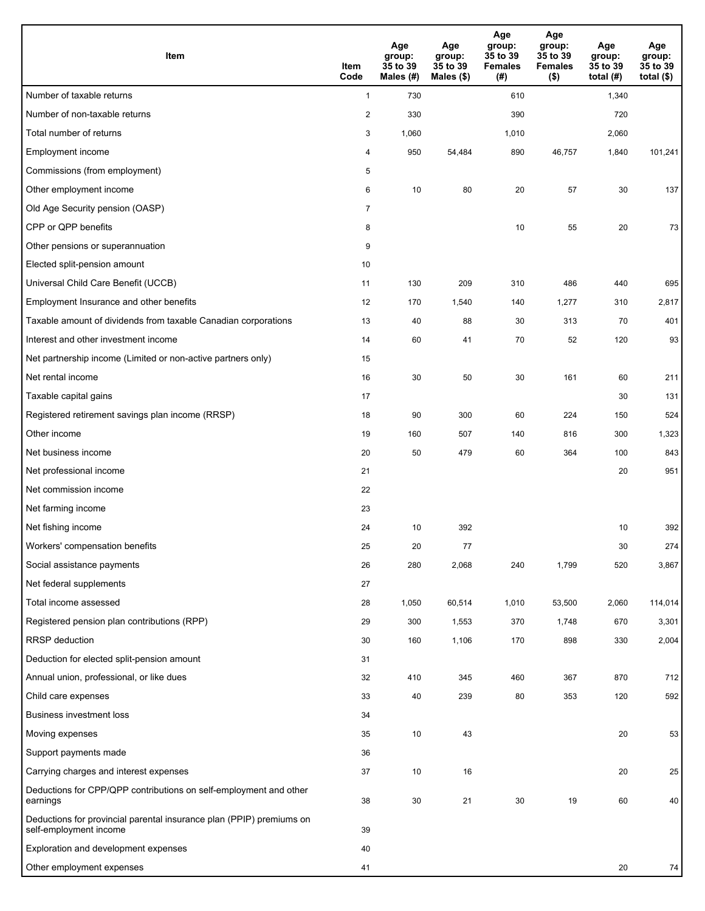| Item                                                                                           | Item<br>Code   | Age<br>group:<br>35 to 39<br>Males (#) | Age<br>group:<br>35 to 39<br>Males (\$) | Age<br>group:<br>35 to 39<br><b>Females</b><br>(# ) | Age<br>group:<br>35 to 39<br><b>Females</b><br>$($ \$) | Age<br>group:<br>35 to 39<br>total $(H)$ | Age<br>group:<br>35 to 39<br>total $($ |
|------------------------------------------------------------------------------------------------|----------------|----------------------------------------|-----------------------------------------|-----------------------------------------------------|--------------------------------------------------------|------------------------------------------|----------------------------------------|
| Number of taxable returns                                                                      | $\mathbf{1}$   | 730                                    |                                         | 610                                                 |                                                        | 1,340                                    |                                        |
| Number of non-taxable returns                                                                  | $\sqrt{2}$     | 330                                    |                                         | 390                                                 |                                                        | 720                                      |                                        |
| Total number of returns                                                                        | 3              | 1,060                                  |                                         | 1,010                                               |                                                        | 2,060                                    |                                        |
| Employment income                                                                              | 4              | 950                                    | 54,484                                  | 890                                                 | 46,757                                                 | 1,840                                    | 101,241                                |
| Commissions (from employment)                                                                  | 5              |                                        |                                         |                                                     |                                                        |                                          |                                        |
| Other employment income                                                                        | 6              | 10                                     | 80                                      | 20                                                  | 57                                                     | 30                                       | 137                                    |
| Old Age Security pension (OASP)                                                                | $\overline{7}$ |                                        |                                         |                                                     |                                                        |                                          |                                        |
| CPP or QPP benefits                                                                            | 8              |                                        |                                         | 10                                                  | 55                                                     | 20                                       | 73                                     |
| Other pensions or superannuation                                                               | 9              |                                        |                                         |                                                     |                                                        |                                          |                                        |
| Elected split-pension amount                                                                   | 10             |                                        |                                         |                                                     |                                                        |                                          |                                        |
| Universal Child Care Benefit (UCCB)                                                            | 11             | 130                                    | 209                                     | 310                                                 | 486                                                    | 440                                      | 695                                    |
| Employment Insurance and other benefits                                                        | 12             | 170                                    | 1,540                                   | 140                                                 | 1,277                                                  | 310                                      | 2,817                                  |
| Taxable amount of dividends from taxable Canadian corporations                                 | 13             | 40                                     | 88                                      | 30                                                  | 313                                                    | 70                                       | 401                                    |
| Interest and other investment income                                                           | 14             | 60                                     | 41                                      | 70                                                  | 52                                                     | 120                                      | 93                                     |
| Net partnership income (Limited or non-active partners only)                                   | 15             |                                        |                                         |                                                     |                                                        |                                          |                                        |
| Net rental income                                                                              | 16             | 30                                     | 50                                      | 30                                                  | 161                                                    | 60                                       | 211                                    |
| Taxable capital gains                                                                          | 17             |                                        |                                         |                                                     |                                                        | 30                                       | 131                                    |
| Registered retirement savings plan income (RRSP)                                               | 18             | 90                                     | 300                                     | 60                                                  | 224                                                    | 150                                      | 524                                    |
| Other income                                                                                   | 19             | 160                                    | 507                                     | 140                                                 | 816                                                    | 300                                      | 1,323                                  |
| Net business income                                                                            | 20             | 50                                     | 479                                     | 60                                                  | 364                                                    | 100                                      | 843                                    |
| Net professional income                                                                        | 21             |                                        |                                         |                                                     |                                                        | 20                                       | 951                                    |
| Net commission income                                                                          | 22             |                                        |                                         |                                                     |                                                        |                                          |                                        |
| Net farming income                                                                             | 23             |                                        |                                         |                                                     |                                                        |                                          |                                        |
| Net fishing income                                                                             | 24             | 10                                     | 392                                     |                                                     |                                                        | 10                                       | 392                                    |
| Workers' compensation benefits                                                                 | 25             | 20                                     | 77                                      |                                                     |                                                        | 30                                       | 274                                    |
| Social assistance payments                                                                     | 26             | 280                                    | 2,068                                   | 240                                                 | 1,799                                                  | 520                                      | 3,867                                  |
| Net federal supplements                                                                        | 27             |                                        |                                         |                                                     |                                                        |                                          |                                        |
| Total income assessed                                                                          | 28             | 1,050                                  | 60,514                                  | 1,010                                               | 53,500                                                 | 2,060                                    | 114,014                                |
| Registered pension plan contributions (RPP)                                                    | 29             | 300                                    | 1,553                                   | 370                                                 | 1,748                                                  | 670                                      | 3,301                                  |
| <b>RRSP</b> deduction                                                                          | 30             | 160                                    | 1,106                                   | 170                                                 | 898                                                    | 330                                      | 2,004                                  |
| Deduction for elected split-pension amount                                                     | 31             |                                        |                                         |                                                     |                                                        |                                          |                                        |
| Annual union, professional, or like dues                                                       | 32             | 410                                    | 345                                     | 460                                                 | 367                                                    | 870                                      | 712                                    |
| Child care expenses                                                                            | 33             | 40                                     | 239                                     | 80                                                  | 353                                                    | 120                                      | 592                                    |
| Business investment loss                                                                       | 34             |                                        |                                         |                                                     |                                                        |                                          |                                        |
| Moving expenses                                                                                | 35             | 10                                     | 43                                      |                                                     |                                                        | 20                                       | 53                                     |
| Support payments made                                                                          | 36             |                                        |                                         |                                                     |                                                        |                                          |                                        |
| Carrying charges and interest expenses                                                         | 37             | 10                                     | 16                                      |                                                     |                                                        | 20                                       | 25                                     |
| Deductions for CPP/QPP contributions on self-employment and other<br>earnings                  | 38             | 30                                     | 21                                      | 30                                                  | 19                                                     | 60                                       | 40                                     |
| Deductions for provincial parental insurance plan (PPIP) premiums on<br>self-employment income | 39             |                                        |                                         |                                                     |                                                        |                                          |                                        |
| Exploration and development expenses                                                           | 40             |                                        |                                         |                                                     |                                                        |                                          |                                        |
| Other employment expenses                                                                      | 41             |                                        |                                         |                                                     |                                                        | 20                                       | 74                                     |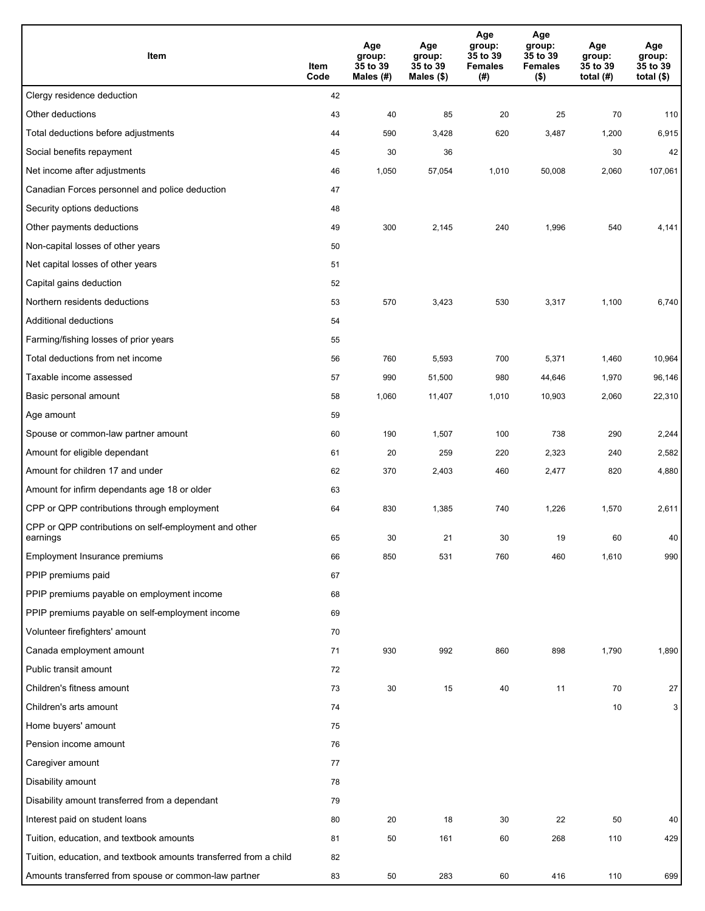| Item                                                              | Item<br>Code | Age<br>group:<br>35 to 39<br>Males $(H)$ | Age<br>group:<br>35 to 39<br>Males (\$) | Age<br>group:<br>35 to 39<br><b>Females</b><br>(#) | Age<br>group:<br>35 to 39<br><b>Females</b><br>$($ \$) | Age<br>group:<br>35 to 39<br>total $(H)$ | Age<br>group:<br>35 to 39<br>total $($)$ |
|-------------------------------------------------------------------|--------------|------------------------------------------|-----------------------------------------|----------------------------------------------------|--------------------------------------------------------|------------------------------------------|------------------------------------------|
| Clergy residence deduction                                        | 42           |                                          |                                         |                                                    |                                                        |                                          |                                          |
| Other deductions                                                  | 43           | 40                                       | 85                                      | 20                                                 | 25                                                     | 70                                       | 110                                      |
| Total deductions before adjustments                               | 44           | 590                                      | 3,428                                   | 620                                                | 3,487                                                  | 1,200                                    | 6,915                                    |
| Social benefits repayment                                         | 45           | 30                                       | 36                                      |                                                    |                                                        | 30                                       | 42                                       |
| Net income after adjustments                                      | 46           | 1,050                                    | 57,054                                  | 1,010                                              | 50,008                                                 | 2,060                                    | 107,061                                  |
| Canadian Forces personnel and police deduction                    | 47           |                                          |                                         |                                                    |                                                        |                                          |                                          |
| Security options deductions                                       | 48           |                                          |                                         |                                                    |                                                        |                                          |                                          |
| Other payments deductions                                         | 49           | 300                                      | 2,145                                   | 240                                                | 1,996                                                  | 540                                      | 4,141                                    |
| Non-capital losses of other years                                 | 50           |                                          |                                         |                                                    |                                                        |                                          |                                          |
| Net capital losses of other years                                 | 51           |                                          |                                         |                                                    |                                                        |                                          |                                          |
| Capital gains deduction                                           | 52           |                                          |                                         |                                                    |                                                        |                                          |                                          |
| Northern residents deductions                                     | 53           | 570                                      | 3,423                                   | 530                                                | 3,317                                                  | 1,100                                    | 6,740                                    |
| Additional deductions                                             | 54           |                                          |                                         |                                                    |                                                        |                                          |                                          |
| Farming/fishing losses of prior years                             | 55           |                                          |                                         |                                                    |                                                        |                                          |                                          |
| Total deductions from net income                                  | 56           | 760                                      | 5,593                                   | 700                                                | 5,371                                                  | 1,460                                    | 10,964                                   |
| Taxable income assessed                                           | 57           | 990                                      | 51,500                                  | 980                                                | 44,646                                                 | 1,970                                    | 96,146                                   |
| Basic personal amount                                             | 58           | 1,060                                    | 11,407                                  | 1,010                                              | 10,903                                                 | 2,060                                    | 22,310                                   |
| Age amount                                                        | 59           |                                          |                                         |                                                    |                                                        |                                          |                                          |
| Spouse or common-law partner amount                               | 60           | 190                                      | 1,507                                   | 100                                                | 738                                                    | 290                                      | 2,244                                    |
| Amount for eligible dependant                                     | 61           | 20                                       | 259                                     | 220                                                | 2,323                                                  | 240                                      | 2,582                                    |
| Amount for children 17 and under                                  | 62           | 370                                      | 2,403                                   | 460                                                | 2,477                                                  | 820                                      | 4,880                                    |
| Amount for infirm dependants age 18 or older                      | 63           |                                          |                                         |                                                    |                                                        |                                          |                                          |
| CPP or QPP contributions through employment                       | 64           | 830                                      | 1,385                                   | 740                                                | 1,226                                                  | 1,570                                    | 2,611                                    |
| CPP or QPP contributions on self-employment and other<br>earnings | 65           | 30                                       | 21                                      | 30                                                 | 19                                                     | 60                                       | 40                                       |
| Employment Insurance premiums                                     | 66           | 850                                      | 531                                     | 760                                                | 460                                                    | 1,610                                    | 990                                      |
| PPIP premiums paid                                                | 67           |                                          |                                         |                                                    |                                                        |                                          |                                          |
| PPIP premiums payable on employment income                        | 68           |                                          |                                         |                                                    |                                                        |                                          |                                          |
| PPIP premiums payable on self-employment income                   | 69           |                                          |                                         |                                                    |                                                        |                                          |                                          |
| Volunteer firefighters' amount                                    | 70           |                                          |                                         |                                                    |                                                        |                                          |                                          |
| Canada employment amount                                          | 71           | 930                                      | 992                                     | 860                                                | 898                                                    | 1,790                                    | 1,890                                    |
| Public transit amount                                             | 72           |                                          |                                         |                                                    |                                                        |                                          |                                          |
| Children's fitness amount                                         | 73           | 30                                       | 15                                      | 40                                                 | 11                                                     | 70                                       | 27                                       |
| Children's arts amount                                            | 74           |                                          |                                         |                                                    |                                                        | 10                                       | 3                                        |
| Home buyers' amount                                               | 75           |                                          |                                         |                                                    |                                                        |                                          |                                          |
| Pension income amount                                             | 76           |                                          |                                         |                                                    |                                                        |                                          |                                          |
| Caregiver amount                                                  | 77           |                                          |                                         |                                                    |                                                        |                                          |                                          |
| Disability amount                                                 | 78           |                                          |                                         |                                                    |                                                        |                                          |                                          |
| Disability amount transferred from a dependant                    | 79           |                                          |                                         |                                                    |                                                        |                                          |                                          |
| Interest paid on student loans                                    | 80           | 20                                       | 18                                      | 30                                                 | 22                                                     | 50                                       | 40                                       |
| Tuition, education, and textbook amounts                          | 81           | 50                                       | 161                                     | 60                                                 | 268                                                    | 110                                      | 429                                      |
| Tuition, education, and textbook amounts transferred from a child | 82           |                                          |                                         |                                                    |                                                        |                                          |                                          |
| Amounts transferred from spouse or common-law partner             | 83           | 50                                       | 283                                     | 60                                                 | 416                                                    | 110                                      | 699                                      |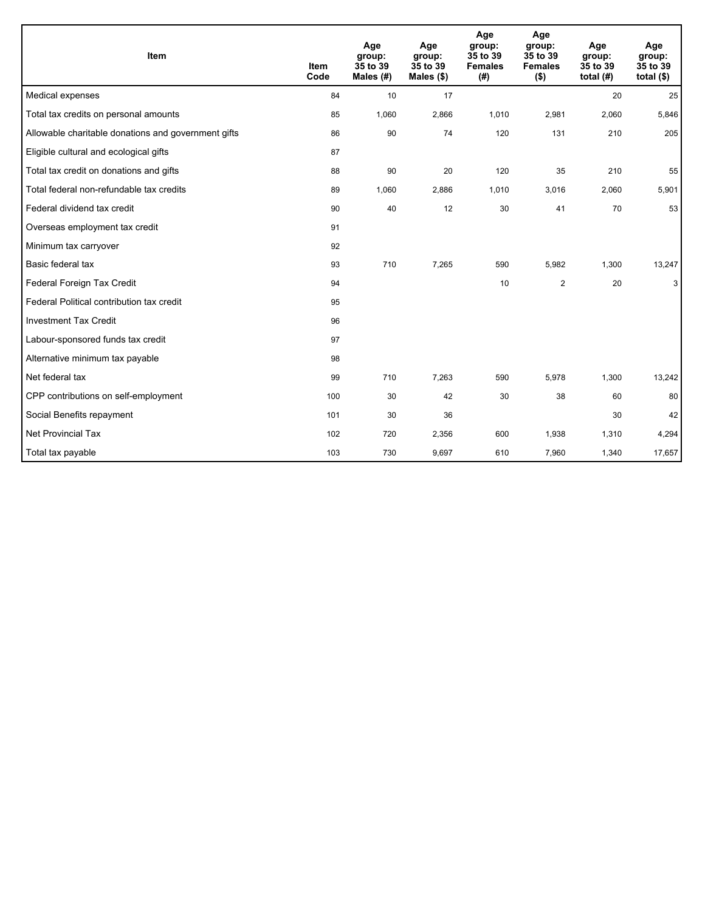| Item                                                | <b>Item</b><br>Code | Age<br>group:<br>35 to 39<br>Males $(H)$ | Age<br>group:<br>35 to 39<br>Males $(\$)$ | Age<br>group:<br>35 to 39<br><b>Females</b><br>(#) | Age<br>group:<br>35 to 39<br><b>Females</b><br>$($ \$) | Age<br>group:<br>35 to 39<br>total $(H)$ | Age<br>group:<br>35 to 39<br>total $(§)$ |
|-----------------------------------------------------|---------------------|------------------------------------------|-------------------------------------------|----------------------------------------------------|--------------------------------------------------------|------------------------------------------|------------------------------------------|
| Medical expenses                                    | 84                  | 10                                       | 17                                        |                                                    |                                                        | 20                                       | 25                                       |
| Total tax credits on personal amounts               | 85                  | 1,060                                    | 2,866                                     | 1,010                                              | 2,981                                                  | 2,060                                    | 5,846                                    |
| Allowable charitable donations and government gifts | 86                  | 90                                       | 74                                        | 120                                                | 131                                                    | 210                                      | 205                                      |
| Eligible cultural and ecological gifts              | 87                  |                                          |                                           |                                                    |                                                        |                                          |                                          |
| Total tax credit on donations and gifts             | 88                  | 90                                       | 20                                        | 120                                                | 35                                                     | 210                                      | 55                                       |
| Total federal non-refundable tax credits            | 89                  | 1,060                                    | 2,886                                     | 1,010                                              | 3,016                                                  | 2,060                                    | 5,901                                    |
| Federal dividend tax credit                         | 90                  | 40                                       | 12                                        | 30                                                 | 41                                                     | 70                                       | 53                                       |
| Overseas employment tax credit                      | 91                  |                                          |                                           |                                                    |                                                        |                                          |                                          |
| Minimum tax carryover                               | 92                  |                                          |                                           |                                                    |                                                        |                                          |                                          |
| Basic federal tax                                   | 93                  | 710                                      | 7,265                                     | 590                                                | 5,982                                                  | 1,300                                    | 13,247                                   |
| Federal Foreign Tax Credit                          | 94                  |                                          |                                           | 10                                                 | $\overline{2}$                                         | 20                                       | 3                                        |
| Federal Political contribution tax credit           | 95                  |                                          |                                           |                                                    |                                                        |                                          |                                          |
| <b>Investment Tax Credit</b>                        | 96                  |                                          |                                           |                                                    |                                                        |                                          |                                          |
| Labour-sponsored funds tax credit                   | 97                  |                                          |                                           |                                                    |                                                        |                                          |                                          |
| Alternative minimum tax payable                     | 98                  |                                          |                                           |                                                    |                                                        |                                          |                                          |
| Net federal tax                                     | 99                  | 710                                      | 7,263                                     | 590                                                | 5,978                                                  | 1,300                                    | 13,242                                   |
| CPP contributions on self-employment                | 100                 | 30                                       | 42                                        | 30                                                 | 38                                                     | 60                                       | 80                                       |
| Social Benefits repayment                           | 101                 | 30                                       | 36                                        |                                                    |                                                        | 30                                       | 42                                       |
| <b>Net Provincial Tax</b>                           | 102                 | 720                                      | 2,356                                     | 600                                                | 1,938                                                  | 1,310                                    | 4,294                                    |
| Total tax payable                                   | 103                 | 730                                      | 9,697                                     | 610                                                | 7,960                                                  | 1,340                                    | 17,657                                   |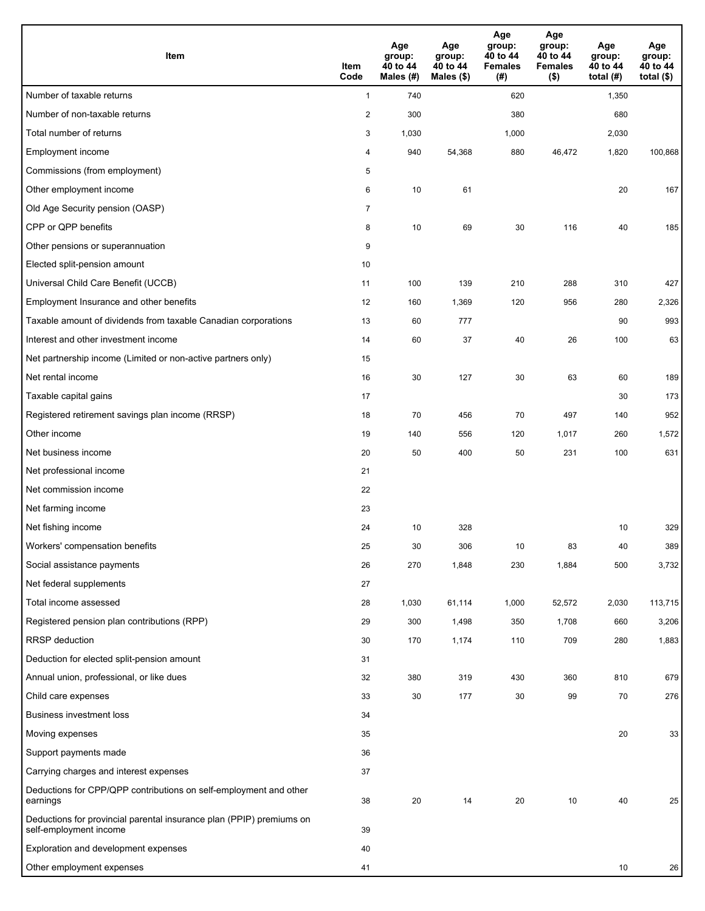| Item                                                                                           | Item<br>Code   | Age<br>group:<br>40 to 44<br>Males (#) | Age<br>group:<br>40 to 44<br>Males (\$) | Age<br>group:<br>40 to 44<br><b>Females</b><br>(# ) | Age<br>group:<br>40 to 44<br><b>Females</b><br>$($ \$) | Age<br>group:<br>40 to 44<br>total $(H)$ | Age<br>group:<br>40 to 44<br>total $($ |
|------------------------------------------------------------------------------------------------|----------------|----------------------------------------|-----------------------------------------|-----------------------------------------------------|--------------------------------------------------------|------------------------------------------|----------------------------------------|
| Number of taxable returns                                                                      | $\mathbf{1}$   | 740                                    |                                         | 620                                                 |                                                        | 1,350                                    |                                        |
| Number of non-taxable returns                                                                  | $\sqrt{2}$     | 300                                    |                                         | 380                                                 |                                                        | 680                                      |                                        |
| Total number of returns                                                                        | 3              | 1,030                                  |                                         | 1,000                                               |                                                        | 2,030                                    |                                        |
| Employment income                                                                              | 4              | 940                                    | 54,368                                  | 880                                                 | 46,472                                                 | 1,820                                    | 100,868                                |
| Commissions (from employment)                                                                  | 5              |                                        |                                         |                                                     |                                                        |                                          |                                        |
| Other employment income                                                                        | 6              | 10                                     | 61                                      |                                                     |                                                        | 20                                       | 167                                    |
| Old Age Security pension (OASP)                                                                | $\overline{7}$ |                                        |                                         |                                                     |                                                        |                                          |                                        |
| CPP or QPP benefits                                                                            | 8              | 10                                     | 69                                      | 30                                                  | 116                                                    | 40                                       | 185                                    |
| Other pensions or superannuation                                                               | 9              |                                        |                                         |                                                     |                                                        |                                          |                                        |
| Elected split-pension amount                                                                   | 10             |                                        |                                         |                                                     |                                                        |                                          |                                        |
| Universal Child Care Benefit (UCCB)                                                            | 11             | 100                                    | 139                                     | 210                                                 | 288                                                    | 310                                      | 427                                    |
| Employment Insurance and other benefits                                                        | 12             | 160                                    | 1,369                                   | 120                                                 | 956                                                    | 280                                      | 2,326                                  |
| Taxable amount of dividends from taxable Canadian corporations                                 | 13             | 60                                     | 777                                     |                                                     |                                                        | 90                                       | 993                                    |
| Interest and other investment income                                                           | 14             | 60                                     | 37                                      | 40                                                  | 26                                                     | 100                                      | 63                                     |
| Net partnership income (Limited or non-active partners only)                                   | 15             |                                        |                                         |                                                     |                                                        |                                          |                                        |
| Net rental income                                                                              | 16             | 30                                     | 127                                     | 30                                                  | 63                                                     | 60                                       | 189                                    |
| Taxable capital gains                                                                          | 17             |                                        |                                         |                                                     |                                                        | 30                                       | 173                                    |
| Registered retirement savings plan income (RRSP)                                               | 18             | 70                                     | 456                                     | 70                                                  | 497                                                    | 140                                      | 952                                    |
| Other income                                                                                   | 19             | 140                                    | 556                                     | 120                                                 | 1,017                                                  | 260                                      | 1,572                                  |
| Net business income                                                                            | 20             | 50                                     | 400                                     | 50                                                  | 231                                                    | 100                                      | 631                                    |
| Net professional income                                                                        | 21             |                                        |                                         |                                                     |                                                        |                                          |                                        |
| Net commission income                                                                          | 22             |                                        |                                         |                                                     |                                                        |                                          |                                        |
| Net farming income                                                                             | 23             |                                        |                                         |                                                     |                                                        |                                          |                                        |
| Net fishing income                                                                             | 24             | 10                                     | 328                                     |                                                     |                                                        | 10                                       | 329                                    |
| Workers' compensation benefits                                                                 | 25             | 30                                     | 306                                     | 10                                                  | 83                                                     | 40                                       | 389                                    |
| Social assistance payments                                                                     | 26             | 270                                    | 1,848                                   | 230                                                 | 1,884                                                  | 500                                      | 3,732                                  |
| Net federal supplements                                                                        | 27             |                                        |                                         |                                                     |                                                        |                                          |                                        |
| Total income assessed                                                                          | 28             | 1,030                                  | 61,114                                  | 1,000                                               | 52,572                                                 | 2,030                                    | 113,715                                |
| Registered pension plan contributions (RPP)                                                    | 29             | 300                                    | 1,498                                   | 350                                                 | 1,708                                                  | 660                                      | 3,206                                  |
| <b>RRSP</b> deduction                                                                          | 30             | 170                                    | 1,174                                   | 110                                                 | 709                                                    | 280                                      | 1,883                                  |
| Deduction for elected split-pension amount                                                     | 31             |                                        |                                         |                                                     |                                                        |                                          |                                        |
| Annual union, professional, or like dues                                                       | 32             | 380                                    | 319                                     | 430                                                 | 360                                                    | 810                                      | 679                                    |
| Child care expenses                                                                            | 33             | 30                                     | 177                                     | 30                                                  | 99                                                     | 70                                       | 276                                    |
| Business investment loss                                                                       | 34             |                                        |                                         |                                                     |                                                        |                                          |                                        |
| Moving expenses                                                                                | 35             |                                        |                                         |                                                     |                                                        | 20                                       | 33                                     |
| Support payments made                                                                          | 36             |                                        |                                         |                                                     |                                                        |                                          |                                        |
| Carrying charges and interest expenses                                                         | 37             |                                        |                                         |                                                     |                                                        |                                          |                                        |
| Deductions for CPP/QPP contributions on self-employment and other<br>earnings                  | 38             | 20                                     | 14                                      | 20                                                  | 10                                                     | 40                                       | 25                                     |
| Deductions for provincial parental insurance plan (PPIP) premiums on<br>self-employment income | 39             |                                        |                                         |                                                     |                                                        |                                          |                                        |
| Exploration and development expenses                                                           | 40             |                                        |                                         |                                                     |                                                        |                                          |                                        |
| Other employment expenses                                                                      | 41             |                                        |                                         |                                                     |                                                        | 10                                       | 26                                     |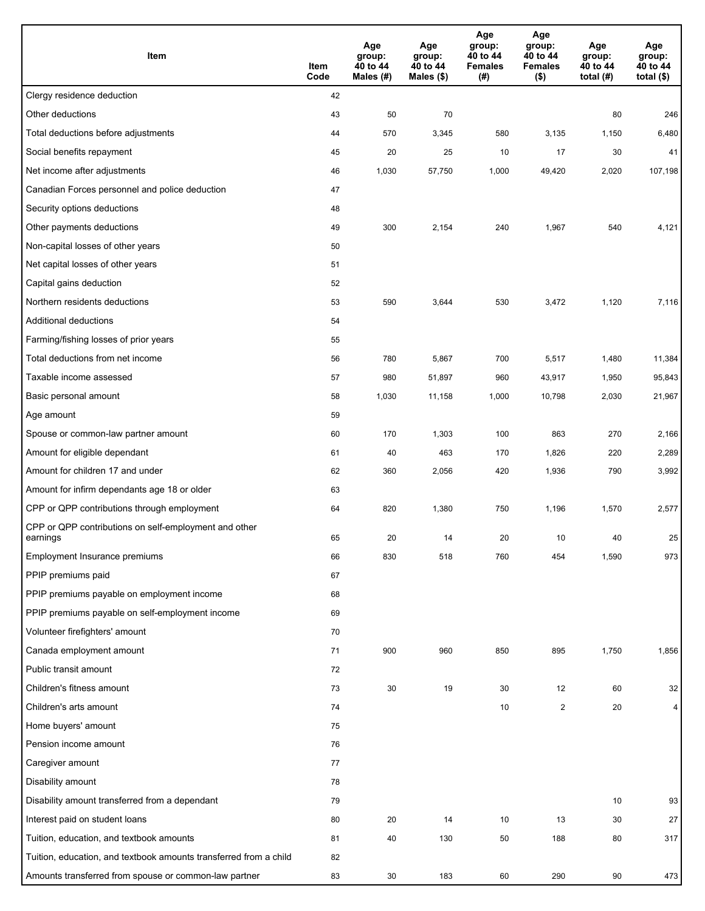| Item                                                              | Item<br>Code | Age<br>group:<br>40 to 44<br>Males (#) | Age<br>group:<br>40 to 44<br>Males (\$) | Age<br>group:<br>40 to 44<br><b>Females</b><br>(# ) | Age<br>group:<br>40 to 44<br><b>Females</b><br>$($ \$) | Age<br>group:<br>40 to 44<br>total $(H)$ | Age<br>group:<br>40 to 44<br>total $($)$ |
|-------------------------------------------------------------------|--------------|----------------------------------------|-----------------------------------------|-----------------------------------------------------|--------------------------------------------------------|------------------------------------------|------------------------------------------|
| Clergy residence deduction                                        | 42           |                                        |                                         |                                                     |                                                        |                                          |                                          |
| Other deductions                                                  | 43           | 50                                     | 70                                      |                                                     |                                                        | 80                                       | 246                                      |
| Total deductions before adjustments                               | 44           | 570                                    | 3,345                                   | 580                                                 | 3,135                                                  | 1,150                                    | 6,480                                    |
| Social benefits repayment                                         | 45           | 20                                     | 25                                      | 10                                                  | 17                                                     | 30                                       | 41                                       |
| Net income after adjustments                                      | 46           | 1,030                                  | 57,750                                  | 1,000                                               | 49,420                                                 | 2,020                                    | 107,198                                  |
| Canadian Forces personnel and police deduction                    | 47           |                                        |                                         |                                                     |                                                        |                                          |                                          |
| Security options deductions                                       | 48           |                                        |                                         |                                                     |                                                        |                                          |                                          |
| Other payments deductions                                         | 49           | 300                                    | 2,154                                   | 240                                                 | 1,967                                                  | 540                                      | 4,121                                    |
| Non-capital losses of other years                                 | 50           |                                        |                                         |                                                     |                                                        |                                          |                                          |
| Net capital losses of other years                                 | 51           |                                        |                                         |                                                     |                                                        |                                          |                                          |
| Capital gains deduction                                           | 52           |                                        |                                         |                                                     |                                                        |                                          |                                          |
| Northern residents deductions                                     | 53           | 590                                    | 3,644                                   | 530                                                 | 3,472                                                  | 1,120                                    | 7,116                                    |
| Additional deductions                                             | 54           |                                        |                                         |                                                     |                                                        |                                          |                                          |
| Farming/fishing losses of prior years                             | 55           |                                        |                                         |                                                     |                                                        |                                          |                                          |
| Total deductions from net income                                  | 56           | 780                                    | 5,867                                   | 700                                                 | 5,517                                                  | 1,480                                    | 11,384                                   |
| Taxable income assessed                                           | 57           | 980                                    | 51,897                                  | 960                                                 | 43,917                                                 | 1,950                                    | 95,843                                   |
| Basic personal amount                                             | 58           | 1,030                                  | 11,158                                  | 1,000                                               | 10,798                                                 | 2,030                                    | 21,967                                   |
| Age amount                                                        | 59           |                                        |                                         |                                                     |                                                        |                                          |                                          |
| Spouse or common-law partner amount                               | 60           | 170                                    | 1,303                                   | 100                                                 | 863                                                    | 270                                      | 2,166                                    |
| Amount for eligible dependant                                     | 61           | 40                                     | 463                                     | 170                                                 | 1,826                                                  | 220                                      | 2,289                                    |
| Amount for children 17 and under                                  | 62           | 360                                    | 2,056                                   | 420                                                 | 1,936                                                  | 790                                      | 3,992                                    |
| Amount for infirm dependants age 18 or older                      | 63           |                                        |                                         |                                                     |                                                        |                                          |                                          |
| CPP or QPP contributions through employment                       | 64           | 820                                    | 1,380                                   | 750                                                 | 1,196                                                  | 1,570                                    | 2,577                                    |
| CPP or QPP contributions on self-employment and other<br>earnings | 65           | 20                                     | 14                                      | 20                                                  | 10                                                     | 40                                       | 25                                       |
| Employment Insurance premiums                                     | 66           | 830                                    | 518                                     | 760                                                 | 454                                                    | 1,590                                    | 973                                      |
| PPIP premiums paid                                                | 67           |                                        |                                         |                                                     |                                                        |                                          |                                          |
| PPIP premiums payable on employment income                        | 68           |                                        |                                         |                                                     |                                                        |                                          |                                          |
| PPIP premiums payable on self-employment income                   | 69           |                                        |                                         |                                                     |                                                        |                                          |                                          |
| Volunteer firefighters' amount                                    | 70           |                                        |                                         |                                                     |                                                        |                                          |                                          |
| Canada employment amount                                          | 71           | 900                                    | 960                                     | 850                                                 | 895                                                    | 1,750                                    | 1,856                                    |
| Public transit amount                                             | 72           |                                        |                                         |                                                     |                                                        |                                          |                                          |
| Children's fitness amount                                         | 73           | 30                                     | 19                                      | 30                                                  | 12                                                     | 60                                       | 32                                       |
| Children's arts amount                                            | 74           |                                        |                                         | 10                                                  | $\overline{2}$                                         | 20                                       | 4                                        |
| Home buyers' amount                                               | 75           |                                        |                                         |                                                     |                                                        |                                          |                                          |
| Pension income amount                                             | 76           |                                        |                                         |                                                     |                                                        |                                          |                                          |
| Caregiver amount                                                  | 77           |                                        |                                         |                                                     |                                                        |                                          |                                          |
| Disability amount                                                 | 78           |                                        |                                         |                                                     |                                                        |                                          |                                          |
| Disability amount transferred from a dependant                    | 79           |                                        |                                         |                                                     |                                                        | 10                                       | 93                                       |
| Interest paid on student loans                                    | 80           | 20                                     | 14                                      | 10                                                  | 13                                                     | 30                                       | 27                                       |
| Tuition, education, and textbook amounts                          | 81           | 40                                     | 130                                     | 50                                                  | 188                                                    | 80                                       | 317                                      |
| Tuition, education, and textbook amounts transferred from a child | 82           |                                        |                                         |                                                     |                                                        |                                          |                                          |
| Amounts transferred from spouse or common-law partner             | 83           | 30                                     | 183                                     | 60                                                  | 290                                                    | 90                                       | 473                                      |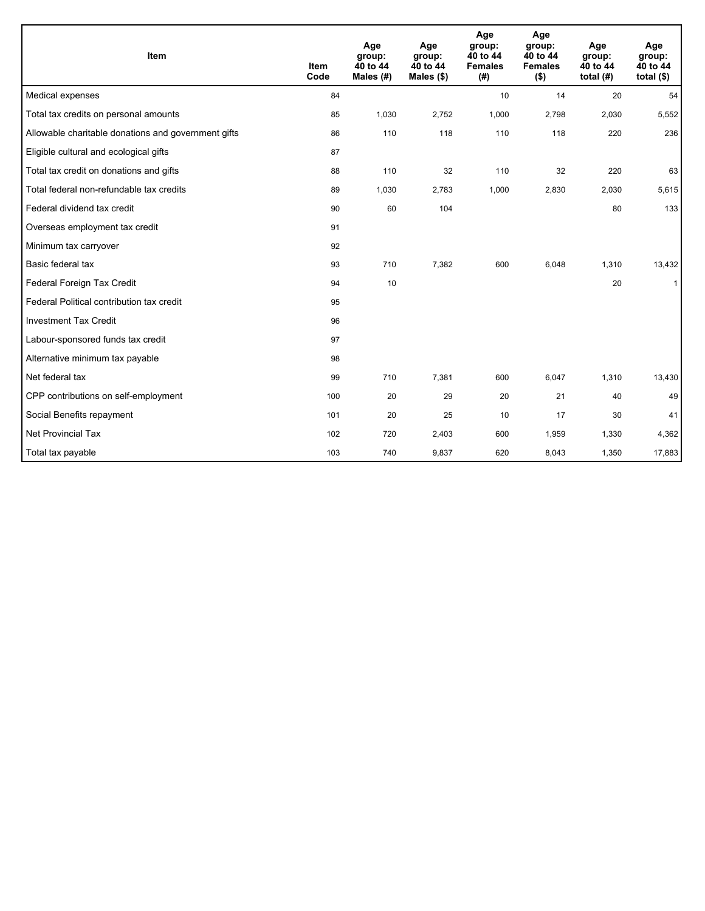| Item                                                | <b>Item</b><br>Code | Age<br>group:<br>40 to 44<br>Males (#) | Age<br>group:<br>40 to 44<br>Males $(\$)$ | Age<br>group:<br>40 to 44<br><b>Females</b><br>(#) | Age<br>group:<br>40 to 44<br><b>Females</b><br>( \$) | Age<br>group:<br>40 to 44<br>total $(H)$ | Age<br>group:<br>40 to 44<br>total $($)$ |
|-----------------------------------------------------|---------------------|----------------------------------------|-------------------------------------------|----------------------------------------------------|------------------------------------------------------|------------------------------------------|------------------------------------------|
| Medical expenses                                    | 84                  |                                        |                                           | 10                                                 | 14                                                   | 20                                       | 54                                       |
| Total tax credits on personal amounts               | 85                  | 1,030                                  | 2,752                                     | 1,000                                              | 2,798                                                | 2,030                                    | 5,552                                    |
| Allowable charitable donations and government gifts | 86                  | 110                                    | 118                                       | 110                                                | 118                                                  | 220                                      | 236                                      |
| Eligible cultural and ecological gifts              | 87                  |                                        |                                           |                                                    |                                                      |                                          |                                          |
| Total tax credit on donations and gifts             | 88                  | 110                                    | 32                                        | 110                                                | 32                                                   | 220                                      | 63                                       |
| Total federal non-refundable tax credits            | 89                  | 1,030                                  | 2,783                                     | 1,000                                              | 2,830                                                | 2,030                                    | 5,615                                    |
| Federal dividend tax credit                         | 90                  | 60                                     | 104                                       |                                                    |                                                      | 80                                       | 133                                      |
| Overseas employment tax credit                      | 91                  |                                        |                                           |                                                    |                                                      |                                          |                                          |
| Minimum tax carryover                               | 92                  |                                        |                                           |                                                    |                                                      |                                          |                                          |
| Basic federal tax                                   | 93                  | 710                                    | 7,382                                     | 600                                                | 6,048                                                | 1,310                                    | 13,432                                   |
| Federal Foreign Tax Credit                          | 94                  | 10                                     |                                           |                                                    |                                                      | 20                                       | $\mathbf{1}$                             |
| Federal Political contribution tax credit           | 95                  |                                        |                                           |                                                    |                                                      |                                          |                                          |
| <b>Investment Tax Credit</b>                        | 96                  |                                        |                                           |                                                    |                                                      |                                          |                                          |
| Labour-sponsored funds tax credit                   | 97                  |                                        |                                           |                                                    |                                                      |                                          |                                          |
| Alternative minimum tax payable                     | 98                  |                                        |                                           |                                                    |                                                      |                                          |                                          |
| Net federal tax                                     | 99                  | 710                                    | 7,381                                     | 600                                                | 6,047                                                | 1,310                                    | 13,430                                   |
| CPP contributions on self-employment                | 100                 | 20                                     | 29                                        | 20                                                 | 21                                                   | 40                                       | 49                                       |
| Social Benefits repayment                           | 101                 | 20                                     | 25                                        | 10                                                 | 17                                                   | 30                                       | 41                                       |
| Net Provincial Tax                                  | 102                 | 720                                    | 2,403                                     | 600                                                | 1,959                                                | 1,330                                    | 4,362                                    |
| Total tax payable                                   | 103                 | 740                                    | 9,837                                     | 620                                                | 8,043                                                | 1,350                                    | 17,883                                   |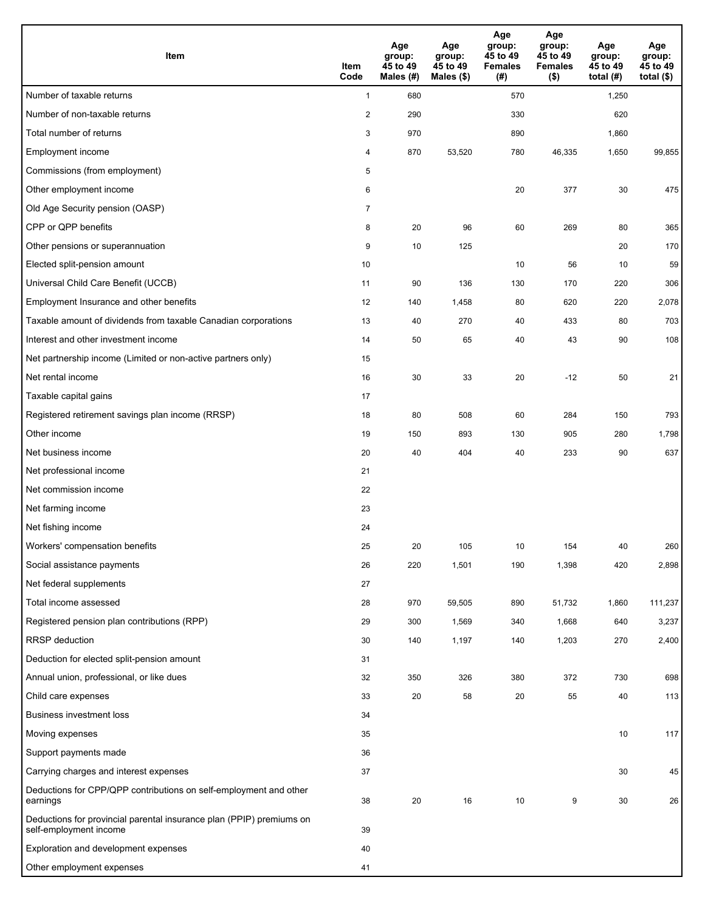| <b>Item</b>                                                                                    | Item<br>Code   | Age<br>group:<br>45 to 49<br>Males (#) | Age<br>group:<br>45 to 49<br>Males $(\$)$ | Age<br>group:<br>45 to 49<br><b>Females</b><br>(# ) | Age<br>group:<br>45 to 49<br><b>Females</b><br>$($ \$) | Age<br>group:<br>45 to 49<br>total $(H)$ | Age<br>group:<br>45 to 49<br>total $($)$ |
|------------------------------------------------------------------------------------------------|----------------|----------------------------------------|-------------------------------------------|-----------------------------------------------------|--------------------------------------------------------|------------------------------------------|------------------------------------------|
| Number of taxable returns                                                                      | $\mathbf{1}$   | 680                                    |                                           | 570                                                 |                                                        | 1,250                                    |                                          |
| Number of non-taxable returns                                                                  | $\sqrt{2}$     | 290                                    |                                           | 330                                                 |                                                        | 620                                      |                                          |
| Total number of returns                                                                        | 3              | 970                                    |                                           | 890                                                 |                                                        | 1,860                                    |                                          |
| Employment income                                                                              | 4              | 870                                    | 53,520                                    | 780                                                 | 46,335                                                 | 1,650                                    | 99,855                                   |
| Commissions (from employment)                                                                  | 5              |                                        |                                           |                                                     |                                                        |                                          |                                          |
| Other employment income                                                                        | 6              |                                        |                                           | 20                                                  | 377                                                    | 30                                       | 475                                      |
| Old Age Security pension (OASP)                                                                | $\overline{7}$ |                                        |                                           |                                                     |                                                        |                                          |                                          |
| CPP or QPP benefits                                                                            | 8              | 20                                     | 96                                        | 60                                                  | 269                                                    | 80                                       | 365                                      |
| Other pensions or superannuation                                                               | 9              | 10                                     | 125                                       |                                                     |                                                        | 20                                       | 170                                      |
| Elected split-pension amount                                                                   | 10             |                                        |                                           | 10                                                  | 56                                                     | 10                                       | 59                                       |
| Universal Child Care Benefit (UCCB)                                                            | 11             | 90                                     | 136                                       | 130                                                 | 170                                                    | 220                                      | 306                                      |
| Employment Insurance and other benefits                                                        | 12             | 140                                    | 1,458                                     | 80                                                  | 620                                                    | 220                                      | 2,078                                    |
| Taxable amount of dividends from taxable Canadian corporations                                 | 13             | 40                                     | 270                                       | 40                                                  | 433                                                    | 80                                       | 703                                      |
| Interest and other investment income                                                           | 14             | 50                                     | 65                                        | 40                                                  | 43                                                     | 90                                       | 108                                      |
| Net partnership income (Limited or non-active partners only)                                   | 15             |                                        |                                           |                                                     |                                                        |                                          |                                          |
| Net rental income                                                                              | 16             | 30                                     | 33                                        | 20                                                  | $-12$                                                  | 50                                       | 21                                       |
| Taxable capital gains                                                                          | 17             |                                        |                                           |                                                     |                                                        |                                          |                                          |
| Registered retirement savings plan income (RRSP)                                               | 18             | 80                                     | 508                                       | 60                                                  | 284                                                    | 150                                      | 793                                      |
| Other income                                                                                   | 19             | 150                                    | 893                                       | 130                                                 | 905                                                    | 280                                      | 1,798                                    |
| Net business income                                                                            | 20             | 40                                     | 404                                       | 40                                                  | 233                                                    | 90                                       | 637                                      |
| Net professional income                                                                        | 21             |                                        |                                           |                                                     |                                                        |                                          |                                          |
| Net commission income                                                                          | 22             |                                        |                                           |                                                     |                                                        |                                          |                                          |
| Net farming income                                                                             | 23             |                                        |                                           |                                                     |                                                        |                                          |                                          |
| Net fishing income                                                                             | 24             |                                        |                                           |                                                     |                                                        |                                          |                                          |
| Workers' compensation benefits                                                                 | 25             | 20                                     | 105                                       | 10                                                  | 154                                                    | 40                                       | 260                                      |
| Social assistance payments                                                                     | 26             | 220                                    | 1,501                                     | 190                                                 | 1,398                                                  | 420                                      | 2,898                                    |
| Net federal supplements                                                                        | 27             |                                        |                                           |                                                     |                                                        |                                          |                                          |
| Total income assessed                                                                          | 28             | 970                                    | 59,505                                    | 890                                                 | 51,732                                                 | 1,860                                    | 111,237                                  |
| Registered pension plan contributions (RPP)                                                    | 29             | 300                                    | 1,569                                     | 340                                                 | 1,668                                                  | 640                                      | 3,237                                    |
| RRSP deduction                                                                                 | 30             | 140                                    | 1,197                                     | 140                                                 | 1,203                                                  | 270                                      | 2,400                                    |
| Deduction for elected split-pension amount                                                     | 31             |                                        |                                           |                                                     |                                                        |                                          |                                          |
| Annual union, professional, or like dues                                                       | 32             | 350                                    | 326                                       | 380                                                 | 372                                                    | 730                                      | 698                                      |
| Child care expenses                                                                            | 33             | 20                                     | 58                                        | 20                                                  | 55                                                     | 40                                       | 113                                      |
| <b>Business investment loss</b>                                                                | 34             |                                        |                                           |                                                     |                                                        |                                          |                                          |
| Moving expenses                                                                                | 35             |                                        |                                           |                                                     |                                                        | 10                                       | 117                                      |
| Support payments made                                                                          | 36             |                                        |                                           |                                                     |                                                        |                                          |                                          |
| Carrying charges and interest expenses                                                         | 37             |                                        |                                           |                                                     |                                                        | 30                                       | 45                                       |
| Deductions for CPP/QPP contributions on self-employment and other<br>earnings                  | 38             | 20                                     | 16                                        | 10                                                  | 9                                                      | 30                                       | 26                                       |
| Deductions for provincial parental insurance plan (PPIP) premiums on<br>self-employment income | 39             |                                        |                                           |                                                     |                                                        |                                          |                                          |
| Exploration and development expenses                                                           | 40             |                                        |                                           |                                                     |                                                        |                                          |                                          |
| Other employment expenses                                                                      | 41             |                                        |                                           |                                                     |                                                        |                                          |                                          |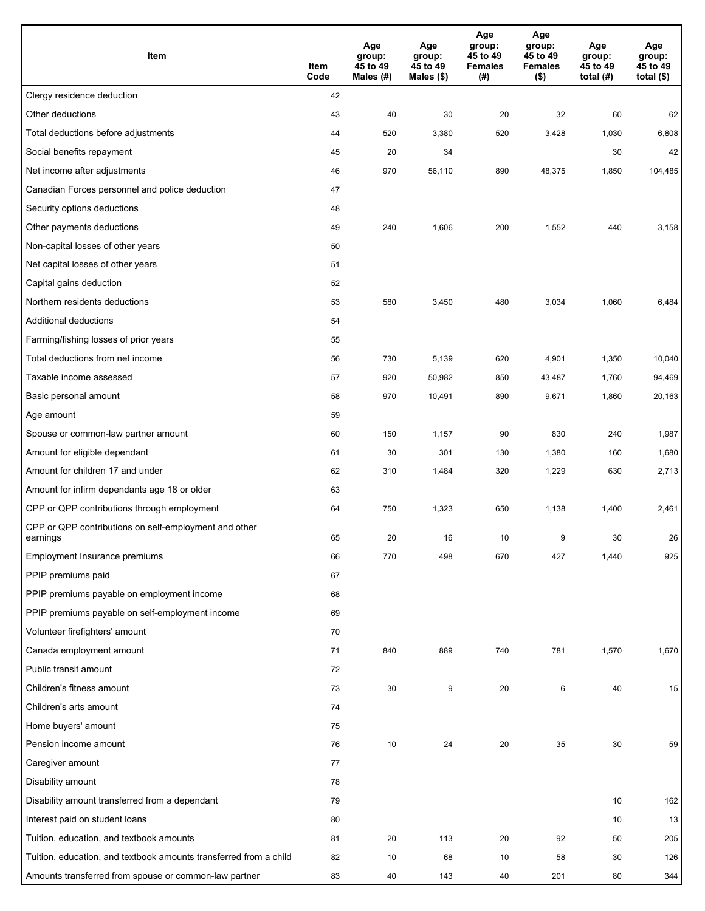| Item                                                              | Item<br>Code | Age<br>group:<br>45 to 49<br>Males (#) | Age<br>group:<br>45 to 49<br>Males (\$) | Age<br>group:<br>45 to 49<br><b>Females</b><br>(#) | Age<br>group:<br>45 to 49<br><b>Females</b><br>$($ \$) | Age<br>group:<br>45 to 49<br>total $(H)$ | Age<br>group:<br>45 to 49<br>total $($)$ |
|-------------------------------------------------------------------|--------------|----------------------------------------|-----------------------------------------|----------------------------------------------------|--------------------------------------------------------|------------------------------------------|------------------------------------------|
| Clergy residence deduction                                        | 42           |                                        |                                         |                                                    |                                                        |                                          |                                          |
| Other deductions                                                  | 43           | 40                                     | 30                                      | 20                                                 | 32                                                     | 60                                       | 62                                       |
| Total deductions before adjustments                               | 44           | 520                                    | 3,380                                   | 520                                                | 3,428                                                  | 1,030                                    | 6,808                                    |
| Social benefits repayment                                         | 45           | 20                                     | 34                                      |                                                    |                                                        | 30                                       | 42                                       |
| Net income after adjustments                                      | 46           | 970                                    | 56,110                                  | 890                                                | 48,375                                                 | 1,850                                    | 104,485                                  |
| Canadian Forces personnel and police deduction                    | 47           |                                        |                                         |                                                    |                                                        |                                          |                                          |
| Security options deductions                                       | 48           |                                        |                                         |                                                    |                                                        |                                          |                                          |
| Other payments deductions                                         | 49           | 240                                    | 1,606                                   | 200                                                | 1,552                                                  | 440                                      | 3,158                                    |
| Non-capital losses of other years                                 | 50           |                                        |                                         |                                                    |                                                        |                                          |                                          |
| Net capital losses of other years                                 | 51           |                                        |                                         |                                                    |                                                        |                                          |                                          |
| Capital gains deduction                                           | 52           |                                        |                                         |                                                    |                                                        |                                          |                                          |
| Northern residents deductions                                     | 53           | 580                                    | 3,450                                   | 480                                                | 3,034                                                  | 1,060                                    | 6,484                                    |
| Additional deductions                                             | 54           |                                        |                                         |                                                    |                                                        |                                          |                                          |
| Farming/fishing losses of prior years                             | 55           |                                        |                                         |                                                    |                                                        |                                          |                                          |
| Total deductions from net income                                  | 56           | 730                                    | 5,139                                   | 620                                                | 4,901                                                  | 1,350                                    | 10,040                                   |
| Taxable income assessed                                           | 57           | 920                                    | 50,982                                  | 850                                                | 43,487                                                 | 1,760                                    | 94,469                                   |
| Basic personal amount                                             | 58           | 970                                    | 10,491                                  | 890                                                | 9,671                                                  | 1,860                                    | 20,163                                   |
| Age amount                                                        | 59           |                                        |                                         |                                                    |                                                        |                                          |                                          |
| Spouse or common-law partner amount                               | 60           | 150                                    | 1,157                                   | 90                                                 | 830                                                    | 240                                      | 1,987                                    |
| Amount for eligible dependant                                     | 61           | 30                                     | 301                                     | 130                                                | 1,380                                                  | 160                                      | 1,680                                    |
| Amount for children 17 and under                                  | 62           | 310                                    | 1,484                                   | 320                                                | 1,229                                                  | 630                                      | 2,713                                    |
| Amount for infirm dependants age 18 or older                      | 63           |                                        |                                         |                                                    |                                                        |                                          |                                          |
| CPP or QPP contributions through employment                       | 64           | 750                                    | 1,323                                   | 650                                                | 1,138                                                  | 1,400                                    | 2,461                                    |
| CPP or QPP contributions on self-employment and other<br>earnings | 65           | 20                                     | 16                                      | 10                                                 | 9                                                      | 30                                       | 26                                       |
| Employment Insurance premiums                                     | 66           | 770                                    | 498                                     | 670                                                | 427                                                    | 1,440                                    | 925                                      |
| PPIP premiums paid                                                | 67           |                                        |                                         |                                                    |                                                        |                                          |                                          |
| PPIP premiums payable on employment income                        | 68           |                                        |                                         |                                                    |                                                        |                                          |                                          |
| PPIP premiums payable on self-employment income                   | 69           |                                        |                                         |                                                    |                                                        |                                          |                                          |
| Volunteer firefighters' amount                                    | 70           |                                        |                                         |                                                    |                                                        |                                          |                                          |
| Canada employment amount                                          | 71           | 840                                    | 889                                     | 740                                                | 781                                                    | 1,570                                    | 1,670                                    |
| Public transit amount                                             | 72           |                                        |                                         |                                                    |                                                        |                                          |                                          |
| Children's fitness amount                                         | 73           | 30                                     | 9                                       | 20                                                 | 6                                                      | 40                                       | 15                                       |
| Children's arts amount                                            | 74           |                                        |                                         |                                                    |                                                        |                                          |                                          |
| Home buyers' amount                                               | 75           |                                        |                                         |                                                    |                                                        |                                          |                                          |
| Pension income amount                                             | 76           | 10                                     | 24                                      | 20                                                 | 35                                                     | 30                                       | 59                                       |
| Caregiver amount                                                  | 77           |                                        |                                         |                                                    |                                                        |                                          |                                          |
| Disability amount                                                 | 78           |                                        |                                         |                                                    |                                                        |                                          |                                          |
| Disability amount transferred from a dependant                    | 79           |                                        |                                         |                                                    |                                                        | 10                                       | 162                                      |
| Interest paid on student loans                                    | 80           |                                        |                                         |                                                    |                                                        | 10                                       | 13                                       |
| Tuition, education, and textbook amounts                          | 81           | 20                                     | 113                                     | 20                                                 | 92                                                     | 50                                       | 205                                      |
| Tuition, education, and textbook amounts transferred from a child | 82           | 10                                     | 68                                      | 10                                                 | 58                                                     | 30                                       | 126                                      |
| Amounts transferred from spouse or common-law partner             | 83           | 40                                     | 143                                     | 40                                                 | 201                                                    | 80                                       | 344                                      |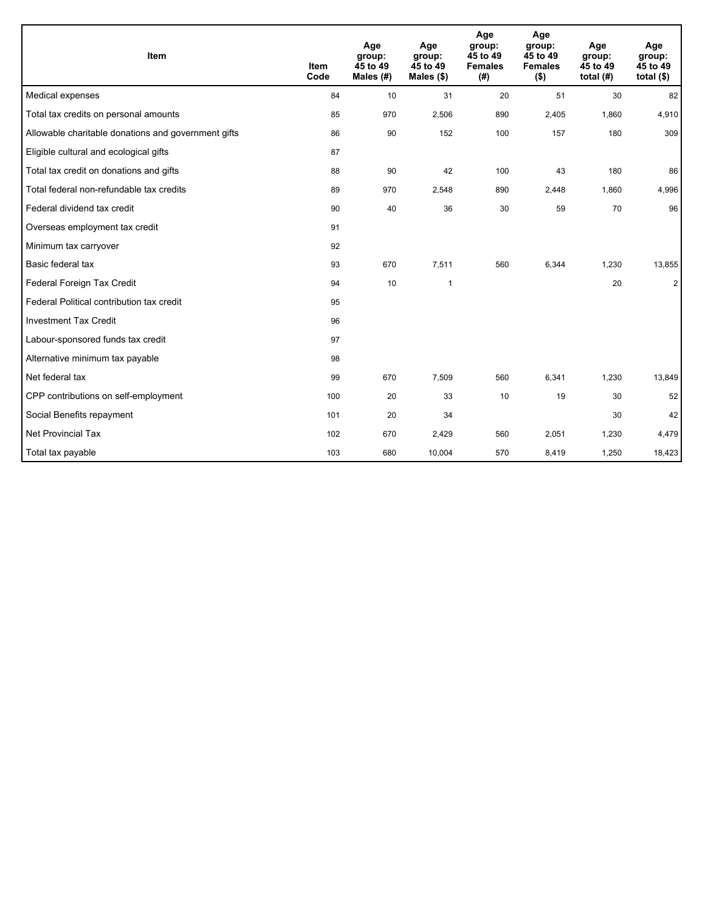| Item                                                | <b>Item</b><br>Code | Age<br>group:<br>45 to 49<br>Males $(H)$ | Age<br>group:<br>45 to 49<br>Males (\$) | Age<br>group:<br>45 to 49<br><b>Females</b><br>(# ) | Age<br>group:<br>45 to 49<br><b>Females</b><br>$($ \$) | Age<br>group:<br>45 to 49<br>total $(H)$ | Age<br>group:<br>45 to 49<br>total $(§)$ |
|-----------------------------------------------------|---------------------|------------------------------------------|-----------------------------------------|-----------------------------------------------------|--------------------------------------------------------|------------------------------------------|------------------------------------------|
| Medical expenses                                    | 84                  | 10                                       | 31                                      | 20                                                  | 51                                                     | 30                                       | 82                                       |
| Total tax credits on personal amounts               | 85                  | 970                                      | 2,506                                   | 890                                                 | 2,405                                                  | 1,860                                    | 4,910                                    |
| Allowable charitable donations and government gifts | 86                  | 90                                       | 152                                     | 100                                                 | 157                                                    | 180                                      | 309                                      |
| Eligible cultural and ecological gifts              | 87                  |                                          |                                         |                                                     |                                                        |                                          |                                          |
| Total tax credit on donations and gifts             | 88                  | 90                                       | 42                                      | 100                                                 | 43                                                     | 180                                      | 86                                       |
| Total federal non-refundable tax credits            | 89                  | 970                                      | 2,548                                   | 890                                                 | 2,448                                                  | 1,860                                    | 4,996                                    |
| Federal dividend tax credit                         | 90                  | 40                                       | 36                                      | 30                                                  | 59                                                     | 70                                       | 96                                       |
| Overseas employment tax credit                      | 91                  |                                          |                                         |                                                     |                                                        |                                          |                                          |
| Minimum tax carryover                               | 92                  |                                          |                                         |                                                     |                                                        |                                          |                                          |
| Basic federal tax                                   | 93                  | 670                                      | 7,511                                   | 560                                                 | 6,344                                                  | 1,230                                    | 13,855                                   |
| Federal Foreign Tax Credit                          | 94                  | 10                                       | $\mathbf{1}$                            |                                                     |                                                        | 20                                       | $\overline{2}$                           |
| Federal Political contribution tax credit           | 95                  |                                          |                                         |                                                     |                                                        |                                          |                                          |
| <b>Investment Tax Credit</b>                        | 96                  |                                          |                                         |                                                     |                                                        |                                          |                                          |
| Labour-sponsored funds tax credit                   | 97                  |                                          |                                         |                                                     |                                                        |                                          |                                          |
| Alternative minimum tax payable                     | 98                  |                                          |                                         |                                                     |                                                        |                                          |                                          |
| Net federal tax                                     | 99                  | 670                                      | 7,509                                   | 560                                                 | 6,341                                                  | 1,230                                    | 13,849                                   |
| CPP contributions on self-employment                | 100                 | 20                                       | 33                                      | 10                                                  | 19                                                     | 30                                       | 52                                       |
| Social Benefits repayment                           | 101                 | 20                                       | 34                                      |                                                     |                                                        | 30                                       | 42                                       |
| <b>Net Provincial Tax</b>                           | 102                 | 670                                      | 2,429                                   | 560                                                 | 2,051                                                  | 1,230                                    | 4,479                                    |
| Total tax payable                                   | 103                 | 680                                      | 10,004                                  | 570                                                 | 8,419                                                  | 1,250                                    | 18,423                                   |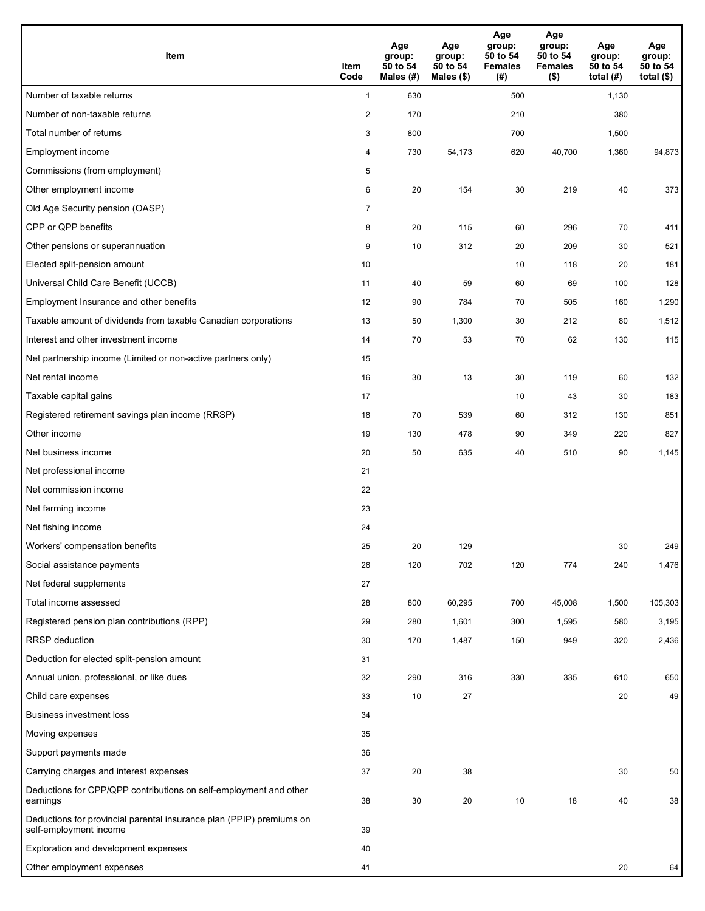| <b>Item</b>                                                                                    | Item<br>Code            | Age<br>group:<br>50 to 54<br>Males (#) | Age<br>group:<br>50 to 54<br>Males $(\$)$ | Age<br>group:<br>50 to 54<br><b>Females</b><br>(#) | Age<br>group:<br>50 to 54<br><b>Females</b><br>$($ \$) | Age<br>group:<br>50 to 54<br>total $(#)$ | Age<br>group:<br>50 to 54<br>total $($)$ |
|------------------------------------------------------------------------------------------------|-------------------------|----------------------------------------|-------------------------------------------|----------------------------------------------------|--------------------------------------------------------|------------------------------------------|------------------------------------------|
| Number of taxable returns                                                                      | $\mathbf{1}$            | 630                                    |                                           | 500                                                |                                                        | 1,130                                    |                                          |
| Number of non-taxable returns                                                                  | $\overline{\mathbf{c}}$ | 170                                    |                                           | 210                                                |                                                        | 380                                      |                                          |
| Total number of returns                                                                        | 3                       | 800                                    |                                           | 700                                                |                                                        | 1,500                                    |                                          |
| Employment income                                                                              | 4                       | 730                                    | 54,173                                    | 620                                                | 40,700                                                 | 1,360                                    | 94,873                                   |
| Commissions (from employment)                                                                  | 5                       |                                        |                                           |                                                    |                                                        |                                          |                                          |
| Other employment income                                                                        | 6                       | 20                                     | 154                                       | 30                                                 | 219                                                    | 40                                       | 373                                      |
| Old Age Security pension (OASP)                                                                | $\overline{7}$          |                                        |                                           |                                                    |                                                        |                                          |                                          |
| CPP or QPP benefits                                                                            | 8                       | 20                                     | 115                                       | 60                                                 | 296                                                    | 70                                       | 411                                      |
| Other pensions or superannuation                                                               | 9                       | 10                                     | 312                                       | 20                                                 | 209                                                    | 30                                       | 521                                      |
| Elected split-pension amount                                                                   | 10                      |                                        |                                           | 10                                                 | 118                                                    | 20                                       | 181                                      |
| Universal Child Care Benefit (UCCB)                                                            | 11                      | 40                                     | 59                                        | 60                                                 | 69                                                     | 100                                      | 128                                      |
| Employment Insurance and other benefits                                                        | 12                      | 90                                     | 784                                       | 70                                                 | 505                                                    | 160                                      | 1,290                                    |
| Taxable amount of dividends from taxable Canadian corporations                                 | 13                      | 50                                     | 1,300                                     | 30                                                 | 212                                                    | 80                                       | 1,512                                    |
| Interest and other investment income                                                           | 14                      | 70                                     | 53                                        | 70                                                 | 62                                                     | 130                                      | 115                                      |
| Net partnership income (Limited or non-active partners only)                                   | 15                      |                                        |                                           |                                                    |                                                        |                                          |                                          |
| Net rental income                                                                              | 16                      | 30                                     | 13                                        | 30                                                 | 119                                                    | 60                                       | 132                                      |
| Taxable capital gains                                                                          | 17                      |                                        |                                           | 10                                                 | 43                                                     | 30                                       | 183                                      |
| Registered retirement savings plan income (RRSP)                                               | 18                      | 70                                     | 539                                       | 60                                                 | 312                                                    | 130                                      | 851                                      |
| Other income                                                                                   | 19                      | 130                                    | 478                                       | 90                                                 | 349                                                    | 220                                      | 827                                      |
| Net business income                                                                            | 20                      | 50                                     | 635                                       | 40                                                 | 510                                                    | 90                                       | 1,145                                    |
| Net professional income                                                                        | 21                      |                                        |                                           |                                                    |                                                        |                                          |                                          |
| Net commission income                                                                          | 22                      |                                        |                                           |                                                    |                                                        |                                          |                                          |
| Net farming income                                                                             | 23                      |                                        |                                           |                                                    |                                                        |                                          |                                          |
| Net fishing income                                                                             | 24                      |                                        |                                           |                                                    |                                                        |                                          |                                          |
| Workers' compensation benefits                                                                 | 25                      | 20                                     | 129                                       |                                                    |                                                        | 30                                       | 249                                      |
| Social assistance payments                                                                     | 26                      | 120                                    | 702                                       | 120                                                | 774                                                    | 240                                      | 1,476                                    |
| Net federal supplements                                                                        | 27                      |                                        |                                           |                                                    |                                                        |                                          |                                          |
| Total income assessed                                                                          | 28                      | 800                                    | 60,295                                    | 700                                                | 45,008                                                 | 1,500                                    | 105,303                                  |
| Registered pension plan contributions (RPP)                                                    | 29                      | 280                                    | 1,601                                     | 300                                                | 1,595                                                  | 580                                      | 3,195                                    |
| RRSP deduction                                                                                 | 30                      | 170                                    | 1,487                                     | 150                                                | 949                                                    | 320                                      | 2,436                                    |
| Deduction for elected split-pension amount                                                     | 31                      |                                        |                                           |                                                    |                                                        |                                          |                                          |
| Annual union, professional, or like dues                                                       | 32                      | 290                                    | 316                                       | 330                                                | 335                                                    | 610                                      | 650                                      |
| Child care expenses                                                                            | 33                      | 10                                     | 27                                        |                                                    |                                                        | 20                                       | 49                                       |
| <b>Business investment loss</b>                                                                | 34                      |                                        |                                           |                                                    |                                                        |                                          |                                          |
| Moving expenses                                                                                | 35                      |                                        |                                           |                                                    |                                                        |                                          |                                          |
| Support payments made                                                                          | 36                      |                                        |                                           |                                                    |                                                        |                                          |                                          |
| Carrying charges and interest expenses                                                         | 37                      | 20                                     | 38                                        |                                                    |                                                        | 30                                       | 50                                       |
| Deductions for CPP/QPP contributions on self-employment and other<br>earnings                  | 38                      | 30                                     | 20                                        | 10                                                 | 18                                                     | 40                                       | 38                                       |
| Deductions for provincial parental insurance plan (PPIP) premiums on<br>self-employment income | 39                      |                                        |                                           |                                                    |                                                        |                                          |                                          |
| Exploration and development expenses                                                           | 40                      |                                        |                                           |                                                    |                                                        |                                          |                                          |
| Other employment expenses                                                                      | 41                      |                                        |                                           |                                                    |                                                        | 20                                       | 64                                       |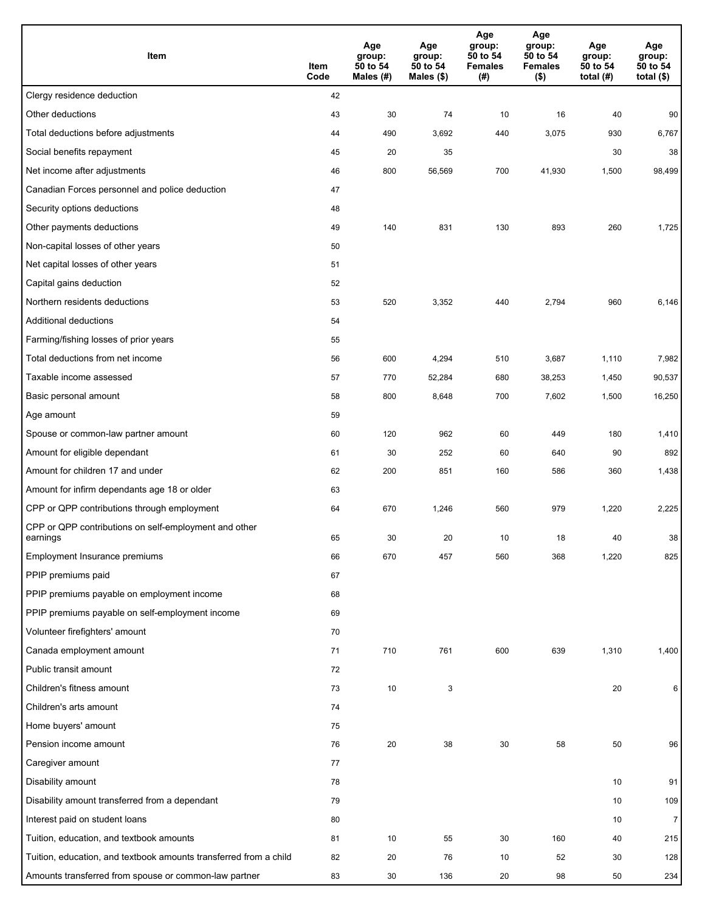| Item                                                              | Item<br>Code | Age<br>group:<br>50 to 54<br>Males (#) | Age<br>group:<br>50 to 54<br>Males (\$) | Age<br>group:<br>50 to 54<br><b>Females</b><br>(#) | Age<br>group:<br>50 to 54<br><b>Females</b><br>$($ \$) | Age<br>group:<br>50 to 54<br>total $(H)$ | Age<br>group:<br>50 to 54<br>total $($)$ |
|-------------------------------------------------------------------|--------------|----------------------------------------|-----------------------------------------|----------------------------------------------------|--------------------------------------------------------|------------------------------------------|------------------------------------------|
| Clergy residence deduction                                        | 42           |                                        |                                         |                                                    |                                                        |                                          |                                          |
| Other deductions                                                  | 43           | 30                                     | 74                                      | 10                                                 | 16                                                     | 40                                       | 90                                       |
| Total deductions before adjustments                               | 44           | 490                                    | 3,692                                   | 440                                                | 3,075                                                  | 930                                      | 6,767                                    |
| Social benefits repayment                                         | 45           | 20                                     | 35                                      |                                                    |                                                        | 30                                       | 38                                       |
| Net income after adjustments                                      | 46           | 800                                    | 56,569                                  | 700                                                | 41,930                                                 | 1,500                                    | 98,499                                   |
| Canadian Forces personnel and police deduction                    | 47           |                                        |                                         |                                                    |                                                        |                                          |                                          |
| Security options deductions                                       | 48           |                                        |                                         |                                                    |                                                        |                                          |                                          |
| Other payments deductions                                         | 49           | 140                                    | 831                                     | 130                                                | 893                                                    | 260                                      | 1,725                                    |
| Non-capital losses of other years                                 | 50           |                                        |                                         |                                                    |                                                        |                                          |                                          |
| Net capital losses of other years                                 | 51           |                                        |                                         |                                                    |                                                        |                                          |                                          |
| Capital gains deduction                                           | 52           |                                        |                                         |                                                    |                                                        |                                          |                                          |
| Northern residents deductions                                     | 53           | 520                                    | 3,352                                   | 440                                                | 2,794                                                  | 960                                      | 6,146                                    |
| Additional deductions                                             | 54           |                                        |                                         |                                                    |                                                        |                                          |                                          |
| Farming/fishing losses of prior years                             | 55           |                                        |                                         |                                                    |                                                        |                                          |                                          |
| Total deductions from net income                                  | 56           | 600                                    | 4,294                                   | 510                                                | 3,687                                                  | 1,110                                    | 7,982                                    |
| Taxable income assessed                                           | 57           | 770                                    | 52,284                                  | 680                                                | 38,253                                                 | 1,450                                    | 90,537                                   |
| Basic personal amount                                             | 58           | 800                                    | 8,648                                   | 700                                                | 7,602                                                  | 1,500                                    | 16,250                                   |
| Age amount                                                        | 59           |                                        |                                         |                                                    |                                                        |                                          |                                          |
| Spouse or common-law partner amount                               | 60           | 120                                    | 962                                     | 60                                                 | 449                                                    | 180                                      | 1,410                                    |
| Amount for eligible dependant                                     | 61           | 30                                     | 252                                     | 60                                                 | 640                                                    | 90                                       | 892                                      |
| Amount for children 17 and under                                  | 62           | 200                                    | 851                                     | 160                                                | 586                                                    | 360                                      | 1,438                                    |
| Amount for infirm dependants age 18 or older                      | 63           |                                        |                                         |                                                    |                                                        |                                          |                                          |
| CPP or QPP contributions through employment                       | 64           | 670                                    | 1,246                                   | 560                                                | 979                                                    | 1,220                                    | 2,225                                    |
| CPP or QPP contributions on self-employment and other<br>earnings | 65           | 30                                     | 20                                      | 10                                                 | 18                                                     | 40                                       | 38                                       |
| Employment Insurance premiums                                     | 66           | 670                                    | 457                                     | 560                                                | 368                                                    | 1,220                                    | 825                                      |
| PPIP premiums paid                                                | 67           |                                        |                                         |                                                    |                                                        |                                          |                                          |
| PPIP premiums payable on employment income                        | 68           |                                        |                                         |                                                    |                                                        |                                          |                                          |
| PPIP premiums payable on self-employment income                   | 69           |                                        |                                         |                                                    |                                                        |                                          |                                          |
| Volunteer firefighters' amount                                    | 70           |                                        |                                         |                                                    |                                                        |                                          |                                          |
| Canada employment amount                                          | 71           | 710                                    | 761                                     | 600                                                | 639                                                    | 1,310                                    | 1,400                                    |
| Public transit amount                                             | 72           |                                        |                                         |                                                    |                                                        |                                          |                                          |
| Children's fitness amount                                         | 73           | 10                                     | 3                                       |                                                    |                                                        | 20                                       | 6                                        |
| Children's arts amount                                            | 74           |                                        |                                         |                                                    |                                                        |                                          |                                          |
| Home buyers' amount                                               | 75           |                                        |                                         |                                                    |                                                        |                                          |                                          |
| Pension income amount                                             | 76           | 20                                     | 38                                      | 30                                                 | 58                                                     | 50                                       | 96                                       |
| Caregiver amount                                                  | 77           |                                        |                                         |                                                    |                                                        |                                          |                                          |
| Disability amount                                                 | 78           |                                        |                                         |                                                    |                                                        | 10                                       | 91                                       |
| Disability amount transferred from a dependant                    | 79           |                                        |                                         |                                                    |                                                        | 10                                       | 109                                      |
| Interest paid on student loans                                    | 80           |                                        |                                         |                                                    |                                                        | 10                                       | $\overline{7}$                           |
| Tuition, education, and textbook amounts                          | 81           | 10                                     | 55                                      | 30                                                 | 160                                                    | 40                                       | 215                                      |
| Tuition, education, and textbook amounts transferred from a child | 82           | 20                                     | 76                                      | 10                                                 | 52                                                     | 30                                       | 128                                      |
| Amounts transferred from spouse or common-law partner             | 83           | 30                                     | 136                                     | 20                                                 | 98                                                     | 50                                       | 234                                      |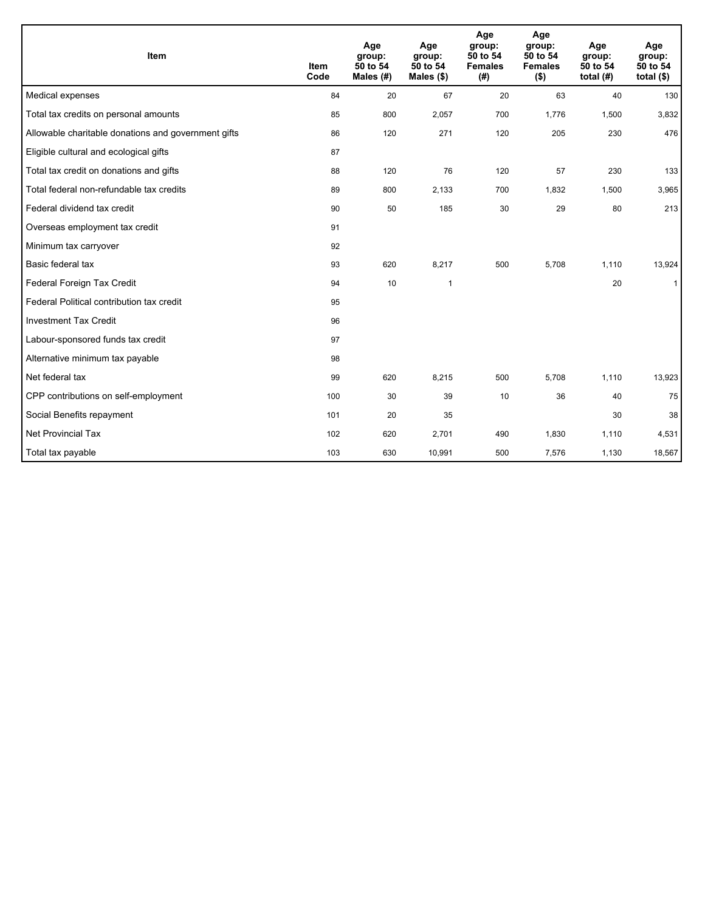| Item                                                | <b>Item</b><br>Code | Age<br>group:<br>50 to 54<br>Males $(H)$ | Age<br>group:<br>50 to 54<br>Males $(\$)$ | Age<br>group:<br>50 to 54<br><b>Females</b><br>(#) | Age<br>group:<br>50 to 54<br><b>Females</b><br>$($ \$) | Age<br>group:<br>50 to 54<br>total $(H)$ | Age<br>group:<br>50 to 54<br>total $($ |
|-----------------------------------------------------|---------------------|------------------------------------------|-------------------------------------------|----------------------------------------------------|--------------------------------------------------------|------------------------------------------|----------------------------------------|
| Medical expenses                                    | 84                  | 20                                       | 67                                        | 20                                                 | 63                                                     | 40                                       | 130                                    |
| Total tax credits on personal amounts               | 85                  | 800                                      | 2,057                                     | 700                                                | 1,776                                                  | 1,500                                    | 3,832                                  |
| Allowable charitable donations and government gifts | 86                  | 120                                      | 271                                       | 120                                                | 205                                                    | 230                                      | 476                                    |
| Eligible cultural and ecological gifts              | 87                  |                                          |                                           |                                                    |                                                        |                                          |                                        |
| Total tax credit on donations and gifts             | 88                  | 120                                      | 76                                        | 120                                                | 57                                                     | 230                                      | 133                                    |
| Total federal non-refundable tax credits            | 89                  | 800                                      | 2,133                                     | 700                                                | 1,832                                                  | 1,500                                    | 3,965                                  |
| Federal dividend tax credit                         | 90                  | 50                                       | 185                                       | 30                                                 | 29                                                     | 80                                       | 213                                    |
| Overseas employment tax credit                      | 91                  |                                          |                                           |                                                    |                                                        |                                          |                                        |
| Minimum tax carryover                               | 92                  |                                          |                                           |                                                    |                                                        |                                          |                                        |
| Basic federal tax                                   | 93                  | 620                                      | 8,217                                     | 500                                                | 5,708                                                  | 1.110                                    | 13,924                                 |
| Federal Foreign Tax Credit                          | 94                  | 10                                       | $\mathbf{1}$                              |                                                    |                                                        | 20                                       | $\mathbf{1}$                           |
| Federal Political contribution tax credit           | 95                  |                                          |                                           |                                                    |                                                        |                                          |                                        |
| <b>Investment Tax Credit</b>                        | 96                  |                                          |                                           |                                                    |                                                        |                                          |                                        |
| Labour-sponsored funds tax credit                   | 97                  |                                          |                                           |                                                    |                                                        |                                          |                                        |
| Alternative minimum tax payable                     | 98                  |                                          |                                           |                                                    |                                                        |                                          |                                        |
| Net federal tax                                     | 99                  | 620                                      | 8,215                                     | 500                                                | 5.708                                                  | 1,110                                    | 13,923                                 |
| CPP contributions on self-employment                | 100                 | 30                                       | 39                                        | 10                                                 | 36                                                     | 40                                       | 75                                     |
| Social Benefits repayment                           | 101                 | 20                                       | 35                                        |                                                    |                                                        | 30                                       | 38                                     |
| <b>Net Provincial Tax</b>                           | 102                 | 620                                      | 2,701                                     | 490                                                | 1,830                                                  | 1,110                                    | 4,531                                  |
| Total tax payable                                   | 103                 | 630                                      | 10,991                                    | 500                                                | 7,576                                                  | 1,130                                    | 18,567                                 |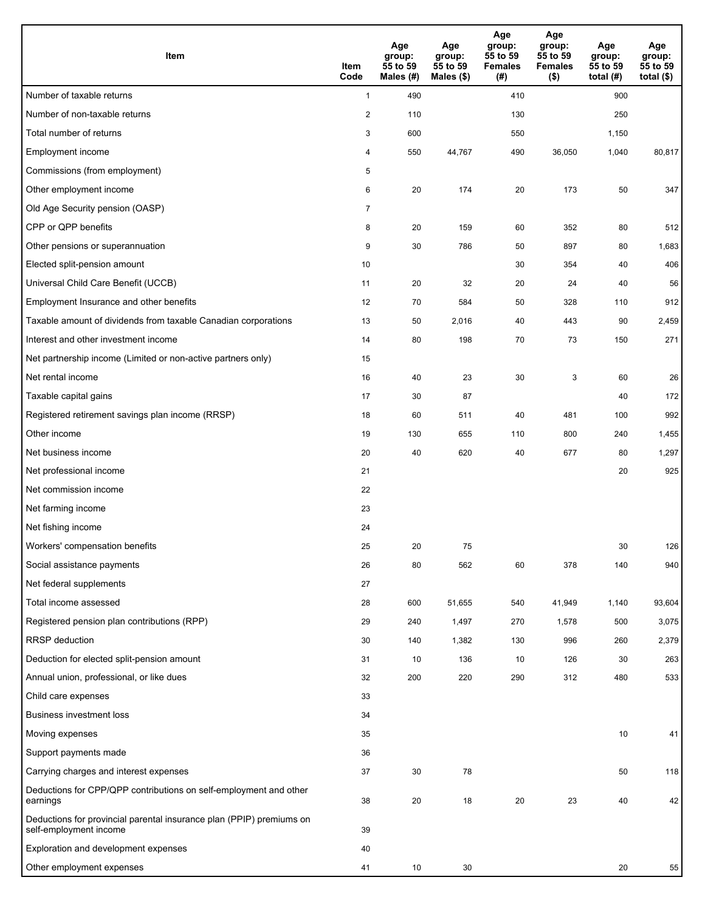| <b>Item</b>                                                                                    | Item<br>Code   | Age<br>group:<br>55 to 59<br>Males (#) | Age<br>group:<br>55 to 59<br>Males (\$) | Age<br>group:<br>55 to 59<br><b>Females</b><br>(# ) | Age<br>group:<br>55 to 59<br><b>Females</b><br>$($ \$) | Age<br>group:<br>55 to 59<br>total (#) | Age<br>group:<br>55 to 59<br>total $($)$ |
|------------------------------------------------------------------------------------------------|----------------|----------------------------------------|-----------------------------------------|-----------------------------------------------------|--------------------------------------------------------|----------------------------------------|------------------------------------------|
| Number of taxable returns                                                                      | $\mathbf{1}$   | 490                                    |                                         | 410                                                 |                                                        | 900                                    |                                          |
| Number of non-taxable returns                                                                  | $\overline{c}$ | 110                                    |                                         | 130                                                 |                                                        | 250                                    |                                          |
| Total number of returns                                                                        | 3              | 600                                    |                                         | 550                                                 |                                                        | 1,150                                  |                                          |
| Employment income                                                                              | 4              | 550                                    | 44,767                                  | 490                                                 | 36,050                                                 | 1,040                                  | 80,817                                   |
| Commissions (from employment)                                                                  | 5              |                                        |                                         |                                                     |                                                        |                                        |                                          |
| Other employment income                                                                        | 6              | 20                                     | 174                                     | 20                                                  | 173                                                    | 50                                     | 347                                      |
| Old Age Security pension (OASP)                                                                | $\overline{7}$ |                                        |                                         |                                                     |                                                        |                                        |                                          |
| CPP or QPP benefits                                                                            | 8              | 20                                     | 159                                     | 60                                                  | 352                                                    | 80                                     | 512                                      |
| Other pensions or superannuation                                                               | 9              | 30                                     | 786                                     | 50                                                  | 897                                                    | 80                                     | 1,683                                    |
| Elected split-pension amount                                                                   | 10             |                                        |                                         | 30                                                  | 354                                                    | 40                                     | 406                                      |
| Universal Child Care Benefit (UCCB)                                                            | 11             | 20                                     | 32                                      | 20                                                  | 24                                                     | 40                                     | 56                                       |
| Employment Insurance and other benefits                                                        | 12             | 70                                     | 584                                     | 50                                                  | 328                                                    | 110                                    | 912                                      |
| Taxable amount of dividends from taxable Canadian corporations                                 | 13             | 50                                     | 2,016                                   | 40                                                  | 443                                                    | 90                                     | 2,459                                    |
| Interest and other investment income                                                           | 14             | 80                                     | 198                                     | 70                                                  | 73                                                     | 150                                    | 271                                      |
| Net partnership income (Limited or non-active partners only)                                   | 15             |                                        |                                         |                                                     |                                                        |                                        |                                          |
| Net rental income                                                                              | 16             | 40                                     | 23                                      | 30                                                  | 3                                                      | 60                                     | 26                                       |
| Taxable capital gains                                                                          | 17             | 30                                     | 87                                      |                                                     |                                                        | 40                                     | 172                                      |
| Registered retirement savings plan income (RRSP)                                               | 18             | 60                                     | 511                                     | 40                                                  | 481                                                    | 100                                    | 992                                      |
| Other income                                                                                   | 19             | 130                                    | 655                                     | 110                                                 | 800                                                    | 240                                    | 1,455                                    |
| Net business income                                                                            | 20             | 40                                     | 620                                     | 40                                                  | 677                                                    | 80                                     | 1,297                                    |
| Net professional income                                                                        | 21             |                                        |                                         |                                                     |                                                        | 20                                     | 925                                      |
| Net commission income                                                                          | 22             |                                        |                                         |                                                     |                                                        |                                        |                                          |
| Net farming income                                                                             | 23             |                                        |                                         |                                                     |                                                        |                                        |                                          |
| Net fishing income                                                                             | 24             |                                        |                                         |                                                     |                                                        |                                        |                                          |
| Workers' compensation benefits                                                                 | 25             | 20                                     | 75                                      |                                                     |                                                        | 30                                     | 126                                      |
| Social assistance payments                                                                     | 26             | 80                                     | 562                                     | 60                                                  | 378                                                    | 140                                    | 940                                      |
| Net federal supplements                                                                        | 27             |                                        |                                         |                                                     |                                                        |                                        |                                          |
| Total income assessed                                                                          | 28             | 600                                    | 51,655                                  | 540                                                 | 41,949                                                 | 1,140                                  | 93,604                                   |
| Registered pension plan contributions (RPP)                                                    | 29             | 240                                    | 1,497                                   | 270                                                 | 1,578                                                  | 500                                    | 3,075                                    |
| <b>RRSP</b> deduction                                                                          | 30             | 140                                    | 1,382                                   | 130                                                 | 996                                                    | 260                                    | 2,379                                    |
| Deduction for elected split-pension amount                                                     | 31             | 10                                     | 136                                     | 10                                                  | 126                                                    | 30                                     | 263                                      |
| Annual union, professional, or like dues                                                       | 32             | 200                                    | 220                                     | 290                                                 | 312                                                    | 480                                    | 533                                      |
| Child care expenses                                                                            | 33             |                                        |                                         |                                                     |                                                        |                                        |                                          |
| <b>Business investment loss</b>                                                                | 34             |                                        |                                         |                                                     |                                                        |                                        |                                          |
| Moving expenses                                                                                | 35             |                                        |                                         |                                                     |                                                        | 10                                     | 41                                       |
| Support payments made                                                                          | 36             |                                        |                                         |                                                     |                                                        |                                        |                                          |
| Carrying charges and interest expenses                                                         | 37             | 30                                     | 78                                      |                                                     |                                                        | 50                                     | 118                                      |
| Deductions for CPP/QPP contributions on self-employment and other<br>earnings                  | 38             | 20                                     | 18                                      | 20                                                  | 23                                                     | 40                                     | 42                                       |
| Deductions for provincial parental insurance plan (PPIP) premiums on<br>self-employment income | 39             |                                        |                                         |                                                     |                                                        |                                        |                                          |
| Exploration and development expenses                                                           | 40             |                                        |                                         |                                                     |                                                        |                                        |                                          |
| Other employment expenses                                                                      | 41             | 10                                     | 30                                      |                                                     |                                                        | 20                                     | 55                                       |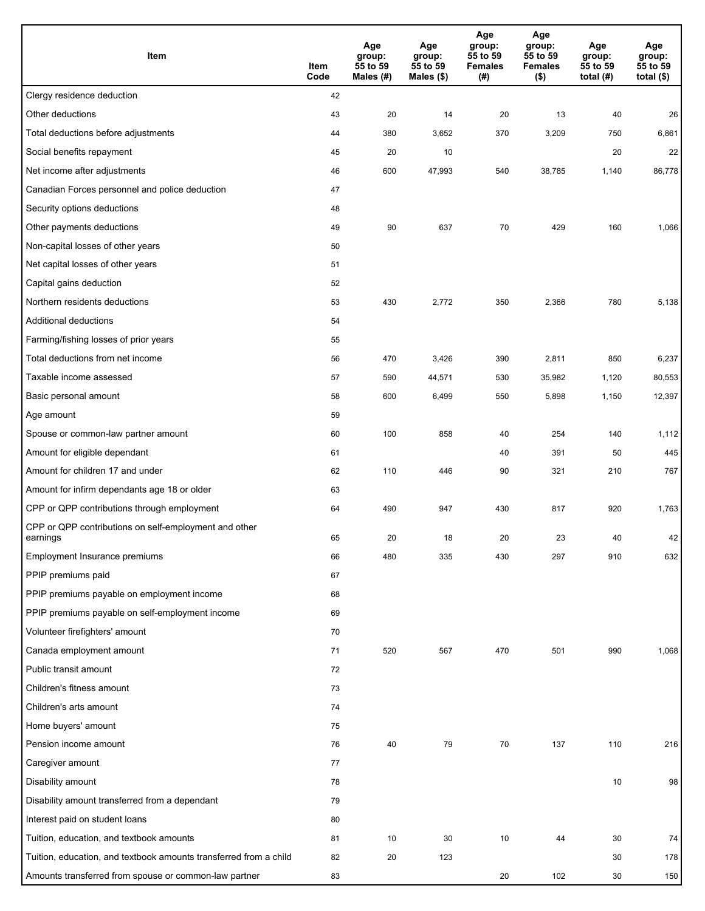| Item                                                              | Item<br>Code | Age<br>group:<br>55 to 59<br>Males $(H)$ | Age<br>group:<br>55 to 59<br>Males (\$) | Age<br>group:<br>55 to 59<br><b>Females</b><br>(# ) | Age<br>group:<br>55 to 59<br><b>Females</b><br>$($ \$) | Age<br>group:<br>55 to 59<br>total $(H)$ | Age<br>group:<br>55 to 59<br>total $($)$ |
|-------------------------------------------------------------------|--------------|------------------------------------------|-----------------------------------------|-----------------------------------------------------|--------------------------------------------------------|------------------------------------------|------------------------------------------|
| Clergy residence deduction                                        | 42           |                                          |                                         |                                                     |                                                        |                                          |                                          |
| Other deductions                                                  | 43           | 20                                       | 14                                      | 20                                                  | 13                                                     | 40                                       | 26                                       |
| Total deductions before adjustments                               | 44           | 380                                      | 3,652                                   | 370                                                 | 3,209                                                  | 750                                      | 6,861                                    |
| Social benefits repayment                                         | 45           | 20                                       | 10                                      |                                                     |                                                        | 20                                       | 22                                       |
| Net income after adjustments                                      | 46           | 600                                      | 47,993                                  | 540                                                 | 38,785                                                 | 1,140                                    | 86,778                                   |
| Canadian Forces personnel and police deduction                    | 47           |                                          |                                         |                                                     |                                                        |                                          |                                          |
| Security options deductions                                       | 48           |                                          |                                         |                                                     |                                                        |                                          |                                          |
| Other payments deductions                                         | 49           | 90                                       | 637                                     | 70                                                  | 429                                                    | 160                                      | 1,066                                    |
| Non-capital losses of other years                                 | 50           |                                          |                                         |                                                     |                                                        |                                          |                                          |
| Net capital losses of other years                                 | 51           |                                          |                                         |                                                     |                                                        |                                          |                                          |
| Capital gains deduction                                           | 52           |                                          |                                         |                                                     |                                                        |                                          |                                          |
| Northern residents deductions                                     | 53           | 430                                      | 2,772                                   | 350                                                 | 2,366                                                  | 780                                      | 5,138                                    |
| Additional deductions                                             | 54           |                                          |                                         |                                                     |                                                        |                                          |                                          |
| Farming/fishing losses of prior years                             | 55           |                                          |                                         |                                                     |                                                        |                                          |                                          |
| Total deductions from net income                                  | 56           | 470                                      | 3,426                                   | 390                                                 | 2,811                                                  | 850                                      | 6,237                                    |
| Taxable income assessed                                           | 57           | 590                                      | 44,571                                  | 530                                                 | 35,982                                                 | 1,120                                    | 80,553                                   |
| Basic personal amount                                             | 58           | 600                                      | 6,499                                   | 550                                                 | 5,898                                                  | 1,150                                    | 12,397                                   |
| Age amount                                                        | 59           |                                          |                                         |                                                     |                                                        |                                          |                                          |
| Spouse or common-law partner amount                               | 60           | 100                                      | 858                                     | 40                                                  | 254                                                    | 140                                      | 1,112                                    |
| Amount for eligible dependant                                     | 61           |                                          |                                         | 40                                                  | 391                                                    | 50                                       | 445                                      |
| Amount for children 17 and under                                  | 62           | 110                                      | 446                                     | 90                                                  | 321                                                    | 210                                      | 767                                      |
| Amount for infirm dependants age 18 or older                      | 63           |                                          |                                         |                                                     |                                                        |                                          |                                          |
| CPP or QPP contributions through employment                       | 64           | 490                                      | 947                                     | 430                                                 | 817                                                    | 920                                      | 1,763                                    |
| CPP or QPP contributions on self-employment and other<br>earnings | 65           | 20                                       | 18                                      | 20                                                  | 23                                                     | 40                                       | 42                                       |
| Employment Insurance premiums                                     | 66           | 480                                      | 335                                     | 430                                                 | 297                                                    | 910                                      | 632                                      |
| PPIP premiums paid                                                | 67           |                                          |                                         |                                                     |                                                        |                                          |                                          |
| PPIP premiums payable on employment income                        | 68           |                                          |                                         |                                                     |                                                        |                                          |                                          |
| PPIP premiums payable on self-employment income                   | 69           |                                          |                                         |                                                     |                                                        |                                          |                                          |
| Volunteer firefighters' amount                                    | 70           |                                          |                                         |                                                     |                                                        |                                          |                                          |
| Canada employment amount                                          | 71           | 520                                      | 567                                     | 470                                                 | 501                                                    | 990                                      | 1,068                                    |
| Public transit amount                                             | 72           |                                          |                                         |                                                     |                                                        |                                          |                                          |
| Children's fitness amount                                         | 73           |                                          |                                         |                                                     |                                                        |                                          |                                          |
| Children's arts amount                                            | 74           |                                          |                                         |                                                     |                                                        |                                          |                                          |
| Home buyers' amount                                               | 75           |                                          |                                         |                                                     |                                                        |                                          |                                          |
| Pension income amount                                             | 76           | 40                                       | 79                                      | 70                                                  | 137                                                    | 110                                      | 216                                      |
| Caregiver amount                                                  | 77           |                                          |                                         |                                                     |                                                        |                                          |                                          |
| Disability amount                                                 | 78           |                                          |                                         |                                                     |                                                        | 10                                       | 98                                       |
| Disability amount transferred from a dependant                    | 79           |                                          |                                         |                                                     |                                                        |                                          |                                          |
| Interest paid on student loans                                    | 80           |                                          |                                         |                                                     |                                                        |                                          |                                          |
| Tuition, education, and textbook amounts                          | 81           | 10                                       | 30                                      | 10                                                  | 44                                                     | 30                                       | 74                                       |
| Tuition, education, and textbook amounts transferred from a child | 82           | 20                                       | 123                                     |                                                     |                                                        | 30                                       | 178                                      |
| Amounts transferred from spouse or common-law partner             | 83           |                                          |                                         | 20                                                  | 102                                                    | 30                                       | 150                                      |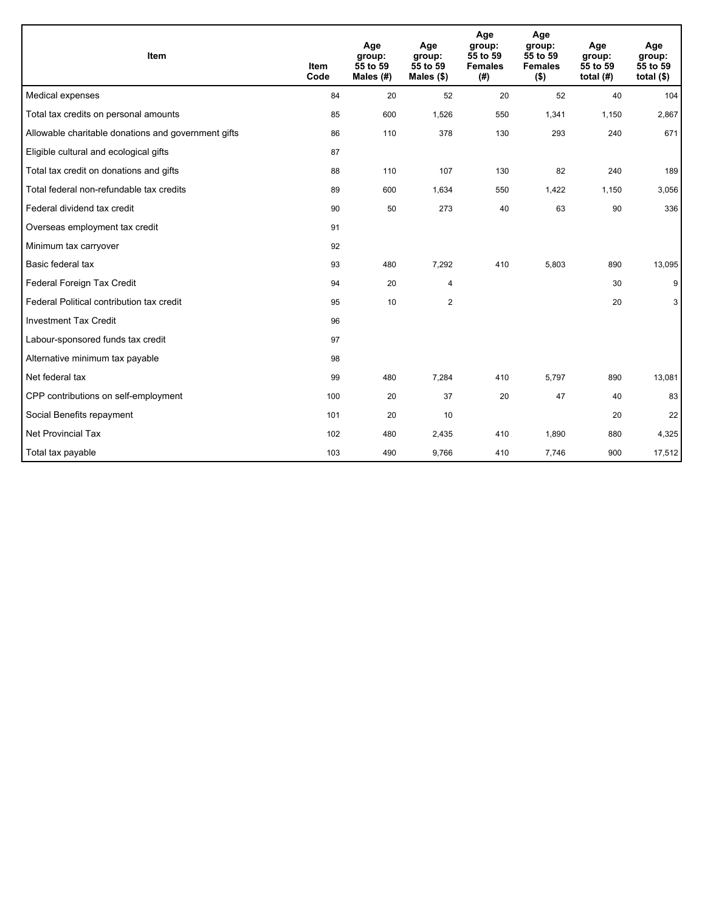| Item                                                | <b>Item</b><br>Code | Age<br>group:<br>55 to 59<br>Males (#) | Age<br>group:<br>55 to 59<br>Males (\$) | Age<br>group:<br>55 to 59<br><b>Females</b><br>(#) | Age<br>group:<br>55 to 59<br><b>Females</b><br>$($ \$) | Age<br>group:<br>55 to 59<br>total $(H)$ | Age<br>group:<br>55 to 59<br>total $(§)$ |
|-----------------------------------------------------|---------------------|----------------------------------------|-----------------------------------------|----------------------------------------------------|--------------------------------------------------------|------------------------------------------|------------------------------------------|
| Medical expenses                                    | 84                  | 20                                     | 52                                      | 20                                                 | 52                                                     | 40                                       | 104                                      |
| Total tax credits on personal amounts               | 85                  | 600                                    | 1,526                                   | 550                                                | 1,341                                                  | 1,150                                    | 2,867                                    |
| Allowable charitable donations and government gifts | 86                  | 110                                    | 378                                     | 130                                                | 293                                                    | 240                                      | 671                                      |
| Eligible cultural and ecological gifts              | 87                  |                                        |                                         |                                                    |                                                        |                                          |                                          |
| Total tax credit on donations and gifts             | 88                  | 110                                    | 107                                     | 130                                                | 82                                                     | 240                                      | 189                                      |
| Total federal non-refundable tax credits            | 89                  | 600                                    | 1,634                                   | 550                                                | 1,422                                                  | 1,150                                    | 3,056                                    |
| Federal dividend tax credit                         | 90                  | 50                                     | 273                                     | 40                                                 | 63                                                     | 90                                       | 336                                      |
| Overseas employment tax credit                      | 91                  |                                        |                                         |                                                    |                                                        |                                          |                                          |
| Minimum tax carryover                               | 92                  |                                        |                                         |                                                    |                                                        |                                          |                                          |
| Basic federal tax                                   | 93                  | 480                                    | 7,292                                   | 410                                                | 5,803                                                  | 890                                      | 13,095                                   |
| Federal Foreign Tax Credit                          | 94                  | 20                                     | 4                                       |                                                    |                                                        | 30                                       | 9                                        |
| Federal Political contribution tax credit           | 95                  | 10                                     | 2                                       |                                                    |                                                        | 20                                       | 3                                        |
| <b>Investment Tax Credit</b>                        | 96                  |                                        |                                         |                                                    |                                                        |                                          |                                          |
| Labour-sponsored funds tax credit                   | 97                  |                                        |                                         |                                                    |                                                        |                                          |                                          |
| Alternative minimum tax payable                     | 98                  |                                        |                                         |                                                    |                                                        |                                          |                                          |
| Net federal tax                                     | 99                  | 480                                    | 7,284                                   | 410                                                | 5,797                                                  | 890                                      | 13,081                                   |
| CPP contributions on self-employment                | 100                 | 20                                     | 37                                      | 20                                                 | 47                                                     | 40                                       | 83                                       |
| Social Benefits repayment                           | 101                 | 20                                     | 10                                      |                                                    |                                                        | 20                                       | 22                                       |
| <b>Net Provincial Tax</b>                           | 102                 | 480                                    | 2,435                                   | 410                                                | 1,890                                                  | 880                                      | 4,325                                    |
| Total tax payable                                   | 103                 | 490                                    | 9,766                                   | 410                                                | 7,746                                                  | 900                                      | 17,512                                   |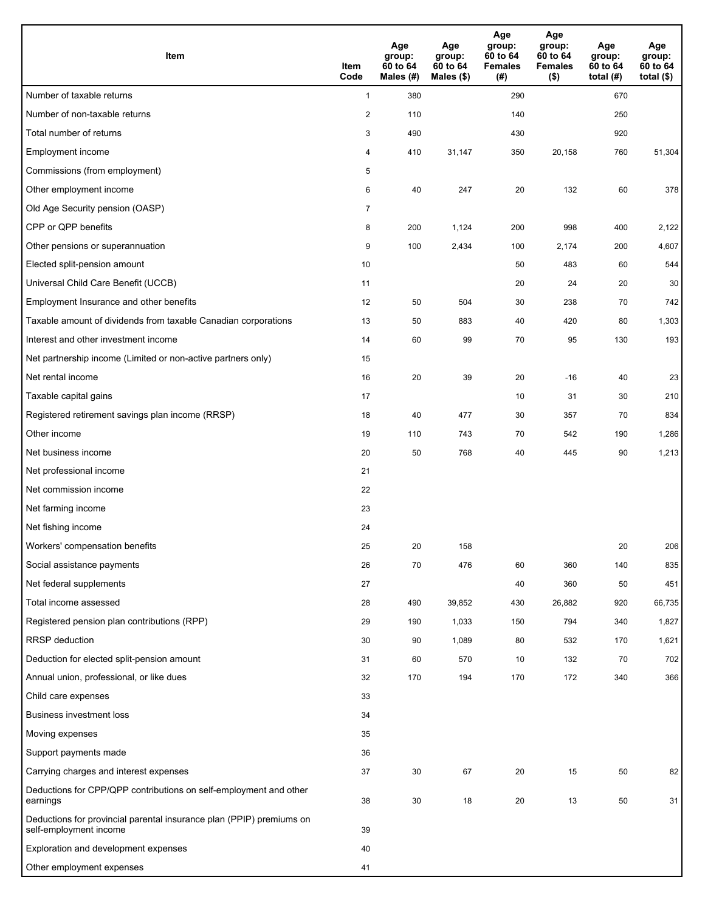| <b>Item</b>                                                                                    | Item<br>Code   | Age<br>group:<br>60 to 64<br>Males (#) | Age<br>group:<br>60 to 64<br>Males $(\$)$ | Age<br>group:<br>60 to 64<br><b>Females</b><br>(#) | Age<br>group:<br>60 to 64<br><b>Females</b><br>$($ \$) | Age<br>group:<br>60 to 64<br>total $(H)$ | Age<br>group:<br>60 to 64<br>total $($)$ |
|------------------------------------------------------------------------------------------------|----------------|----------------------------------------|-------------------------------------------|----------------------------------------------------|--------------------------------------------------------|------------------------------------------|------------------------------------------|
| Number of taxable returns                                                                      | $\mathbf{1}$   | 380                                    |                                           | 290                                                |                                                        | 670                                      |                                          |
| Number of non-taxable returns                                                                  | 2              | 110                                    |                                           | 140                                                |                                                        | 250                                      |                                          |
| Total number of returns                                                                        | 3              | 490                                    |                                           | 430                                                |                                                        | 920                                      |                                          |
| Employment income                                                                              | 4              | 410                                    | 31,147                                    | 350                                                | 20,158                                                 | 760                                      | 51,304                                   |
| Commissions (from employment)                                                                  | 5              |                                        |                                           |                                                    |                                                        |                                          |                                          |
| Other employment income                                                                        | 6              | 40                                     | 247                                       | 20                                                 | 132                                                    | 60                                       | 378                                      |
| Old Age Security pension (OASP)                                                                | $\overline{7}$ |                                        |                                           |                                                    |                                                        |                                          |                                          |
| CPP or QPP benefits                                                                            | 8              | 200                                    | 1,124                                     | 200                                                | 998                                                    | 400                                      | 2,122                                    |
| Other pensions or superannuation                                                               | 9              | 100                                    | 2,434                                     | 100                                                | 2,174                                                  | 200                                      | 4,607                                    |
| Elected split-pension amount                                                                   | 10             |                                        |                                           | 50                                                 | 483                                                    | 60                                       | 544                                      |
| Universal Child Care Benefit (UCCB)                                                            | 11             |                                        |                                           | 20                                                 | 24                                                     | 20                                       | 30                                       |
| Employment Insurance and other benefits                                                        | 12             | 50                                     | 504                                       | 30                                                 | 238                                                    | 70                                       | 742                                      |
| Taxable amount of dividends from taxable Canadian corporations                                 | 13             | 50                                     | 883                                       | 40                                                 | 420                                                    | 80                                       | 1,303                                    |
| Interest and other investment income                                                           | 14             | 60                                     | 99                                        | 70                                                 | 95                                                     | 130                                      | 193                                      |
| Net partnership income (Limited or non-active partners only)                                   | 15             |                                        |                                           |                                                    |                                                        |                                          |                                          |
| Net rental income                                                                              | 16             | 20                                     | 39                                        | 20                                                 | $-16$                                                  | 40                                       | 23                                       |
| Taxable capital gains                                                                          | 17             |                                        |                                           | 10                                                 | 31                                                     | 30                                       | 210                                      |
| Registered retirement savings plan income (RRSP)                                               | 18             | 40                                     | 477                                       | 30                                                 | 357                                                    | 70                                       | 834                                      |
| Other income                                                                                   | 19             | 110                                    | 743                                       | 70                                                 | 542                                                    | 190                                      | 1,286                                    |
| Net business income                                                                            | 20             | 50                                     | 768                                       | 40                                                 | 445                                                    | 90                                       | 1,213                                    |
| Net professional income                                                                        | 21             |                                        |                                           |                                                    |                                                        |                                          |                                          |
| Net commission income                                                                          | 22             |                                        |                                           |                                                    |                                                        |                                          |                                          |
| Net farming income                                                                             | 23             |                                        |                                           |                                                    |                                                        |                                          |                                          |
| Net fishing income                                                                             | 24             |                                        |                                           |                                                    |                                                        |                                          |                                          |
| Workers' compensation benefits                                                                 | 25             | 20                                     | 158                                       |                                                    |                                                        | 20                                       | 206                                      |
| Social assistance payments                                                                     | 26             | 70                                     | 476                                       | 60                                                 | 360                                                    | 140                                      | 835                                      |
| Net federal supplements                                                                        | 27             |                                        |                                           | 40                                                 | 360                                                    | 50                                       | 451                                      |
| Total income assessed                                                                          | 28             | 490                                    | 39,852                                    | 430                                                | 26,882                                                 | 920                                      | 66,735                                   |
| Registered pension plan contributions (RPP)                                                    | 29             | 190                                    | 1,033                                     | 150                                                | 794                                                    | 340                                      | 1,827                                    |
| RRSP deduction                                                                                 | 30             | 90                                     | 1,089                                     | 80                                                 | 532                                                    | 170                                      | 1,621                                    |
| Deduction for elected split-pension amount                                                     | 31             | 60                                     | 570                                       | 10                                                 | 132                                                    | 70                                       | 702                                      |
| Annual union, professional, or like dues                                                       | 32             | 170                                    | 194                                       | 170                                                | 172                                                    | 340                                      | 366                                      |
| Child care expenses                                                                            | 33             |                                        |                                           |                                                    |                                                        |                                          |                                          |
| Business investment loss                                                                       | 34             |                                        |                                           |                                                    |                                                        |                                          |                                          |
| Moving expenses                                                                                | 35             |                                        |                                           |                                                    |                                                        |                                          |                                          |
| Support payments made                                                                          | 36             |                                        |                                           |                                                    |                                                        |                                          |                                          |
| Carrying charges and interest expenses                                                         | 37             | 30                                     | 67                                        | 20                                                 | 15                                                     | 50                                       | 82                                       |
| Deductions for CPP/QPP contributions on self-employment and other<br>earnings                  | 38             | 30                                     | 18                                        | 20                                                 | 13                                                     | 50                                       | 31                                       |
| Deductions for provincial parental insurance plan (PPIP) premiums on<br>self-employment income | 39             |                                        |                                           |                                                    |                                                        |                                          |                                          |
| Exploration and development expenses                                                           | 40             |                                        |                                           |                                                    |                                                        |                                          |                                          |
| Other employment expenses                                                                      | 41             |                                        |                                           |                                                    |                                                        |                                          |                                          |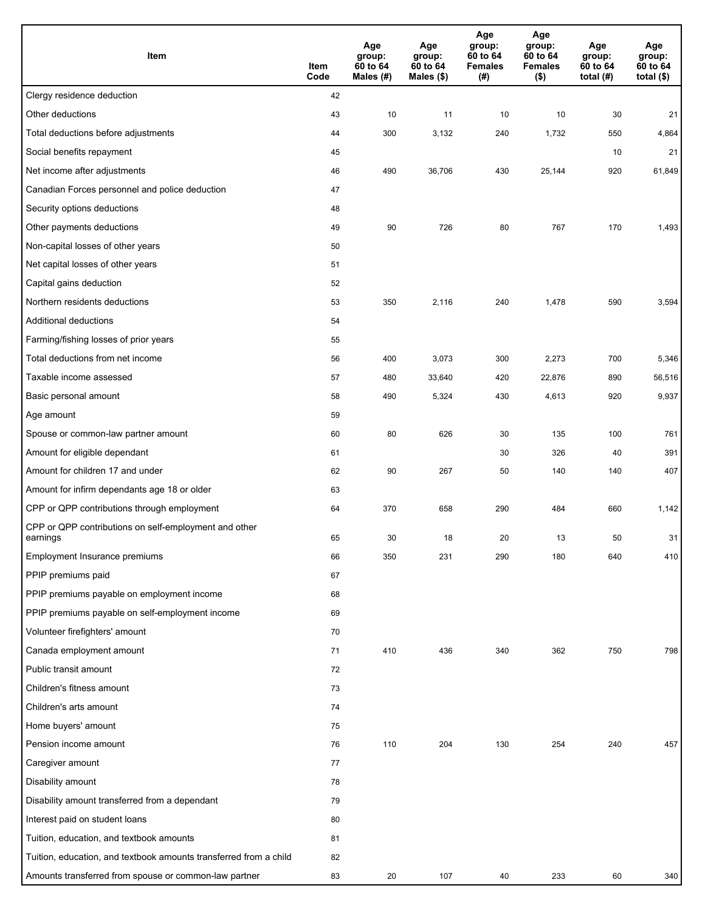| Item                                                              | Item<br>Code | Age<br>group:<br>60 to 64<br>Males $(H)$ | Age<br>group:<br>60 to 64<br>Males (\$) | Age<br>group:<br>60 to 64<br><b>Females</b><br>(#) | Age<br>group:<br>60 to 64<br><b>Females</b><br>$($ \$) | Age<br>group:<br>60 to 64<br>total $(H)$ | Age<br>group:<br>60 to 64<br>total $($)$ |
|-------------------------------------------------------------------|--------------|------------------------------------------|-----------------------------------------|----------------------------------------------------|--------------------------------------------------------|------------------------------------------|------------------------------------------|
| Clergy residence deduction                                        | 42           |                                          |                                         |                                                    |                                                        |                                          |                                          |
| Other deductions                                                  | 43           | 10                                       | 11                                      | 10                                                 | 10                                                     | 30                                       | 21                                       |
| Total deductions before adjustments                               | 44           | 300                                      | 3,132                                   | 240                                                | 1,732                                                  | 550                                      | 4,864                                    |
| Social benefits repayment                                         | 45           |                                          |                                         |                                                    |                                                        | 10                                       | 21                                       |
| Net income after adjustments                                      | 46           | 490                                      | 36,706                                  | 430                                                | 25,144                                                 | 920                                      | 61,849                                   |
| Canadian Forces personnel and police deduction                    | 47           |                                          |                                         |                                                    |                                                        |                                          |                                          |
| Security options deductions                                       | 48           |                                          |                                         |                                                    |                                                        |                                          |                                          |
| Other payments deductions                                         | 49           | 90                                       | 726                                     | 80                                                 | 767                                                    | 170                                      | 1,493                                    |
| Non-capital losses of other years                                 | 50           |                                          |                                         |                                                    |                                                        |                                          |                                          |
| Net capital losses of other years                                 | 51           |                                          |                                         |                                                    |                                                        |                                          |                                          |
| Capital gains deduction                                           | 52           |                                          |                                         |                                                    |                                                        |                                          |                                          |
| Northern residents deductions                                     | 53           | 350                                      | 2,116                                   | 240                                                | 1,478                                                  | 590                                      | 3,594                                    |
| Additional deductions                                             | 54           |                                          |                                         |                                                    |                                                        |                                          |                                          |
| Farming/fishing losses of prior years                             | 55           |                                          |                                         |                                                    |                                                        |                                          |                                          |
| Total deductions from net income                                  | 56           | 400                                      | 3,073                                   | 300                                                | 2,273                                                  | 700                                      | 5,346                                    |
| Taxable income assessed                                           | 57           | 480                                      | 33,640                                  | 420                                                | 22,876                                                 | 890                                      | 56,516                                   |
| Basic personal amount                                             | 58           | 490                                      | 5,324                                   | 430                                                | 4,613                                                  | 920                                      | 9,937                                    |
| Age amount                                                        | 59           |                                          |                                         |                                                    |                                                        |                                          |                                          |
| Spouse or common-law partner amount                               | 60           | 80                                       | 626                                     | 30                                                 | 135                                                    | 100                                      | 761                                      |
| Amount for eligible dependant                                     | 61           |                                          |                                         | 30                                                 | 326                                                    | 40                                       | 391                                      |
| Amount for children 17 and under                                  | 62           | 90                                       | 267                                     | 50                                                 | 140                                                    | 140                                      | 407                                      |
| Amount for infirm dependants age 18 or older                      | 63           |                                          |                                         |                                                    |                                                        |                                          |                                          |
| CPP or QPP contributions through employment                       | 64           | 370                                      | 658                                     | 290                                                | 484                                                    | 660                                      | 1,142                                    |
| CPP or QPP contributions on self-employment and other<br>earnings | 65           | 30                                       | 18                                      | 20                                                 | 13                                                     | 50                                       | 31                                       |
| Employment Insurance premiums                                     | 66           | 350                                      | 231                                     | 290                                                | 180                                                    | 640                                      | 410                                      |
| PPIP premiums paid                                                | 67           |                                          |                                         |                                                    |                                                        |                                          |                                          |
| PPIP premiums payable on employment income                        | 68           |                                          |                                         |                                                    |                                                        |                                          |                                          |
| PPIP premiums payable on self-employment income                   | 69           |                                          |                                         |                                                    |                                                        |                                          |                                          |
| Volunteer firefighters' amount                                    | 70           |                                          |                                         |                                                    |                                                        |                                          |                                          |
| Canada employment amount                                          | 71           | 410                                      | 436                                     | 340                                                | 362                                                    | 750                                      | 798                                      |
| Public transit amount                                             | 72           |                                          |                                         |                                                    |                                                        |                                          |                                          |
| Children's fitness amount                                         | 73           |                                          |                                         |                                                    |                                                        |                                          |                                          |
| Children's arts amount                                            | 74           |                                          |                                         |                                                    |                                                        |                                          |                                          |
| Home buyers' amount                                               | 75           |                                          |                                         |                                                    |                                                        |                                          |                                          |
| Pension income amount                                             | 76           | 110                                      | 204                                     | 130                                                | 254                                                    | 240                                      | 457                                      |
| Caregiver amount                                                  | 77           |                                          |                                         |                                                    |                                                        |                                          |                                          |
| Disability amount                                                 | 78           |                                          |                                         |                                                    |                                                        |                                          |                                          |
| Disability amount transferred from a dependant                    | 79           |                                          |                                         |                                                    |                                                        |                                          |                                          |
| Interest paid on student loans                                    | 80           |                                          |                                         |                                                    |                                                        |                                          |                                          |
| Tuition, education, and textbook amounts                          | 81           |                                          |                                         |                                                    |                                                        |                                          |                                          |
| Tuition, education, and textbook amounts transferred from a child | 82           |                                          |                                         |                                                    |                                                        |                                          |                                          |
| Amounts transferred from spouse or common-law partner             | 83           | 20                                       | 107                                     | 40                                                 | 233                                                    | 60                                       | 340                                      |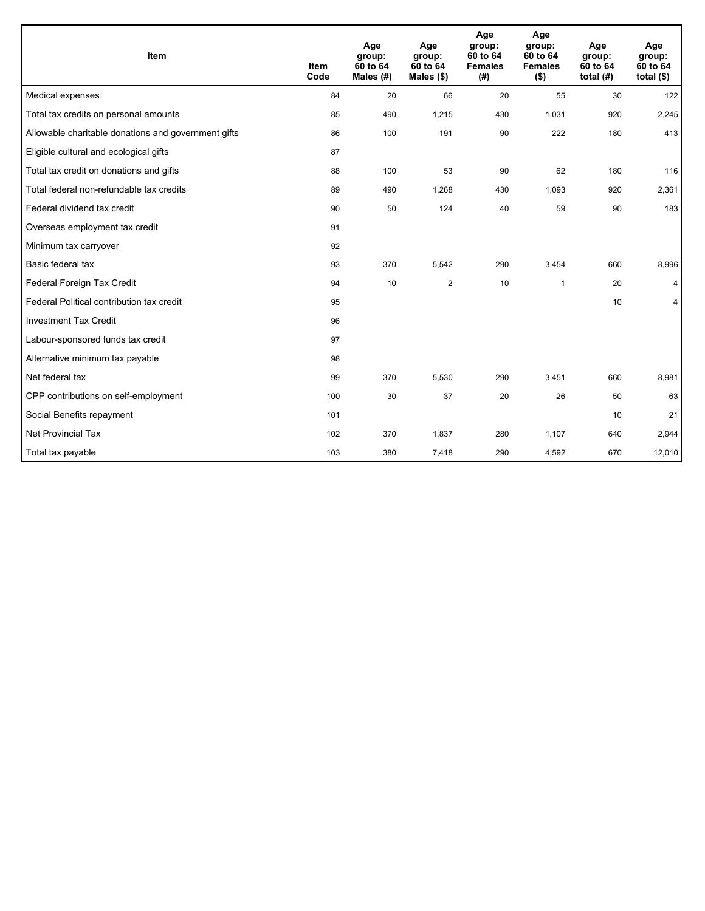| Item                                                | <b>Item</b><br>Code | Age<br>group:<br>60 to 64<br>Males (#) | Age<br>group:<br>60 to 64<br>Males $(\$)$ | Age<br>group:<br>60 to 64<br><b>Females</b><br>(# ) | Age<br>group:<br>60 to 64<br><b>Females</b><br>$($ \$) | Age<br>group:<br>60 to 64<br>total $(H)$ | Age<br>group:<br>60 to 64<br>total $($)$ |
|-----------------------------------------------------|---------------------|----------------------------------------|-------------------------------------------|-----------------------------------------------------|--------------------------------------------------------|------------------------------------------|------------------------------------------|
| Medical expenses                                    | 84                  | 20                                     | 66                                        | 20                                                  | 55                                                     | 30                                       | 122                                      |
| Total tax credits on personal amounts               | 85                  | 490                                    | 1,215                                     | 430                                                 | 1,031                                                  | 920                                      | 2,245                                    |
| Allowable charitable donations and government gifts | 86                  | 100                                    | 191                                       | 90                                                  | 222                                                    | 180                                      | 413                                      |
| Eligible cultural and ecological gifts              | 87                  |                                        |                                           |                                                     |                                                        |                                          |                                          |
| Total tax credit on donations and gifts             | 88                  | 100                                    | 53                                        | 90                                                  | 62                                                     | 180                                      | 116                                      |
| Total federal non-refundable tax credits            | 89                  | 490                                    | 1,268                                     | 430                                                 | 1,093                                                  | 920                                      | 2,361                                    |
| Federal dividend tax credit                         | 90                  | 50                                     | 124                                       | 40                                                  | 59                                                     | 90                                       | 183                                      |
| Overseas employment tax credit                      | 91                  |                                        |                                           |                                                     |                                                        |                                          |                                          |
| Minimum tax carryover                               | 92                  |                                        |                                           |                                                     |                                                        |                                          |                                          |
| Basic federal tax                                   | 93                  | 370                                    | 5,542                                     | 290                                                 | 3,454                                                  | 660                                      | 8,996                                    |
| Federal Foreign Tax Credit                          | 94                  | 10                                     | $\overline{2}$                            | 10                                                  | 1                                                      | 20                                       | 4                                        |
| Federal Political contribution tax credit           | 95                  |                                        |                                           |                                                     |                                                        | 10                                       | 4                                        |
| <b>Investment Tax Credit</b>                        | 96                  |                                        |                                           |                                                     |                                                        |                                          |                                          |
| Labour-sponsored funds tax credit                   | 97                  |                                        |                                           |                                                     |                                                        |                                          |                                          |
| Alternative minimum tax payable                     | 98                  |                                        |                                           |                                                     |                                                        |                                          |                                          |
| Net federal tax                                     | 99                  | 370                                    | 5,530                                     | 290                                                 | 3,451                                                  | 660                                      | 8,981                                    |
| CPP contributions on self-employment                | 100                 | 30                                     | 37                                        | 20                                                  | 26                                                     | 50                                       | 63                                       |
| Social Benefits repayment                           | 101                 |                                        |                                           |                                                     |                                                        | 10                                       | 21                                       |
| <b>Net Provincial Tax</b>                           | 102                 | 370                                    | 1,837                                     | 280                                                 | 1,107                                                  | 640                                      | 2,944                                    |
| Total tax payable                                   | 103                 | 380                                    | 7,418                                     | 290                                                 | 4,592                                                  | 670                                      | 12,010                                   |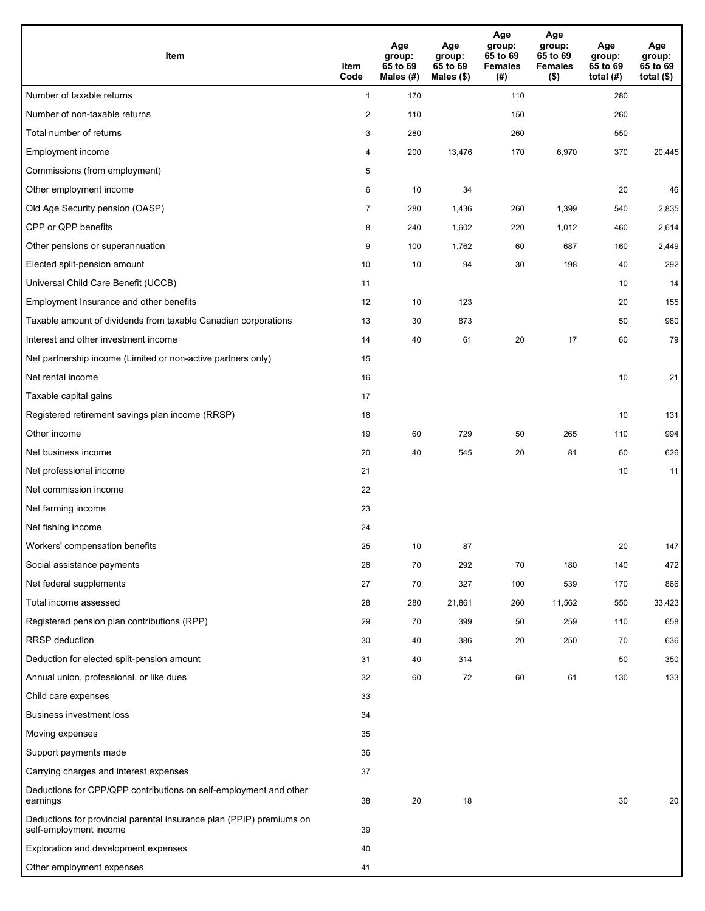| <b>Item</b>                                                                                    | Item<br>Code   | Age<br>group:<br>65 to 69<br>Males (#) | Age<br>group:<br>65 to 69<br>Males $(\$)$ | Age<br>group:<br>65 to 69<br><b>Females</b><br>(#) | Age<br>group:<br>65 to 69<br><b>Females</b><br>$($ \$) | Age<br>group:<br>65 to 69<br>total (#) | Age<br>group:<br>65 to 69<br>total $($)$ |
|------------------------------------------------------------------------------------------------|----------------|----------------------------------------|-------------------------------------------|----------------------------------------------------|--------------------------------------------------------|----------------------------------------|------------------------------------------|
| Number of taxable returns                                                                      | $\mathbf{1}$   | 170                                    |                                           | 110                                                |                                                        | 280                                    |                                          |
| Number of non-taxable returns                                                                  | 2              | 110                                    |                                           | 150                                                |                                                        | 260                                    |                                          |
| Total number of returns                                                                        | 3              | 280                                    |                                           | 260                                                |                                                        | 550                                    |                                          |
| Employment income                                                                              | 4              | 200                                    | 13,476                                    | 170                                                | 6,970                                                  | 370                                    | 20,445                                   |
| Commissions (from employment)                                                                  | 5              |                                        |                                           |                                                    |                                                        |                                        |                                          |
| Other employment income                                                                        | 6              | 10                                     | 34                                        |                                                    |                                                        | 20                                     | 46                                       |
| Old Age Security pension (OASP)                                                                | $\overline{7}$ | 280                                    | 1,436                                     | 260                                                | 1,399                                                  | 540                                    | 2,835                                    |
| CPP or QPP benefits                                                                            | 8              | 240                                    | 1,602                                     | 220                                                | 1,012                                                  | 460                                    | 2,614                                    |
| Other pensions or superannuation                                                               | 9              | 100                                    | 1,762                                     | 60                                                 | 687                                                    | 160                                    | 2,449                                    |
| Elected split-pension amount                                                                   | 10             | 10                                     | 94                                        | 30                                                 | 198                                                    | 40                                     | 292                                      |
| Universal Child Care Benefit (UCCB)                                                            | 11             |                                        |                                           |                                                    |                                                        | 10                                     | 14                                       |
| Employment Insurance and other benefits                                                        | 12             | 10                                     | 123                                       |                                                    |                                                        | 20                                     | 155                                      |
| Taxable amount of dividends from taxable Canadian corporations                                 | 13             | 30                                     | 873                                       |                                                    |                                                        | 50                                     | 980                                      |
| Interest and other investment income                                                           | 14             | 40                                     | 61                                        | 20                                                 | 17                                                     | 60                                     | 79                                       |
| Net partnership income (Limited or non-active partners only)                                   | 15             |                                        |                                           |                                                    |                                                        |                                        |                                          |
| Net rental income                                                                              | 16             |                                        |                                           |                                                    |                                                        | 10                                     | 21                                       |
| Taxable capital gains                                                                          | 17             |                                        |                                           |                                                    |                                                        |                                        |                                          |
| Registered retirement savings plan income (RRSP)                                               | 18             |                                        |                                           |                                                    |                                                        | 10                                     | 131                                      |
| Other income                                                                                   | 19             | 60                                     | 729                                       | 50                                                 | 265                                                    | 110                                    | 994                                      |
| Net business income                                                                            | 20             | 40                                     | 545                                       | 20                                                 | 81                                                     | 60                                     | 626                                      |
| Net professional income                                                                        | 21             |                                        |                                           |                                                    |                                                        | 10                                     | 11                                       |
| Net commission income                                                                          | 22             |                                        |                                           |                                                    |                                                        |                                        |                                          |
| Net farming income                                                                             | 23             |                                        |                                           |                                                    |                                                        |                                        |                                          |
| Net fishing income                                                                             | 24             |                                        |                                           |                                                    |                                                        |                                        |                                          |
| Workers' compensation benefits                                                                 | 25             | 10                                     | 87                                        |                                                    |                                                        | 20                                     | 147                                      |
| Social assistance payments                                                                     | 26             | 70                                     | 292                                       | 70                                                 | 180                                                    | 140                                    | 472                                      |
| Net federal supplements                                                                        | 27             | 70                                     | 327                                       | 100                                                | 539                                                    | 170                                    | 866                                      |
| Total income assessed                                                                          | 28             | 280                                    | 21,861                                    | 260                                                | 11,562                                                 | 550                                    | 33,423                                   |
| Registered pension plan contributions (RPP)                                                    | 29             | 70                                     | 399                                       | 50                                                 | 259                                                    | 110                                    | 658                                      |
| RRSP deduction                                                                                 | 30             | 40                                     | 386                                       | 20                                                 | 250                                                    | 70                                     | 636                                      |
| Deduction for elected split-pension amount                                                     | 31             | 40                                     | 314                                       |                                                    |                                                        | 50                                     | 350                                      |
| Annual union, professional, or like dues                                                       | 32             | 60                                     | 72                                        | 60                                                 | 61                                                     | 130                                    | 133                                      |
| Child care expenses                                                                            | 33             |                                        |                                           |                                                    |                                                        |                                        |                                          |
| Business investment loss                                                                       | 34             |                                        |                                           |                                                    |                                                        |                                        |                                          |
| Moving expenses                                                                                | 35             |                                        |                                           |                                                    |                                                        |                                        |                                          |
| Support payments made                                                                          | 36             |                                        |                                           |                                                    |                                                        |                                        |                                          |
| Carrying charges and interest expenses                                                         | 37             |                                        |                                           |                                                    |                                                        |                                        |                                          |
| Deductions for CPP/QPP contributions on self-employment and other<br>earnings                  | 38             | 20                                     | 18                                        |                                                    |                                                        | 30                                     | 20                                       |
| Deductions for provincial parental insurance plan (PPIP) premiums on<br>self-employment income | 39             |                                        |                                           |                                                    |                                                        |                                        |                                          |
| Exploration and development expenses                                                           | 40             |                                        |                                           |                                                    |                                                        |                                        |                                          |
| Other employment expenses                                                                      | 41             |                                        |                                           |                                                    |                                                        |                                        |                                          |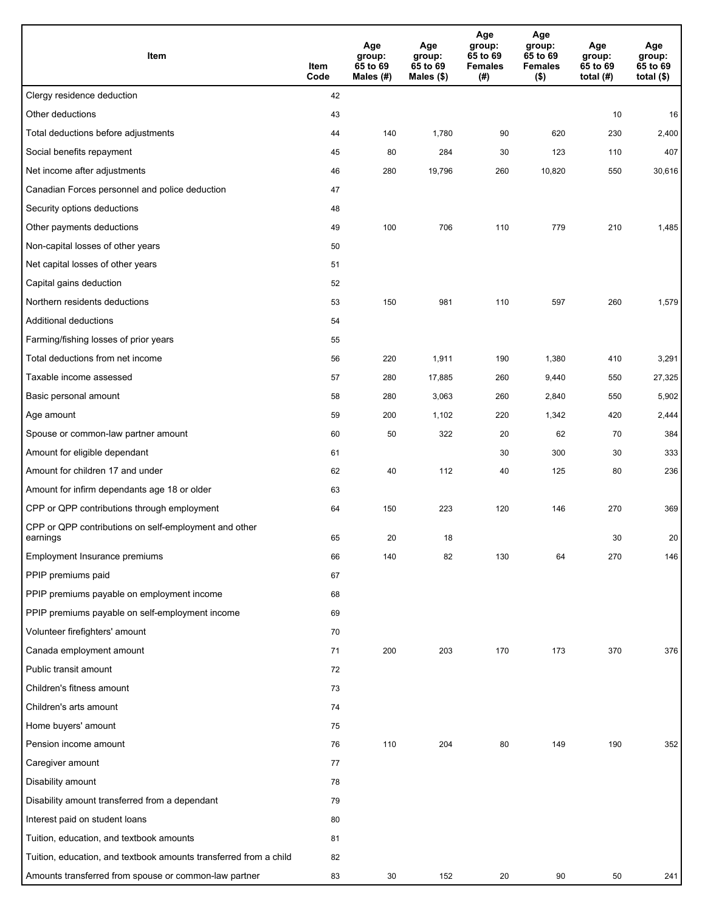| Item                                                              | Item<br>Code | Age<br>group:<br>65 to 69<br>Males (#) | Age<br>group:<br>65 to 69<br>Males (\$) | Age<br>group:<br>65 to 69<br><b>Females</b><br>(# ) | Age<br>group:<br>65 to 69<br><b>Females</b><br>$($ \$) | Age<br>group:<br>65 to 69<br>total $(H)$ | Age<br>group:<br>65 to 69<br>total $($)$ |
|-------------------------------------------------------------------|--------------|----------------------------------------|-----------------------------------------|-----------------------------------------------------|--------------------------------------------------------|------------------------------------------|------------------------------------------|
| Clergy residence deduction                                        | 42           |                                        |                                         |                                                     |                                                        |                                          |                                          |
| Other deductions                                                  | 43           |                                        |                                         |                                                     |                                                        | 10                                       | 16                                       |
| Total deductions before adjustments                               | 44           | 140                                    | 1,780                                   | 90                                                  | 620                                                    | 230                                      | 2,400                                    |
| Social benefits repayment                                         | 45           | 80                                     | 284                                     | 30                                                  | 123                                                    | 110                                      | 407                                      |
| Net income after adjustments                                      | 46           | 280                                    | 19,796                                  | 260                                                 | 10,820                                                 | 550                                      | 30,616                                   |
| Canadian Forces personnel and police deduction                    | 47           |                                        |                                         |                                                     |                                                        |                                          |                                          |
| Security options deductions                                       | 48           |                                        |                                         |                                                     |                                                        |                                          |                                          |
| Other payments deductions                                         | 49           | 100                                    | 706                                     | 110                                                 | 779                                                    | 210                                      | 1,485                                    |
| Non-capital losses of other years                                 | 50           |                                        |                                         |                                                     |                                                        |                                          |                                          |
| Net capital losses of other years                                 | 51           |                                        |                                         |                                                     |                                                        |                                          |                                          |
| Capital gains deduction                                           | 52           |                                        |                                         |                                                     |                                                        |                                          |                                          |
| Northern residents deductions                                     | 53           | 150                                    | 981                                     | 110                                                 | 597                                                    | 260                                      | 1,579                                    |
| Additional deductions                                             | 54           |                                        |                                         |                                                     |                                                        |                                          |                                          |
| Farming/fishing losses of prior years                             | 55           |                                        |                                         |                                                     |                                                        |                                          |                                          |
| Total deductions from net income                                  | 56           | 220                                    | 1,911                                   | 190                                                 | 1,380                                                  | 410                                      | 3,291                                    |
| Taxable income assessed                                           | 57           | 280                                    | 17,885                                  | 260                                                 | 9,440                                                  | 550                                      | 27,325                                   |
| Basic personal amount                                             | 58           | 280                                    | 3,063                                   | 260                                                 | 2,840                                                  | 550                                      | 5,902                                    |
| Age amount                                                        | 59           | 200                                    | 1,102                                   | 220                                                 | 1,342                                                  | 420                                      | 2,444                                    |
| Spouse or common-law partner amount                               | 60           | 50                                     | 322                                     | 20                                                  | 62                                                     | 70                                       | 384                                      |
| Amount for eligible dependant                                     | 61           |                                        |                                         | 30                                                  | 300                                                    | 30                                       | 333                                      |
| Amount for children 17 and under                                  | 62           | 40                                     | 112                                     | 40                                                  | 125                                                    | 80                                       | 236                                      |
| Amount for infirm dependants age 18 or older                      | 63           |                                        |                                         |                                                     |                                                        |                                          |                                          |
| CPP or QPP contributions through employment                       | 64           | 150                                    | 223                                     | 120                                                 | 146                                                    | 270                                      | 369                                      |
| CPP or QPP contributions on self-employment and other<br>earnings | 65           | 20                                     | 18                                      |                                                     |                                                        | 30                                       | 20                                       |
| Employment Insurance premiums                                     | 66           | 140                                    | 82                                      | 130                                                 | 64                                                     | 270                                      | 146                                      |
| PPIP premiums paid                                                | 67           |                                        |                                         |                                                     |                                                        |                                          |                                          |
| PPIP premiums payable on employment income                        | 68           |                                        |                                         |                                                     |                                                        |                                          |                                          |
| PPIP premiums payable on self-employment income                   | 69           |                                        |                                         |                                                     |                                                        |                                          |                                          |
| Volunteer firefighters' amount                                    | 70           |                                        |                                         |                                                     |                                                        |                                          |                                          |
| Canada employment amount                                          | 71           | 200                                    | 203                                     | 170                                                 | 173                                                    | 370                                      | 376                                      |
| Public transit amount                                             | 72           |                                        |                                         |                                                     |                                                        |                                          |                                          |
| Children's fitness amount                                         | 73           |                                        |                                         |                                                     |                                                        |                                          |                                          |
| Children's arts amount                                            | 74           |                                        |                                         |                                                     |                                                        |                                          |                                          |
| Home buyers' amount                                               | 75           |                                        |                                         |                                                     |                                                        |                                          |                                          |
| Pension income amount                                             | 76           | 110                                    | 204                                     | 80                                                  | 149                                                    | 190                                      | 352                                      |
| Caregiver amount                                                  | 77           |                                        |                                         |                                                     |                                                        |                                          |                                          |
| Disability amount                                                 | 78           |                                        |                                         |                                                     |                                                        |                                          |                                          |
| Disability amount transferred from a dependant                    | 79           |                                        |                                         |                                                     |                                                        |                                          |                                          |
| Interest paid on student loans                                    | 80           |                                        |                                         |                                                     |                                                        |                                          |                                          |
| Tuition, education, and textbook amounts                          | 81           |                                        |                                         |                                                     |                                                        |                                          |                                          |
| Tuition, education, and textbook amounts transferred from a child | 82           |                                        |                                         |                                                     |                                                        |                                          |                                          |
| Amounts transferred from spouse or common-law partner             | 83           | 30                                     | 152                                     | 20                                                  | 90                                                     | 50                                       | 241                                      |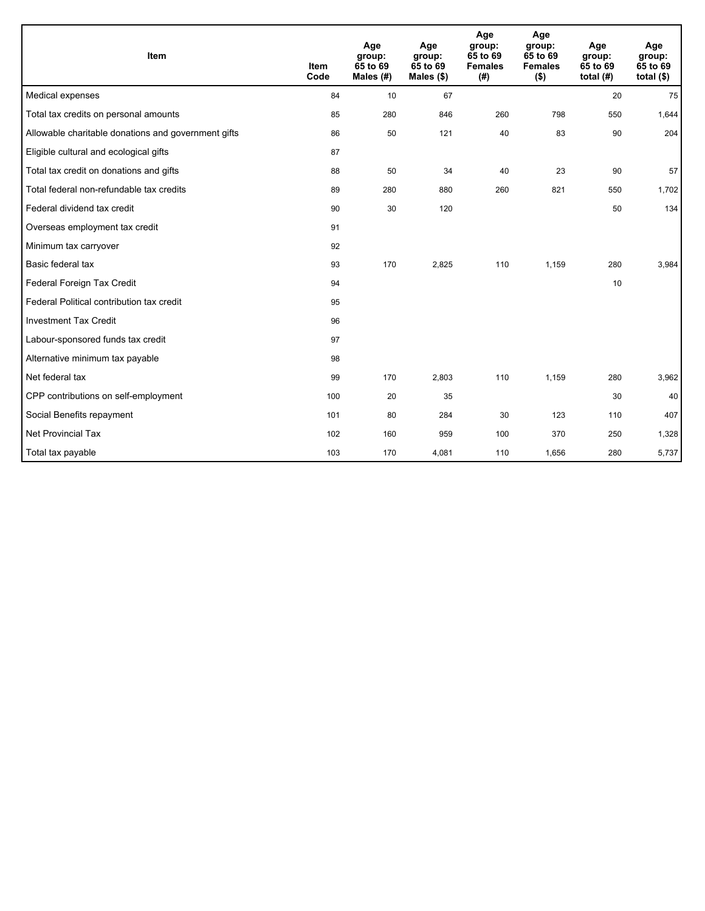| Item                                                | <b>Item</b><br>Code | Age<br>group:<br>65 to 69<br>Males (#) | Age<br>group:<br>65 to 69<br>Males $(\$)$ | Age<br>group:<br>65 to 69<br><b>Females</b><br>(#) | Age<br>group:<br>65 to 69<br><b>Females</b><br>$($ \$) | Age<br>group:<br>65 to 69<br>total $(H)$ | Age<br>group:<br>65 to 69<br>total $($)$ |
|-----------------------------------------------------|---------------------|----------------------------------------|-------------------------------------------|----------------------------------------------------|--------------------------------------------------------|------------------------------------------|------------------------------------------|
| Medical expenses                                    | 84                  | 10                                     | 67                                        |                                                    |                                                        | 20                                       | 75                                       |
| Total tax credits on personal amounts               | 85                  | 280                                    | 846                                       | 260                                                | 798                                                    | 550                                      | 1,644                                    |
| Allowable charitable donations and government gifts | 86                  | 50                                     | 121                                       | 40                                                 | 83                                                     | 90                                       | 204                                      |
| Eligible cultural and ecological gifts              | 87                  |                                        |                                           |                                                    |                                                        |                                          |                                          |
| Total tax credit on donations and gifts             | 88                  | 50                                     | 34                                        | 40                                                 | 23                                                     | 90                                       | 57                                       |
| Total federal non-refundable tax credits            | 89                  | 280                                    | 880                                       | 260                                                | 821                                                    | 550                                      | 1,702                                    |
| Federal dividend tax credit                         | 90                  | 30                                     | 120                                       |                                                    |                                                        | 50                                       | 134                                      |
| Overseas employment tax credit                      | 91                  |                                        |                                           |                                                    |                                                        |                                          |                                          |
| Minimum tax carryover                               | 92                  |                                        |                                           |                                                    |                                                        |                                          |                                          |
| Basic federal tax                                   | 93                  | 170                                    | 2,825                                     | 110                                                | 1,159                                                  | 280                                      | 3,984                                    |
| Federal Foreign Tax Credit                          | 94                  |                                        |                                           |                                                    |                                                        | 10                                       |                                          |
| Federal Political contribution tax credit           | 95                  |                                        |                                           |                                                    |                                                        |                                          |                                          |
| <b>Investment Tax Credit</b>                        | 96                  |                                        |                                           |                                                    |                                                        |                                          |                                          |
| Labour-sponsored funds tax credit                   | 97                  |                                        |                                           |                                                    |                                                        |                                          |                                          |
| Alternative minimum tax payable                     | 98                  |                                        |                                           |                                                    |                                                        |                                          |                                          |
| Net federal tax                                     | 99                  | 170                                    | 2,803                                     | 110                                                | 1,159                                                  | 280                                      | 3,962                                    |
| CPP contributions on self-employment                | 100                 | 20                                     | 35                                        |                                                    |                                                        | 30                                       | 40                                       |
| Social Benefits repayment                           | 101                 | 80                                     | 284                                       | 30                                                 | 123                                                    | 110                                      | 407                                      |
| Net Provincial Tax                                  | 102                 | 160                                    | 959                                       | 100                                                | 370                                                    | 250                                      | 1,328                                    |
| Total tax payable                                   | 103                 | 170                                    | 4,081                                     | 110                                                | 1,656                                                  | 280                                      | 5,737                                    |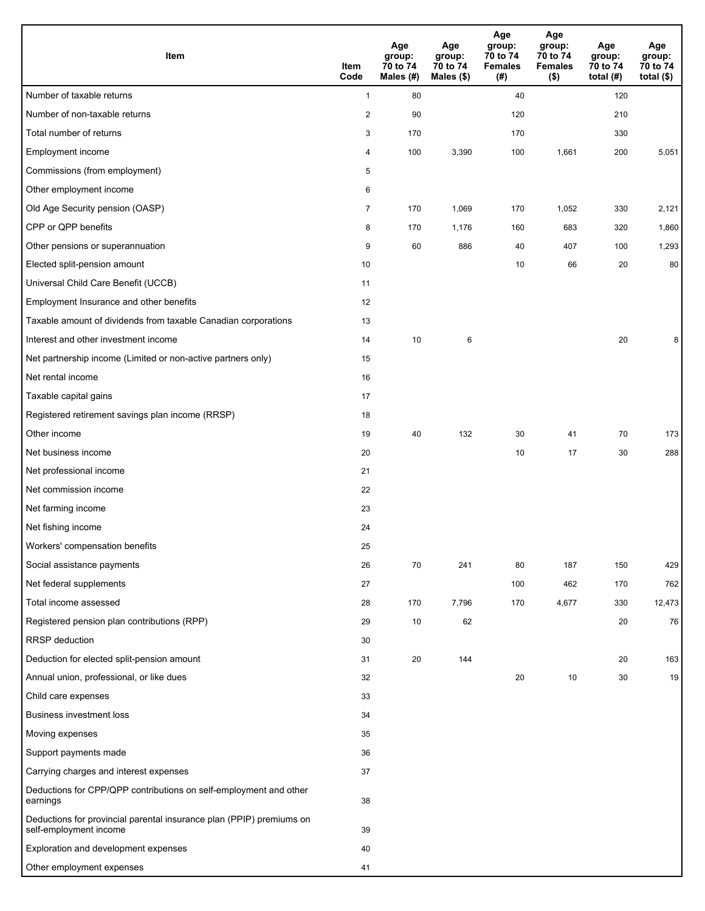| Item                                                                                           | Item<br>Code   | Age<br>group:<br>70 to 74<br>Males (#) | Age<br>group:<br>70 to 74<br>Males (\$) | Age<br>group:<br>70 to 74<br><b>Females</b><br>(# ) | Age<br>group:<br>70 to 74<br><b>Females</b><br>$($ \$) | Age<br>group:<br>70 to 74<br>total $(H)$ | Age<br>group:<br>70 to 74<br>total $($)$ |
|------------------------------------------------------------------------------------------------|----------------|----------------------------------------|-----------------------------------------|-----------------------------------------------------|--------------------------------------------------------|------------------------------------------|------------------------------------------|
| Number of taxable returns                                                                      | $\mathbf{1}$   | 80                                     |                                         | 40                                                  |                                                        | 120                                      |                                          |
| Number of non-taxable returns                                                                  | $\sqrt{2}$     | 90                                     |                                         | 120                                                 |                                                        | 210                                      |                                          |
| Total number of returns                                                                        | 3              | 170                                    |                                         | 170                                                 |                                                        | 330                                      |                                          |
| Employment income                                                                              | 4              | 100                                    | 3,390                                   | 100                                                 | 1,661                                                  | 200                                      | 5,051                                    |
| Commissions (from employment)                                                                  | 5              |                                        |                                         |                                                     |                                                        |                                          |                                          |
| Other employment income                                                                        | 6              |                                        |                                         |                                                     |                                                        |                                          |                                          |
| Old Age Security pension (OASP)                                                                | $\overline{7}$ | 170                                    | 1,069                                   | 170                                                 | 1,052                                                  | 330                                      | 2,121                                    |
| CPP or QPP benefits                                                                            | 8              | 170                                    | 1,176                                   | 160                                                 | 683                                                    | 320                                      | 1,860                                    |
| Other pensions or superannuation                                                               | 9              | 60                                     | 886                                     | 40                                                  | 407                                                    | 100                                      | 1,293                                    |
| Elected split-pension amount                                                                   | 10             |                                        |                                         | 10                                                  | 66                                                     | 20                                       | 80                                       |
| Universal Child Care Benefit (UCCB)                                                            | 11             |                                        |                                         |                                                     |                                                        |                                          |                                          |
| Employment Insurance and other benefits                                                        | 12             |                                        |                                         |                                                     |                                                        |                                          |                                          |
| Taxable amount of dividends from taxable Canadian corporations                                 | 13             |                                        |                                         |                                                     |                                                        |                                          |                                          |
| Interest and other investment income                                                           | 14             | 10                                     | 6                                       |                                                     |                                                        | 20                                       | 8                                        |
| Net partnership income (Limited or non-active partners only)                                   | 15             |                                        |                                         |                                                     |                                                        |                                          |                                          |
| Net rental income                                                                              | 16             |                                        |                                         |                                                     |                                                        |                                          |                                          |
| Taxable capital gains                                                                          | 17             |                                        |                                         |                                                     |                                                        |                                          |                                          |
| Registered retirement savings plan income (RRSP)                                               | 18             |                                        |                                         |                                                     |                                                        |                                          |                                          |
| Other income                                                                                   | 19             | 40                                     | 132                                     | 30                                                  | 41                                                     | 70                                       | 173                                      |
| Net business income                                                                            | 20             |                                        |                                         | 10                                                  | 17                                                     | 30                                       | 288                                      |
| Net professional income                                                                        | 21             |                                        |                                         |                                                     |                                                        |                                          |                                          |
| Net commission income                                                                          | 22             |                                        |                                         |                                                     |                                                        |                                          |                                          |
| Net farming income                                                                             | 23             |                                        |                                         |                                                     |                                                        |                                          |                                          |
| Net fishing income                                                                             | 24             |                                        |                                         |                                                     |                                                        |                                          |                                          |
| Workers' compensation benefits                                                                 | 25             |                                        |                                         |                                                     |                                                        |                                          |                                          |
| Social assistance payments                                                                     | 26             | 70                                     | 241                                     | 80                                                  | 187                                                    | 150                                      | 429                                      |
| Net federal supplements                                                                        | 27             |                                        |                                         | 100                                                 | 462                                                    | 170                                      | 762                                      |
| Total income assessed                                                                          | 28             | 170                                    | 7,796                                   | 170                                                 | 4,677                                                  | 330                                      | 12,473                                   |
| Registered pension plan contributions (RPP)                                                    | 29             | 10                                     | 62                                      |                                                     |                                                        | 20                                       | 76                                       |
| RRSP deduction                                                                                 | 30             |                                        |                                         |                                                     |                                                        |                                          |                                          |
| Deduction for elected split-pension amount                                                     | 31             | 20                                     | 144                                     |                                                     |                                                        | 20                                       | 163                                      |
| Annual union, professional, or like dues                                                       | 32             |                                        |                                         | 20                                                  | 10                                                     | 30                                       | 19                                       |
| Child care expenses                                                                            | 33             |                                        |                                         |                                                     |                                                        |                                          |                                          |
| Business investment loss                                                                       | 34             |                                        |                                         |                                                     |                                                        |                                          |                                          |
| Moving expenses                                                                                | 35             |                                        |                                         |                                                     |                                                        |                                          |                                          |
| Support payments made                                                                          | 36             |                                        |                                         |                                                     |                                                        |                                          |                                          |
| Carrying charges and interest expenses                                                         | 37             |                                        |                                         |                                                     |                                                        |                                          |                                          |
| Deductions for CPP/QPP contributions on self-employment and other<br>earnings                  | 38             |                                        |                                         |                                                     |                                                        |                                          |                                          |
| Deductions for provincial parental insurance plan (PPIP) premiums on<br>self-employment income | 39             |                                        |                                         |                                                     |                                                        |                                          |                                          |
| Exploration and development expenses                                                           | 40             |                                        |                                         |                                                     |                                                        |                                          |                                          |
| Other employment expenses                                                                      | 41             |                                        |                                         |                                                     |                                                        |                                          |                                          |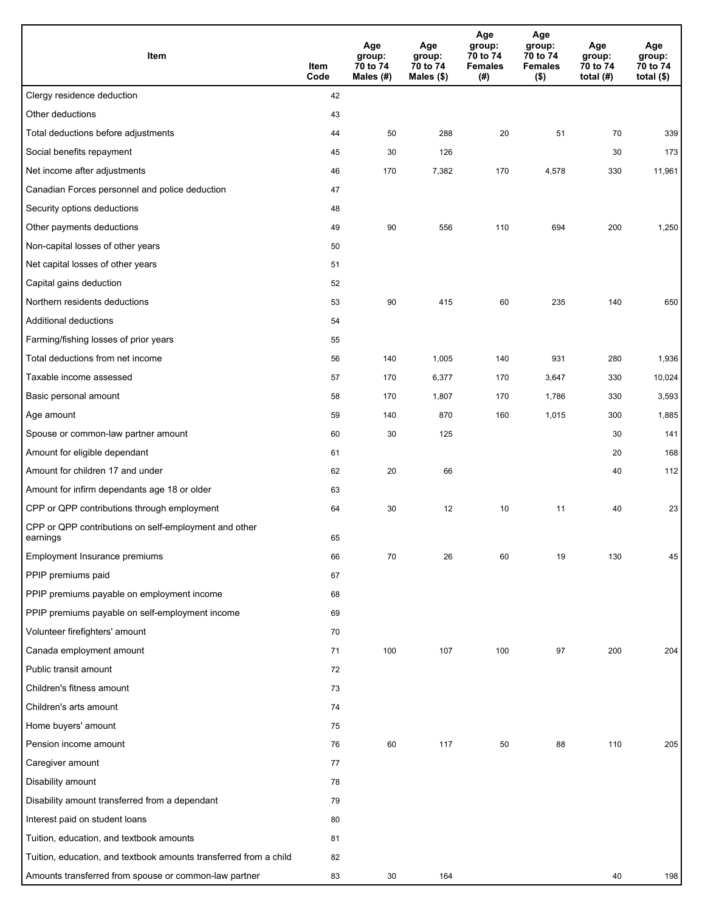| Item                                                              | Item<br>Code | Age<br>group:<br>70 to 74<br>Males $(H)$ | Age<br>group:<br>70 to 74<br>Males (\$) | Age<br>group:<br>70 to 74<br><b>Females</b><br>(#) | Age<br>group:<br>70 to 74<br><b>Females</b><br>$($ \$) | Age<br>group:<br>70 to 74<br>total $(H)$ | Age<br>group:<br>70 to 74<br>total $($)$ |
|-------------------------------------------------------------------|--------------|------------------------------------------|-----------------------------------------|----------------------------------------------------|--------------------------------------------------------|------------------------------------------|------------------------------------------|
| Clergy residence deduction                                        | 42           |                                          |                                         |                                                    |                                                        |                                          |                                          |
| Other deductions                                                  | 43           |                                          |                                         |                                                    |                                                        |                                          |                                          |
| Total deductions before adjustments                               | 44           | 50                                       | 288                                     | 20                                                 | 51                                                     | 70                                       | 339                                      |
| Social benefits repayment                                         | 45           | 30                                       | 126                                     |                                                    |                                                        | 30                                       | 173                                      |
| Net income after adjustments                                      | 46           | 170                                      | 7,382                                   | 170                                                | 4,578                                                  | 330                                      | 11,961                                   |
| Canadian Forces personnel and police deduction                    | 47           |                                          |                                         |                                                    |                                                        |                                          |                                          |
| Security options deductions                                       | 48           |                                          |                                         |                                                    |                                                        |                                          |                                          |
| Other payments deductions                                         | 49           | 90                                       | 556                                     | 110                                                | 694                                                    | 200                                      | 1,250                                    |
| Non-capital losses of other years                                 | 50           |                                          |                                         |                                                    |                                                        |                                          |                                          |
| Net capital losses of other years                                 | 51           |                                          |                                         |                                                    |                                                        |                                          |                                          |
| Capital gains deduction                                           | 52           |                                          |                                         |                                                    |                                                        |                                          |                                          |
| Northern residents deductions                                     | 53           | 90                                       | 415                                     | 60                                                 | 235                                                    | 140                                      | 650                                      |
| Additional deductions                                             | 54           |                                          |                                         |                                                    |                                                        |                                          |                                          |
| Farming/fishing losses of prior years                             | 55           |                                          |                                         |                                                    |                                                        |                                          |                                          |
| Total deductions from net income                                  | 56           | 140                                      | 1,005                                   | 140                                                | 931                                                    | 280                                      | 1,936                                    |
| Taxable income assessed                                           | 57           | 170                                      | 6,377                                   | 170                                                | 3,647                                                  | 330                                      | 10,024                                   |
| Basic personal amount                                             | 58           | 170                                      | 1,807                                   | 170                                                | 1,786                                                  | 330                                      | 3,593                                    |
| Age amount                                                        | 59           | 140                                      | 870                                     | 160                                                | 1,015                                                  | 300                                      | 1,885                                    |
| Spouse or common-law partner amount                               | 60           | 30                                       | 125                                     |                                                    |                                                        | 30                                       | 141                                      |
| Amount for eligible dependant                                     | 61           |                                          |                                         |                                                    |                                                        | 20                                       | 168                                      |
| Amount for children 17 and under                                  | 62           | 20                                       | 66                                      |                                                    |                                                        | 40                                       | 112                                      |
| Amount for infirm dependants age 18 or older                      | 63           |                                          |                                         |                                                    |                                                        |                                          |                                          |
| CPP or QPP contributions through employment                       | 64           | 30                                       | 12                                      | 10                                                 | 11                                                     | 40                                       | 23                                       |
| CPP or QPP contributions on self-employment and other<br>earnings | 65           |                                          |                                         |                                                    |                                                        |                                          |                                          |
| Employment Insurance premiums                                     | 66           | 70                                       | 26                                      | 60                                                 | 19                                                     | 130                                      | 45                                       |
| PPIP premiums paid                                                | 67           |                                          |                                         |                                                    |                                                        |                                          |                                          |
| PPIP premiums payable on employment income                        | 68           |                                          |                                         |                                                    |                                                        |                                          |                                          |
| PPIP premiums payable on self-employment income                   | 69           |                                          |                                         |                                                    |                                                        |                                          |                                          |
| Volunteer firefighters' amount                                    | 70           |                                          |                                         |                                                    |                                                        |                                          |                                          |
| Canada employment amount                                          | 71           | 100                                      | 107                                     | 100                                                | 97                                                     | 200                                      | 204                                      |
| Public transit amount                                             | 72           |                                          |                                         |                                                    |                                                        |                                          |                                          |
| Children's fitness amount                                         | 73           |                                          |                                         |                                                    |                                                        |                                          |                                          |
| Children's arts amount                                            | 74           |                                          |                                         |                                                    |                                                        |                                          |                                          |
| Home buyers' amount                                               | 75           |                                          |                                         |                                                    |                                                        |                                          |                                          |
| Pension income amount                                             | 76           | 60                                       | 117                                     | 50                                                 | 88                                                     | 110                                      | 205                                      |
| Caregiver amount                                                  | 77           |                                          |                                         |                                                    |                                                        |                                          |                                          |
| Disability amount                                                 | 78           |                                          |                                         |                                                    |                                                        |                                          |                                          |
| Disability amount transferred from a dependant                    | 79           |                                          |                                         |                                                    |                                                        |                                          |                                          |
| Interest paid on student loans                                    | 80           |                                          |                                         |                                                    |                                                        |                                          |                                          |
| Tuition, education, and textbook amounts                          | 81           |                                          |                                         |                                                    |                                                        |                                          |                                          |
| Tuition, education, and textbook amounts transferred from a child | 82           |                                          |                                         |                                                    |                                                        |                                          |                                          |
| Amounts transferred from spouse or common-law partner             | 83           | 30                                       | 164                                     |                                                    |                                                        | 40                                       | 198                                      |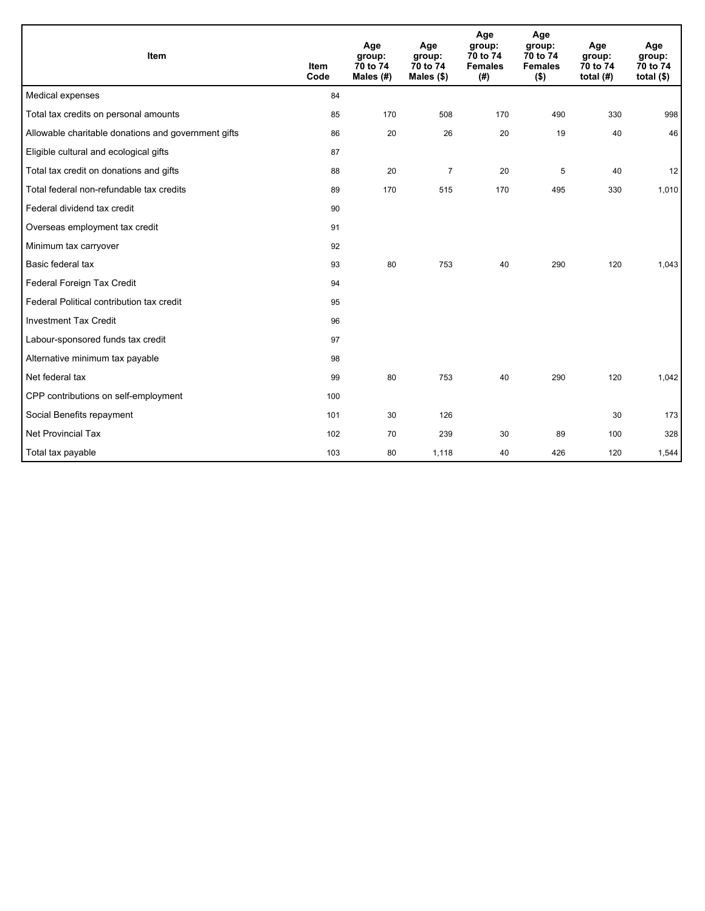| Item                                                | <b>Item</b><br>Code | Age<br>group:<br>70 to 74<br>Males $(H)$ | Age<br>group:<br>70 to 74<br>Males $(\$)$ | Age<br>group:<br>70 to 74<br><b>Females</b><br>(# ) | Age<br>group:<br>70 to 74<br><b>Females</b><br>$($ \$) | Age<br>group:<br>70 to 74<br>total $(H)$ | Age<br>group:<br>70 to 74<br>total $($)$ |
|-----------------------------------------------------|---------------------|------------------------------------------|-------------------------------------------|-----------------------------------------------------|--------------------------------------------------------|------------------------------------------|------------------------------------------|
| Medical expenses                                    | 84                  |                                          |                                           |                                                     |                                                        |                                          |                                          |
| Total tax credits on personal amounts               | 85                  | 170                                      | 508                                       | 170                                                 | 490                                                    | 330                                      | 998                                      |
| Allowable charitable donations and government gifts | 86                  | 20                                       | 26                                        | 20                                                  | 19                                                     | 40                                       | 46                                       |
| Eligible cultural and ecological gifts              | 87                  |                                          |                                           |                                                     |                                                        |                                          |                                          |
| Total tax credit on donations and gifts             | 88                  | 20                                       | $\overline{7}$                            | 20                                                  | 5                                                      | 40                                       | 12                                       |
| Total federal non-refundable tax credits            | 89                  | 170                                      | 515                                       | 170                                                 | 495                                                    | 330                                      | 1,010                                    |
| Federal dividend tax credit                         | 90                  |                                          |                                           |                                                     |                                                        |                                          |                                          |
| Overseas employment tax credit                      | 91                  |                                          |                                           |                                                     |                                                        |                                          |                                          |
| Minimum tax carryover                               | 92                  |                                          |                                           |                                                     |                                                        |                                          |                                          |
| Basic federal tax                                   | 93                  | 80                                       | 753                                       | 40                                                  | 290                                                    | 120                                      | 1,043                                    |
| Federal Foreign Tax Credit                          | 94                  |                                          |                                           |                                                     |                                                        |                                          |                                          |
| Federal Political contribution tax credit           | 95                  |                                          |                                           |                                                     |                                                        |                                          |                                          |
| <b>Investment Tax Credit</b>                        | 96                  |                                          |                                           |                                                     |                                                        |                                          |                                          |
| Labour-sponsored funds tax credit                   | 97                  |                                          |                                           |                                                     |                                                        |                                          |                                          |
| Alternative minimum tax payable                     | 98                  |                                          |                                           |                                                     |                                                        |                                          |                                          |
| Net federal tax                                     | 99                  | 80                                       | 753                                       | 40                                                  | 290                                                    | 120                                      | 1,042                                    |
| CPP contributions on self-employment                | 100                 |                                          |                                           |                                                     |                                                        |                                          |                                          |
| Social Benefits repayment                           | 101                 | 30                                       | 126                                       |                                                     |                                                        | 30                                       | 173                                      |
| <b>Net Provincial Tax</b>                           | 102                 | 70                                       | 239                                       | 30                                                  | 89                                                     | 100                                      | 328                                      |
| Total tax payable                                   | 103                 | 80                                       | 1,118                                     | 40                                                  | 426                                                    | 120                                      | 1,544                                    |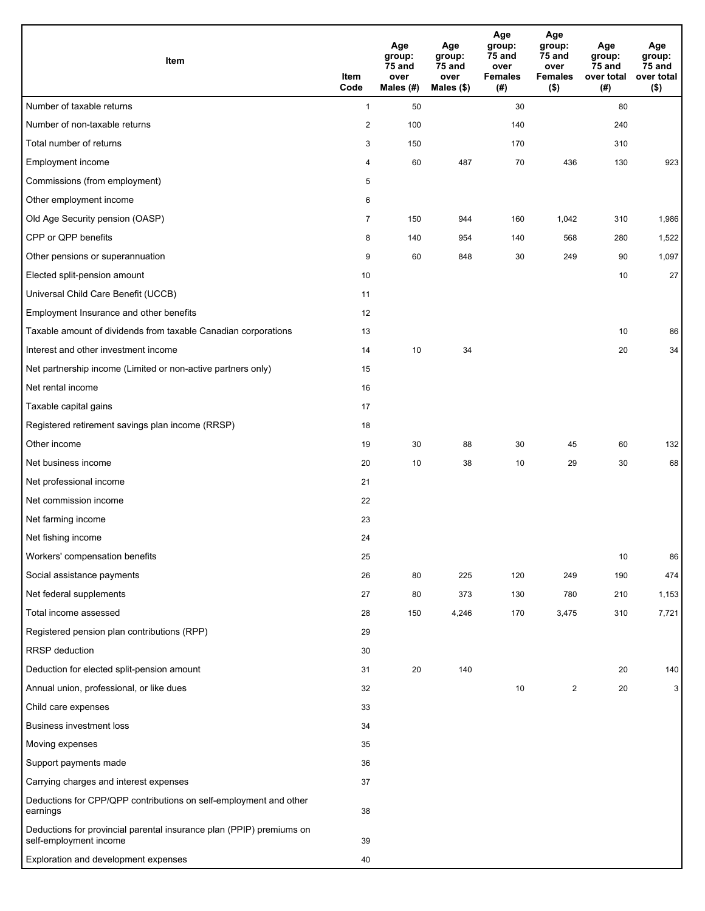| Item                                                                                           | Item<br>Code   | Age<br>group:<br>75 and<br>over<br>Males (#) | Age<br>group:<br>75 and<br>over<br>Males (\$) | Age<br>group:<br>75 and<br>over<br><b>Females</b><br>(#) | Age<br>group:<br>75 and<br>over<br><b>Females</b><br>$($ \$) | Age<br>group:<br>75 and<br>over total<br>(#) | Age<br>group:<br>75 and<br>over total<br>$($ \$) |
|------------------------------------------------------------------------------------------------|----------------|----------------------------------------------|-----------------------------------------------|----------------------------------------------------------|--------------------------------------------------------------|----------------------------------------------|--------------------------------------------------|
| Number of taxable returns                                                                      | $\mathbf{1}$   | 50                                           |                                               | 30                                                       |                                                              | 80                                           |                                                  |
| Number of non-taxable returns                                                                  | $\overline{c}$ | 100                                          |                                               | 140                                                      |                                                              | 240                                          |                                                  |
| Total number of returns                                                                        | 3              | 150                                          |                                               | 170                                                      |                                                              | 310                                          |                                                  |
| Employment income                                                                              | 4              | 60                                           | 487                                           | 70                                                       | 436                                                          | 130                                          | 923                                              |
| Commissions (from employment)                                                                  | 5              |                                              |                                               |                                                          |                                                              |                                              |                                                  |
| Other employment income                                                                        | 6              |                                              |                                               |                                                          |                                                              |                                              |                                                  |
| Old Age Security pension (OASP)                                                                | $\overline{7}$ | 150                                          | 944                                           | 160                                                      | 1,042                                                        | 310                                          | 1,986                                            |
| CPP or QPP benefits                                                                            | 8              | 140                                          | 954                                           | 140                                                      | 568                                                          | 280                                          | 1,522                                            |
| Other pensions or superannuation                                                               | 9              | 60                                           | 848                                           | 30                                                       | 249                                                          | 90                                           | 1,097                                            |
| Elected split-pension amount                                                                   | 10             |                                              |                                               |                                                          |                                                              | 10                                           | 27                                               |
| Universal Child Care Benefit (UCCB)                                                            | 11             |                                              |                                               |                                                          |                                                              |                                              |                                                  |
| Employment Insurance and other benefits                                                        | 12             |                                              |                                               |                                                          |                                                              |                                              |                                                  |
| Taxable amount of dividends from taxable Canadian corporations                                 | 13             |                                              |                                               |                                                          |                                                              | 10                                           | 86                                               |
| Interest and other investment income                                                           | 14             | 10                                           | 34                                            |                                                          |                                                              | 20                                           | 34                                               |
| Net partnership income (Limited or non-active partners only)                                   | 15             |                                              |                                               |                                                          |                                                              |                                              |                                                  |
| Net rental income                                                                              | 16             |                                              |                                               |                                                          |                                                              |                                              |                                                  |
| Taxable capital gains                                                                          | 17             |                                              |                                               |                                                          |                                                              |                                              |                                                  |
| Registered retirement savings plan income (RRSP)                                               | 18             |                                              |                                               |                                                          |                                                              |                                              |                                                  |
| Other income                                                                                   | 19             | 30                                           | 88                                            | 30                                                       | 45                                                           | 60                                           | 132                                              |
| Net business income                                                                            | 20             | 10                                           | 38                                            | 10                                                       | 29                                                           | 30                                           | 68                                               |
| Net professional income                                                                        | 21             |                                              |                                               |                                                          |                                                              |                                              |                                                  |
| Net commission income                                                                          | 22             |                                              |                                               |                                                          |                                                              |                                              |                                                  |
| Net farming income                                                                             | 23             |                                              |                                               |                                                          |                                                              |                                              |                                                  |
| Net fishing income                                                                             | 24             |                                              |                                               |                                                          |                                                              |                                              |                                                  |
| Workers' compensation benefits                                                                 | 25             |                                              |                                               |                                                          |                                                              | 10                                           | 86                                               |
| Social assistance payments                                                                     | 26             | 80                                           | 225                                           | 120                                                      | 249                                                          | 190                                          | 474                                              |
| Net federal supplements                                                                        | 27             | 80                                           | 373                                           | 130                                                      | 780                                                          | 210                                          | 1,153                                            |
| Total income assessed                                                                          | 28             | 150                                          | 4,246                                         | 170                                                      | 3,475                                                        | 310                                          | 7,721                                            |
| Registered pension plan contributions (RPP)                                                    | 29             |                                              |                                               |                                                          |                                                              |                                              |                                                  |
| RRSP deduction                                                                                 | 30             |                                              |                                               |                                                          |                                                              |                                              |                                                  |
| Deduction for elected split-pension amount                                                     | 31             | 20                                           | 140                                           |                                                          |                                                              | 20                                           | 140                                              |
| Annual union, professional, or like dues                                                       | 32             |                                              |                                               | 10                                                       | $\overline{c}$                                               | 20                                           | 3                                                |
| Child care expenses                                                                            | 33             |                                              |                                               |                                                          |                                                              |                                              |                                                  |
| <b>Business investment loss</b>                                                                | 34             |                                              |                                               |                                                          |                                                              |                                              |                                                  |
| Moving expenses                                                                                | 35             |                                              |                                               |                                                          |                                                              |                                              |                                                  |
| Support payments made                                                                          | 36             |                                              |                                               |                                                          |                                                              |                                              |                                                  |
| Carrying charges and interest expenses                                                         | 37             |                                              |                                               |                                                          |                                                              |                                              |                                                  |
| Deductions for CPP/QPP contributions on self-employment and other<br>earnings                  | 38             |                                              |                                               |                                                          |                                                              |                                              |                                                  |
| Deductions for provincial parental insurance plan (PPIP) premiums on<br>self-employment income | 39             |                                              |                                               |                                                          |                                                              |                                              |                                                  |
| Exploration and development expenses                                                           | 40             |                                              |                                               |                                                          |                                                              |                                              |                                                  |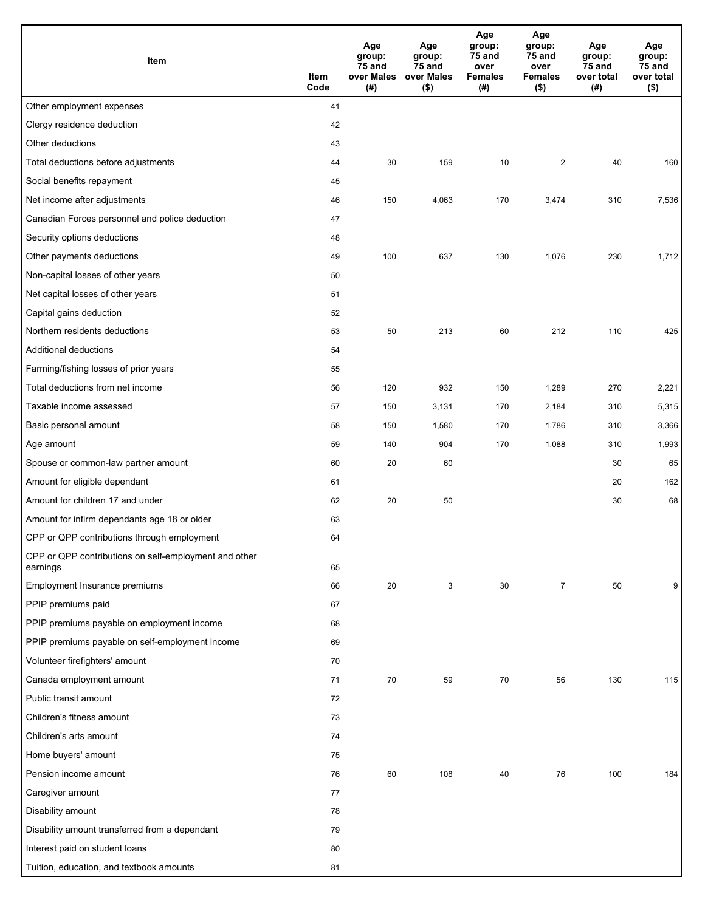| Item                                                              | Item<br>Code | Age<br>group:<br>75 and<br>over Males<br>(#) | Age<br>group:<br>75 and<br>over Males<br>$($ \$) | Age<br>group:<br>75 and<br>over<br><b>Females</b><br>(#) | Age<br>group:<br>75 and<br>over<br><b>Females</b><br>$($ \$) | Age<br>group:<br>75 and<br>over total<br>(#) | Age<br>group:<br>75 and<br>over total<br>$($ \$) |
|-------------------------------------------------------------------|--------------|----------------------------------------------|--------------------------------------------------|----------------------------------------------------------|--------------------------------------------------------------|----------------------------------------------|--------------------------------------------------|
| Other employment expenses                                         | 41           |                                              |                                                  |                                                          |                                                              |                                              |                                                  |
| Clergy residence deduction                                        | 42           |                                              |                                                  |                                                          |                                                              |                                              |                                                  |
| Other deductions                                                  | 43           |                                              |                                                  |                                                          |                                                              |                                              |                                                  |
| Total deductions before adjustments                               | 44           | 30                                           | 159                                              | 10                                                       | $\overline{2}$                                               | 40                                           | 160                                              |
| Social benefits repayment                                         | 45           |                                              |                                                  |                                                          |                                                              |                                              |                                                  |
| Net income after adjustments                                      | 46           | 150                                          | 4,063                                            | 170                                                      | 3,474                                                        | 310                                          | 7,536                                            |
| Canadian Forces personnel and police deduction                    | 47           |                                              |                                                  |                                                          |                                                              |                                              |                                                  |
| Security options deductions                                       | 48           |                                              |                                                  |                                                          |                                                              |                                              |                                                  |
| Other payments deductions                                         | 49           | 100                                          | 637                                              | 130                                                      | 1,076                                                        | 230                                          | 1,712                                            |
| Non-capital losses of other years                                 | 50           |                                              |                                                  |                                                          |                                                              |                                              |                                                  |
| Net capital losses of other years                                 | 51           |                                              |                                                  |                                                          |                                                              |                                              |                                                  |
| Capital gains deduction                                           | 52           |                                              |                                                  |                                                          |                                                              |                                              |                                                  |
| Northern residents deductions                                     | 53           | 50                                           | 213                                              | 60                                                       | 212                                                          | 110                                          | 425                                              |
| <b>Additional deductions</b>                                      | 54           |                                              |                                                  |                                                          |                                                              |                                              |                                                  |
| Farming/fishing losses of prior years                             | 55           |                                              |                                                  |                                                          |                                                              |                                              |                                                  |
| Total deductions from net income                                  | 56           | 120                                          | 932                                              | 150                                                      | 1,289                                                        | 270                                          | 2,221                                            |
| Taxable income assessed                                           | 57           | 150                                          | 3,131                                            | 170                                                      | 2,184                                                        | 310                                          | 5,315                                            |
| Basic personal amount                                             | 58           | 150                                          | 1,580                                            | 170                                                      | 1,786                                                        | 310                                          | 3,366                                            |
| Age amount                                                        | 59           | 140                                          | 904                                              | 170                                                      | 1,088                                                        | 310                                          | 1,993                                            |
| Spouse or common-law partner amount                               | 60           | 20                                           | 60                                               |                                                          |                                                              | 30                                           | 65                                               |
| Amount for eligible dependant                                     | 61           |                                              |                                                  |                                                          |                                                              | 20                                           | 162                                              |
| Amount for children 17 and under                                  | 62           | 20                                           | 50                                               |                                                          |                                                              | 30                                           | 68                                               |
| Amount for infirm dependants age 18 or older                      | 63           |                                              |                                                  |                                                          |                                                              |                                              |                                                  |
| CPP or QPP contributions through employment                       | 64           |                                              |                                                  |                                                          |                                                              |                                              |                                                  |
| CPP or QPP contributions on self-employment and other<br>earnings | 65           |                                              |                                                  |                                                          |                                                              |                                              |                                                  |
| Employment Insurance premiums                                     | 66           | 20                                           | 3                                                | 30                                                       | $\overline{7}$                                               | 50                                           | 9                                                |
| PPIP premiums paid                                                | 67           |                                              |                                                  |                                                          |                                                              |                                              |                                                  |
| PPIP premiums payable on employment income                        | 68           |                                              |                                                  |                                                          |                                                              |                                              |                                                  |
| PPIP premiums payable on self-employment income                   | 69           |                                              |                                                  |                                                          |                                                              |                                              |                                                  |
| Volunteer firefighters' amount                                    | 70           |                                              |                                                  |                                                          |                                                              |                                              |                                                  |
| Canada employment amount                                          | 71           | 70                                           | 59                                               | 70                                                       | 56                                                           | 130                                          | 115                                              |
| Public transit amount                                             | 72           |                                              |                                                  |                                                          |                                                              |                                              |                                                  |
| Children's fitness amount                                         | 73           |                                              |                                                  |                                                          |                                                              |                                              |                                                  |
| Children's arts amount                                            | 74           |                                              |                                                  |                                                          |                                                              |                                              |                                                  |
| Home buyers' amount                                               | 75           |                                              |                                                  |                                                          |                                                              |                                              |                                                  |
| Pension income amount                                             | 76           | 60                                           | 108                                              | 40                                                       | 76                                                           | 100                                          | 184                                              |
| Caregiver amount                                                  | 77           |                                              |                                                  |                                                          |                                                              |                                              |                                                  |
| Disability amount                                                 | 78           |                                              |                                                  |                                                          |                                                              |                                              |                                                  |
| Disability amount transferred from a dependant                    | 79           |                                              |                                                  |                                                          |                                                              |                                              |                                                  |
| Interest paid on student loans                                    | 80           |                                              |                                                  |                                                          |                                                              |                                              |                                                  |
| Tuition, education, and textbook amounts                          | 81           |                                              |                                                  |                                                          |                                                              |                                              |                                                  |